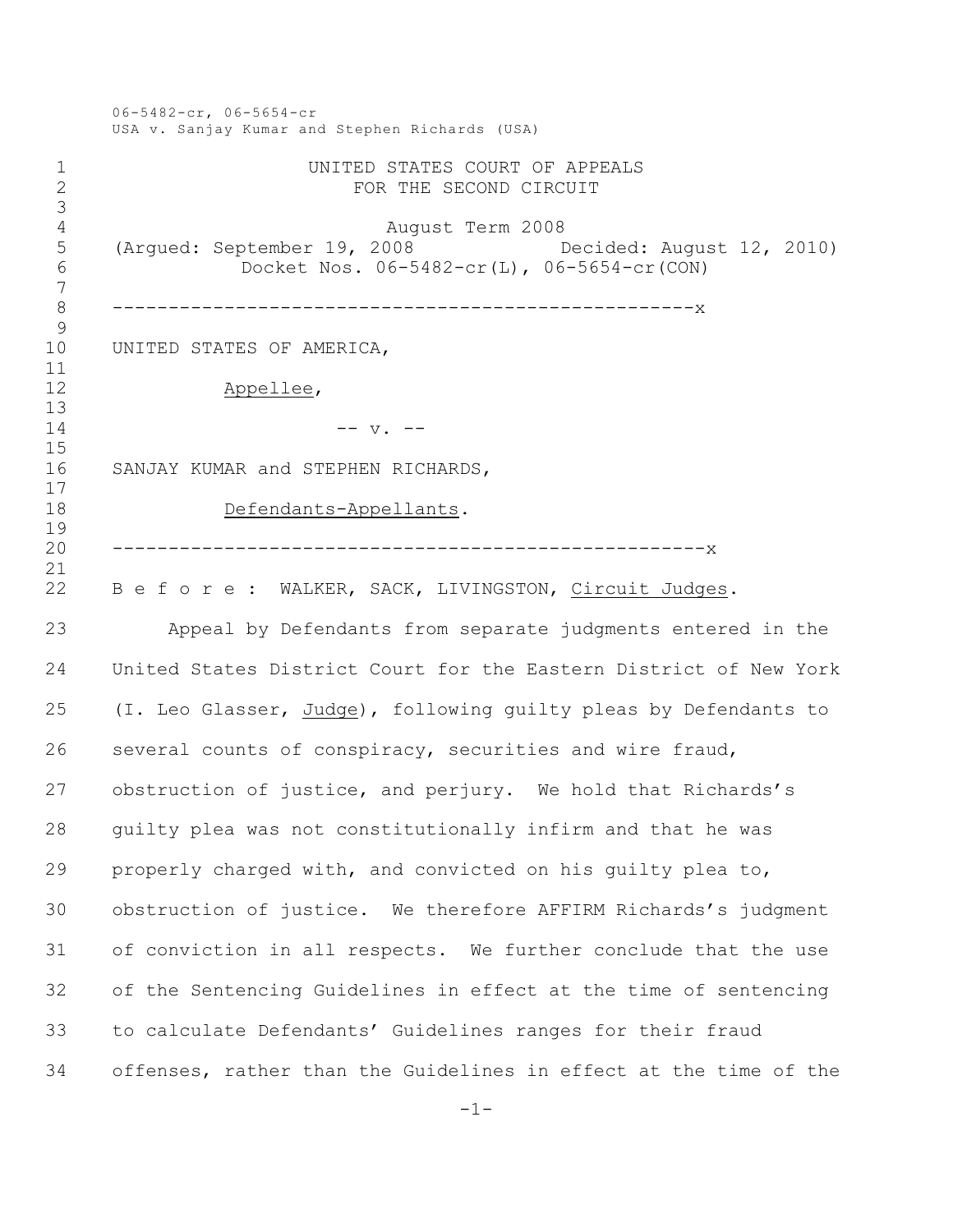06-5482-cr, 06-5654-cr USA v. Sanjay Kumar and Stephen Richards (USA) UNITED STATES COURT OF APPEALS FOR THE SECOND CIRCUIT August Term 2008 (Argued: September 19, 2008 Decided: August 12, 2010) Docket Nos. 06-5482-cr(L), 06-5654-cr(CON) ----------------------------------------------------x UNITED STATES OF AMERICA, Appellee, -- v. -- SANJAY KUMAR and STEPHEN RICHARDS, Defendants-Appellants. -----------------------------------------------------x 22 B e f o r e : WALKER, SACK, LIVINGSTON, Circuit Judges. Appeal by Defendants from separate judgments entered in the United States District Court for the Eastern District of New York (I. Leo Glasser, Judge), following guilty pleas by Defendants to several counts of conspiracy, securities and wire fraud, obstruction of justice, and perjury. We hold that Richards's guilty plea was not constitutionally infirm and that he was properly charged with, and convicted on his guilty plea to, obstruction of justice. We therefore AFFIRM Richards's judgment of conviction in all respects. We further conclude that the use of the Sentencing Guidelines in effect at the time of sentencing to calculate Defendants' Guidelines ranges for their fraud offenses, rather than the Guidelines in effect at the time of the

-1-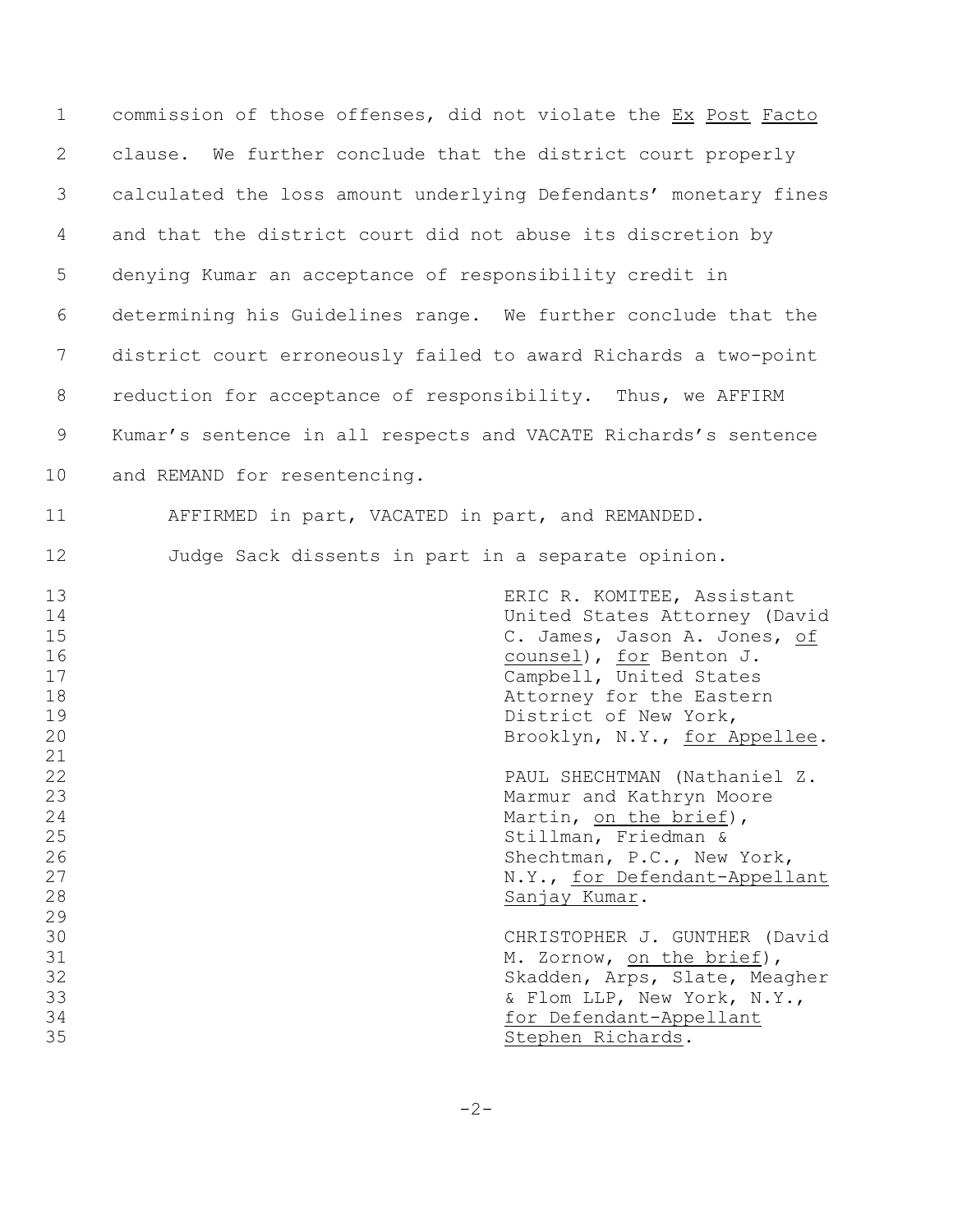| $\mathbf 1$                                        | commission of those offenses, did not violate the Ex Post Facto                                                                                                                                                                         |
|----------------------------------------------------|-----------------------------------------------------------------------------------------------------------------------------------------------------------------------------------------------------------------------------------------|
| 2                                                  | clause. We further conclude that the district court properly                                                                                                                                                                            |
| 3                                                  | calculated the loss amount underlying Defendants' monetary fines                                                                                                                                                                        |
| 4                                                  | and that the district court did not abuse its discretion by                                                                                                                                                                             |
| 5                                                  | denying Kumar an acceptance of responsibility credit in                                                                                                                                                                                 |
| 6                                                  | determining his Guidelines range. We further conclude that the                                                                                                                                                                          |
| 7                                                  | district court erroneously failed to award Richards a two-point                                                                                                                                                                         |
| 8                                                  | reduction for acceptance of responsibility. Thus, we AFFIRM                                                                                                                                                                             |
| 9                                                  | Kumar's sentence in all respects and VACATE Richards's sentence                                                                                                                                                                         |
| 10                                                 | and REMAND for resentencing.                                                                                                                                                                                                            |
| 11                                                 | AFFIRMED in part, VACATED in part, and REMANDED.                                                                                                                                                                                        |
| 12                                                 | Judge Sack dissents in part in a separate opinion.                                                                                                                                                                                      |
| 13<br>14<br>15<br>16<br>17<br>18<br>19<br>20<br>21 | ERIC R. KOMITEE, Assistant<br>United States Attorney (David<br>C. James, Jason A. Jones, of<br>counsel), for Benton J.<br>Campbell, United States<br>Attorney for the Eastern<br>District of New York,<br>Brooklyn, N.Y., for Appellee. |
| 22<br>23<br>24<br>25<br>26<br>27<br>28<br>29       | PAUL SHECHTMAN (Nathaniel Z.<br>Marmur and Kathryn Moore<br>Martin, on the brief),<br>Stillman, Friedman &<br>Shechtman, P.C., New York,<br>N.Y., for Defendant-Appellant<br>Sanjay Kumar.                                              |
| 30<br>31<br>32<br>33<br>34<br>35                   | CHRISTOPHER J. GUNTHER (David<br>M. Zornow, on the brief),<br>Skadden, Arps, Slate, Meagher<br>& Flom LLP, New York, N.Y.,<br>for Defendant-Appellant<br>Stephen Richards.                                                              |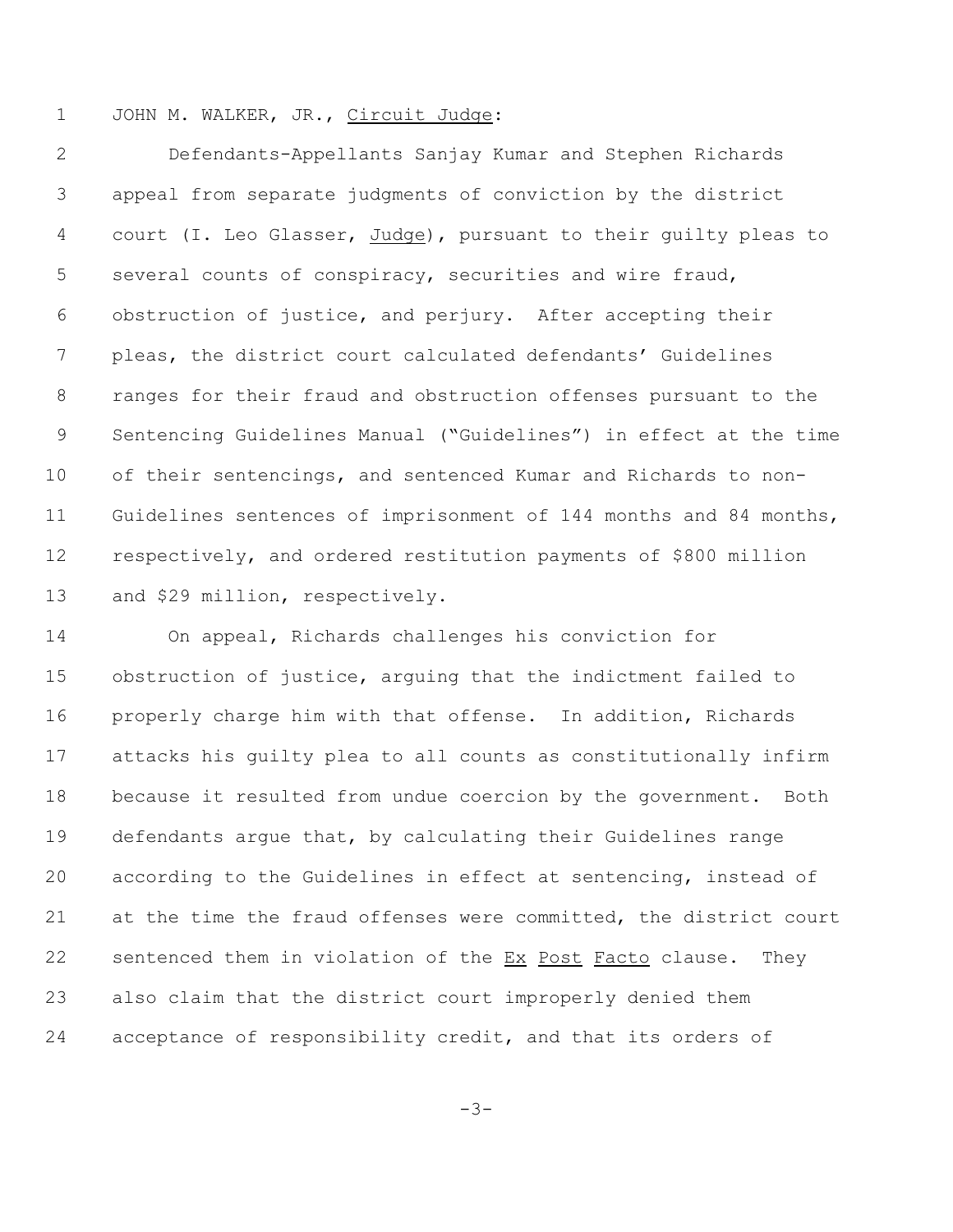JOHN M. WALKER, JR., Circuit Judge:

 Defendants-Appellants Sanjay Kumar and Stephen Richards appeal from separate judgments of conviction by the district court (I. Leo Glasser, Judge), pursuant to their guilty pleas to several counts of conspiracy, securities and wire fraud, obstruction of justice, and perjury. After accepting their pleas, the district court calculated defendants' Guidelines ranges for their fraud and obstruction offenses pursuant to the Sentencing Guidelines Manual ("Guidelines") in effect at the time of their sentencings, and sentenced Kumar and Richards to non- Guidelines sentences of imprisonment of 144 months and 84 months, respectively, and ordered restitution payments of \$800 million and \$29 million, respectively.

 On appeal, Richards challenges his conviction for obstruction of justice, arguing that the indictment failed to properly charge him with that offense. In addition, Richards attacks his guilty plea to all counts as constitutionally infirm because it resulted from undue coercion by the government. Both defendants argue that, by calculating their Guidelines range according to the Guidelines in effect at sentencing, instead of at the time the fraud offenses were committed, the district court sentenced them in violation of the Ex Post Facto clause. They also claim that the district court improperly denied them acceptance of responsibility credit, and that its orders of

 $-3-$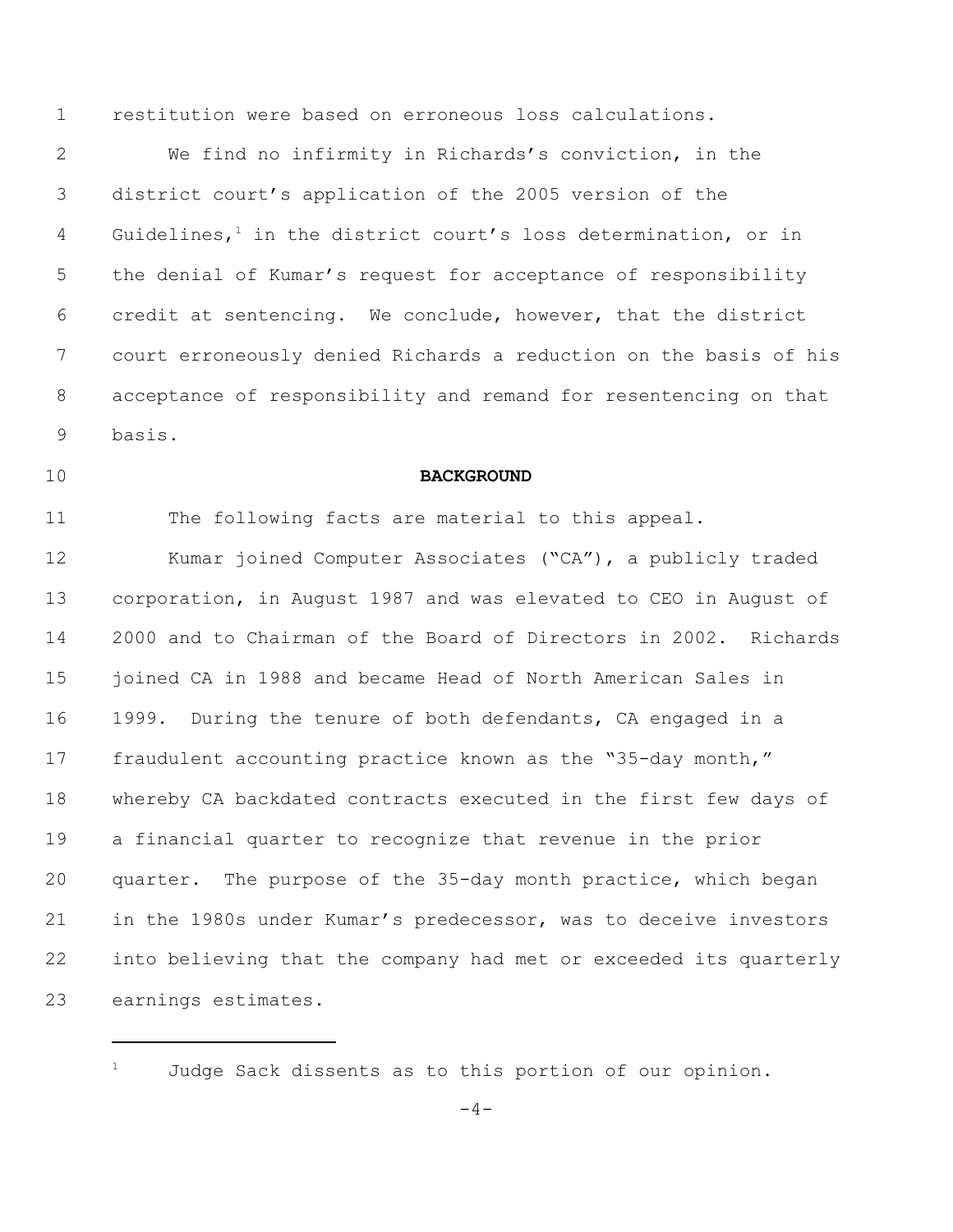restitution were based on erroneous loss calculations.

 We find no infirmity in Richards's conviction, in the district court's application of the 2005 version of the 4 Guidelines,<sup>1</sup> in the district court's loss determination, or in the denial of Kumar's request for acceptance of responsibility credit at sentencing. We conclude, however, that the district court erroneously denied Richards a reduction on the basis of his acceptance of responsibility and remand for resentencing on that basis.

### **BACKGROUND**

 The following facts are material to this appeal. Kumar joined Computer Associates ("CA"), a publicly traded corporation, in August 1987 and was elevated to CEO in August of 2000 and to Chairman of the Board of Directors in 2002. Richards joined CA in 1988 and became Head of North American Sales in 1999. During the tenure of both defendants, CA engaged in a fraudulent accounting practice known as the "35-day month," whereby CA backdated contracts executed in the first few days of a financial quarter to recognize that revenue in the prior quarter. The purpose of the 35-day month practice, which began in the 1980s under Kumar's predecessor, was to deceive investors into believing that the company had met or exceeded its quarterly earnings estimates**.**

Judge Sack dissents as to this portion of our opinion.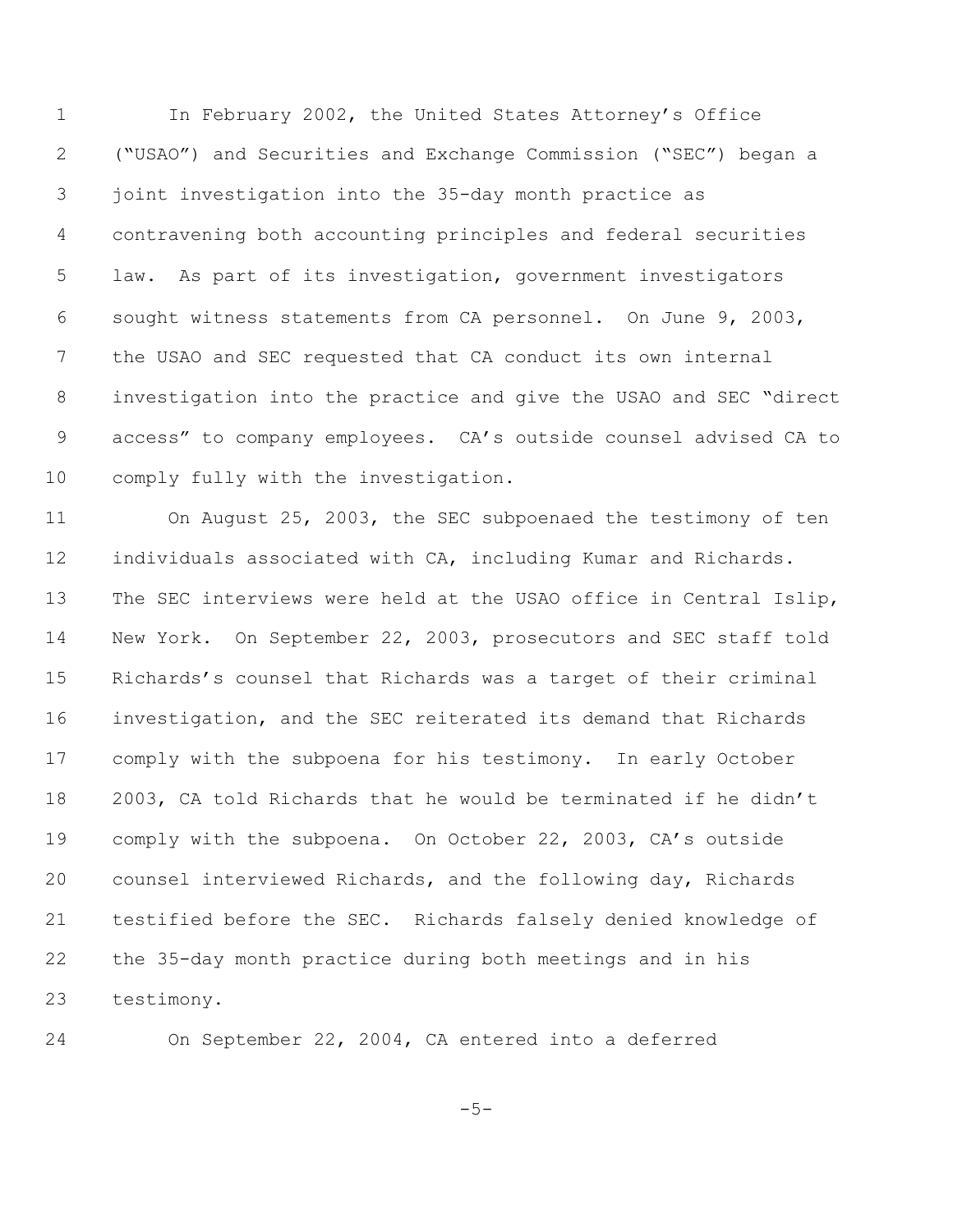In February 2002, the United States Attorney's Office ("USAO") and Securities and Exchange Commission ("SEC") began a joint investigation into the 35-day month practice as contravening both accounting principles and federal securities law.As part of its investigation, government investigators sought witness statements from CA personnel. On June 9, 2003, the USAO and SEC requested that CA conduct its own internal investigation into the practice and give the USAO and SEC "direct access" to company employees. CA's outside counsel advised CA to comply fully with the investigation.

 On August 25, 2003, the SEC subpoenaed the testimony of ten individuals associated with CA, including Kumar and Richards. The SEC interviews were held at the USAO office in Central Islip, New York. On September 22, 2003, prosecutors and SEC staff told Richards's counsel that Richards was a target of their criminal investigation, and the SEC reiterated its demand that Richards comply with the subpoena for his testimony. In early October 2003, CA told Richards that he would be terminated if he didn't comply with the subpoena. On October 22, 2003, CA's outside counsel interviewed Richards, and the following day, Richards testified before the SEC. Richards falsely denied knowledge of the 35-day month practice during both meetings and in his testimony.

On September 22, 2004, CA entered into a deferred

 $-5-$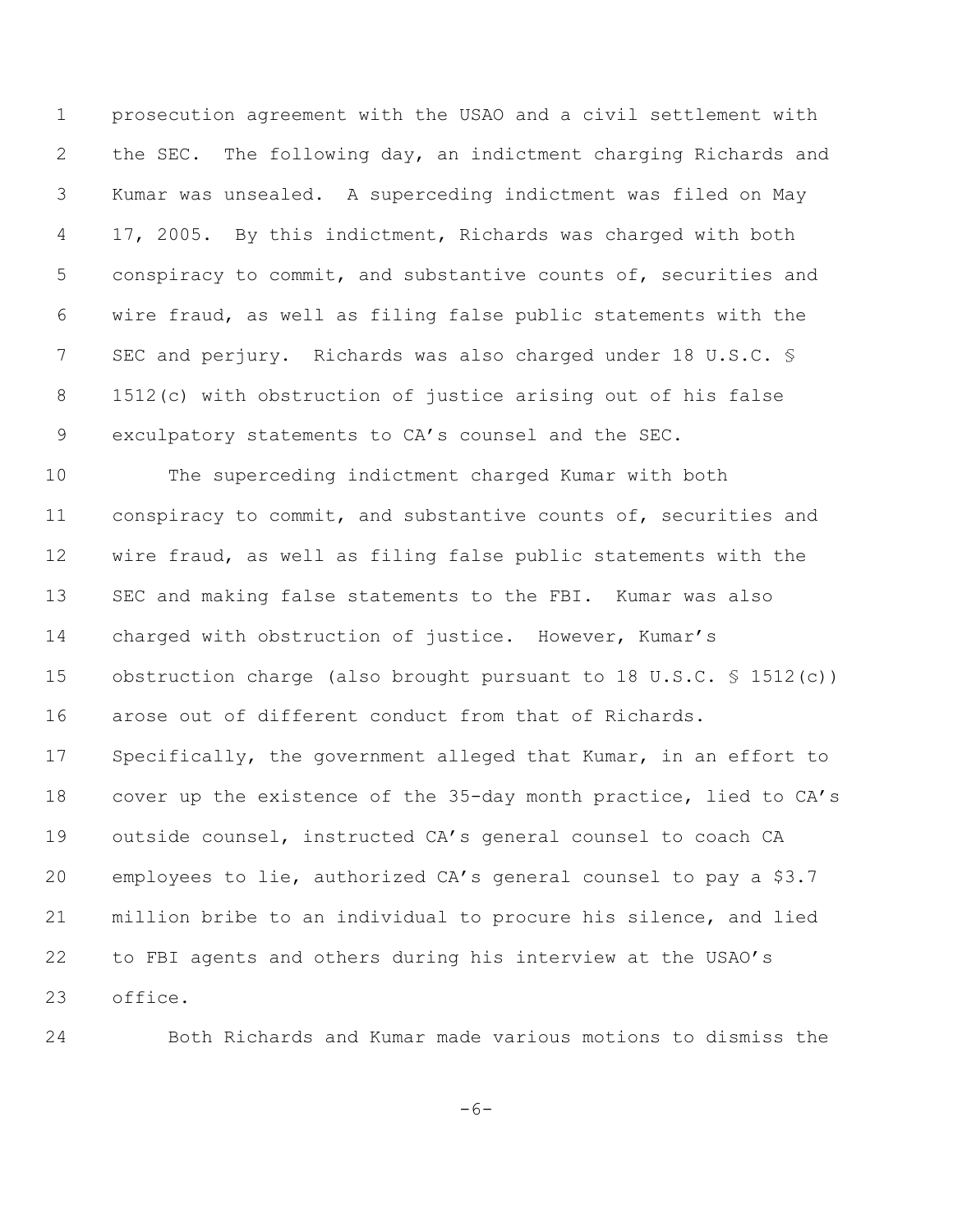prosecution agreement with the USAO and a civil settlement with the SEC. The following day, an indictment charging Richards and Kumar was unsealed. A superceding indictment was filed on May 17, 2005. By this indictment, Richards was charged with both conspiracy to commit, and substantive counts of, securities and wire fraud, as well as filing false public statements with the 7 SEC and perjury. Richards was also charged under 18 U.S.C. § 1512(c) with obstruction of justice arising out of his false exculpatory statements to CA's counsel and the SEC.

 The superceding indictment charged Kumar with both conspiracy to commit, and substantive counts of, securities and wire fraud, as well as filing false public statements with the SEC and making false statements to the FBI. Kumar was also charged with obstruction of justice. However, Kumar's obstruction charge (also brought pursuant to 18 U.S.C. § 1512(c)) arose out of different conduct from that of Richards. Specifically, the government alleged that Kumar, in an effort to cover up the existence of the 35-day month practice, lied to CA's outside counsel, instructed CA's general counsel to coach CA employees to lie, authorized CA's general counsel to pay a \$3.7 million bribe to an individual to procure his silence, and lied to FBI agents and others during his interview at the USAO's office.

Both Richards and Kumar made various motions to dismiss the

 $-6-$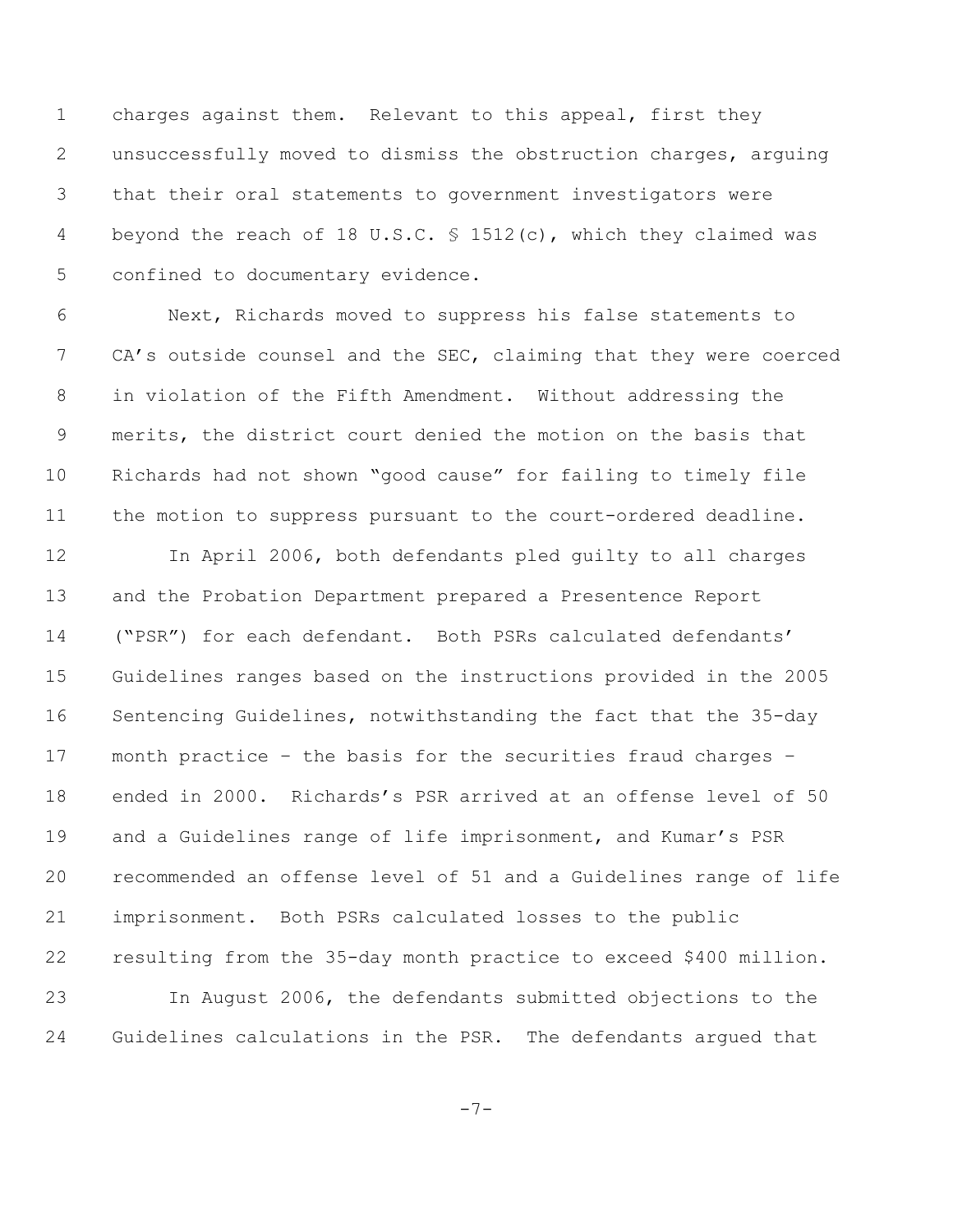charges against them. Relevant to this appeal, first they unsuccessfully moved to dismiss the obstruction charges, arguing that their oral statements to government investigators were 4 beyond the reach of 18 U.S.C. § 1512(c), which they claimed was confined to documentary evidence.

 Next, Richards moved to suppress his false statements to 7 CA's outside counsel and the SEC, claiming that they were coerced in violation of the Fifth Amendment. Without addressing the merits, the district court denied the motion on the basis that Richards had not shown "good cause" for failing to timely file the motion to suppress pursuant to the court-ordered deadline.

 In April 2006, both defendants pled guilty to all charges and the Probation Department prepared a Presentence Report ("PSR") for each defendant. Both PSRs calculated defendants' Guidelines ranges based on the instructions provided in the 2005 Sentencing Guidelines, notwithstanding the fact that the 35-day month practice – the basis for the securities fraud charges – ended in 2000. Richards's PSR arrived at an offense level of 50 and a Guidelines range of life imprisonment, and Kumar's PSR recommended an offense level of 51 and a Guidelines range of life imprisonment. Both PSRs calculated losses to the public resulting from the 35-day month practice to exceed \$400 million. In August 2006, the defendants submitted objections to the Guidelines calculations in the PSR. The defendants argued that

-7-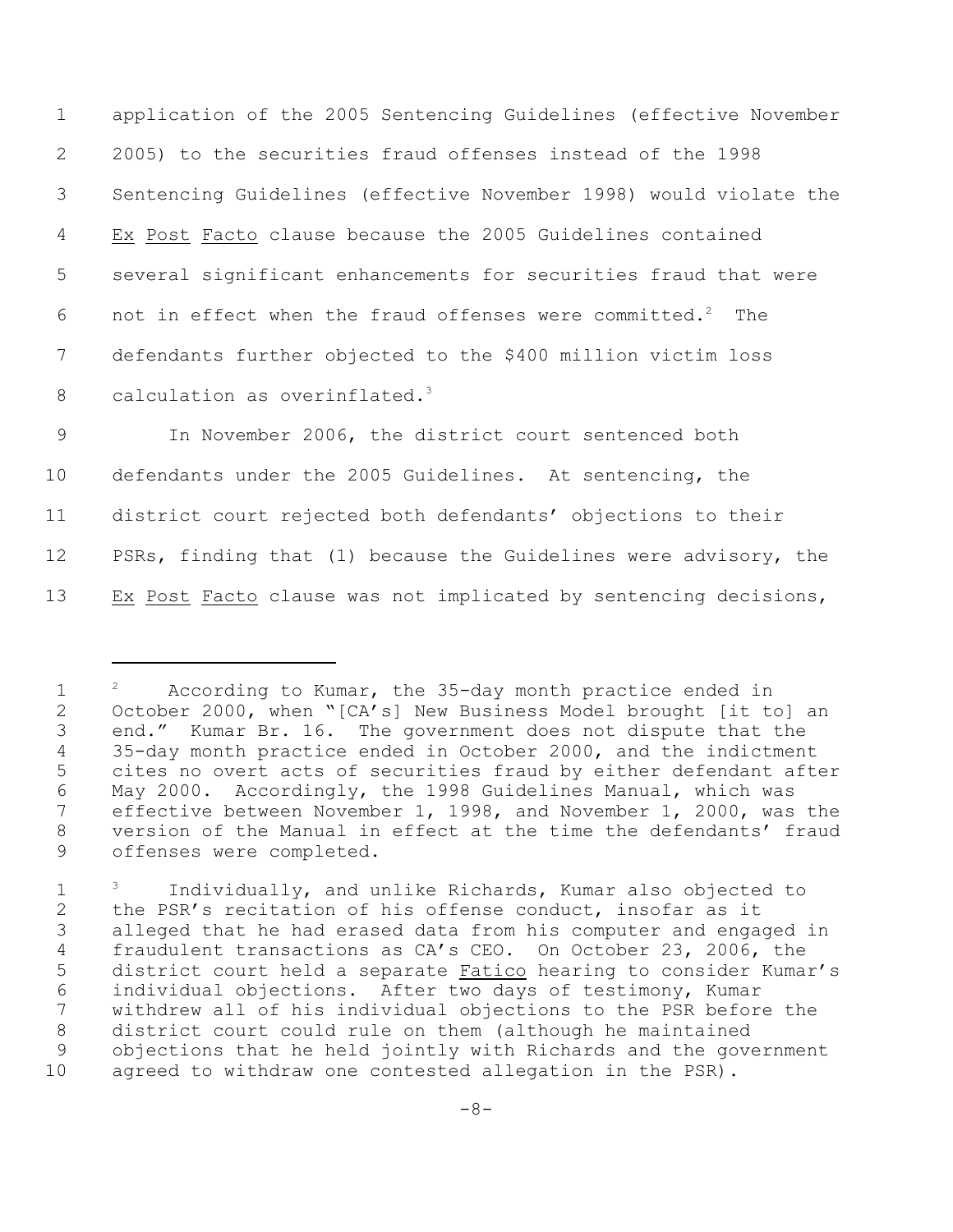application of the 2005 Sentencing Guidelines (effective November 2005) to the securities fraud offenses instead of the 1998 Sentencing Guidelines (effective November 1998) would violate the Ex Post Facto clause because the 2005 Guidelines contained several significant enhancements for securities fraud that were 6 not in effect when the fraud offenses were committed.<sup>2</sup> The defendants further objected to the \$400 million victim loss 8 calculation as overinflated.<sup>3</sup>

 In November 2006, the district court sentenced both defendants under the 2005 Guidelines. At sentencing, the district court rejected both defendants' objections to their 12 PSRs, finding that (1) because the Guidelines were advisory, the Ex Post Facto clause was not implicated by sentencing decisions,

<sup>1 &</sup>lt;sup>2</sup> According to Kumar, the 35-day month practice ended in October 2000, when "[CA's] New Business Model brought [it to] an end." Kumar Br. 16. The government does not dispute that the 35-day month practice ended in October 2000, and the indictment cites no overt acts of securities fraud by either defendant after May 2000. Accordingly, the 1998 Guidelines Manual, which was effective between November 1, 1998, and November 1, 2000, was the version of the Manual in effect at the time the defendants' fraud offenses were completed.

<sup>1 &</sup>lt;sup>3</sup> Individually, and unlike Richards, Kumar also objected to the PSR's recitation of his offense conduct, insofar as it alleged that he had erased data from his computer and engaged in fraudulent transactions as CA's CEO. On October 23, 2006, the district court held a separate Fatico hearing to consider Kumar's individual objections. After two days of testimony, Kumar withdrew all of his individual objections to the PSR before the district court could rule on them (although he maintained objections that he held jointly with Richards and the government agreed to withdraw one contested allegation in the PSR).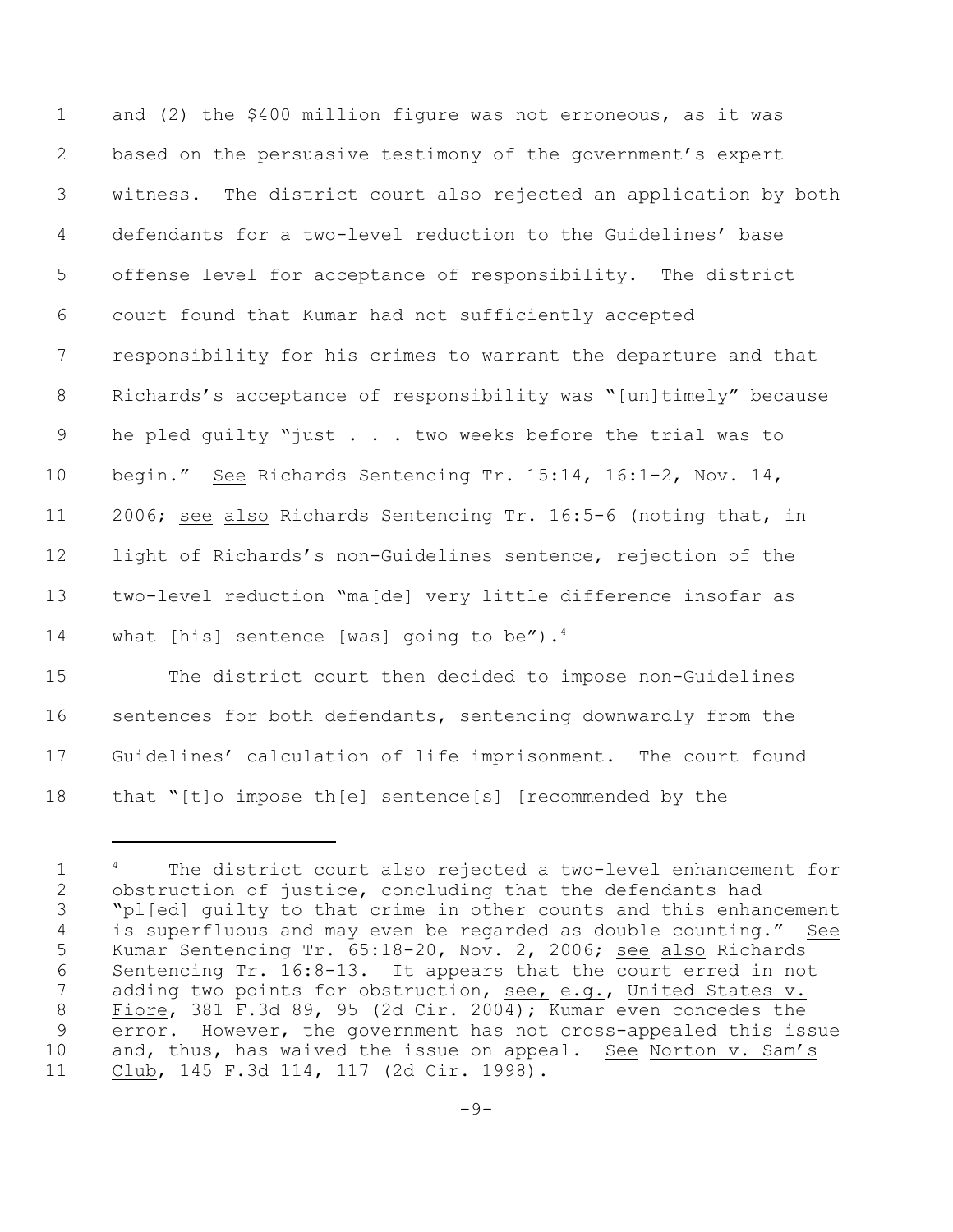and (2) the \$400 million figure was not erroneous, as it was based on the persuasive testimony of the government's expert witness. The district court also rejected an application by both defendants for a two-level reduction to the Guidelines' base offense level for acceptance of responsibility. The district court found that Kumar had not sufficiently accepted responsibility for his crimes to warrant the departure and that Richards's acceptance of responsibility was "[un]timely" because 9 he pled quilty "just . . . two weeks before the trial was to begin." See Richards Sentencing Tr. 15:14, 16:1-2, Nov. 14, 11 2006; see also Richards Sentencing Tr. 16:5-6 (noting that, in light of Richards's non-Guidelines sentence, rejection of the two-level reduction "ma[de] very little difference insofar as 14 what [his] sentence [was] going to be").<sup>4</sup>

 The district court then decided to impose non-Guidelines sentences for both defendants, sentencing downwardly from the Guidelines' calculation of life imprisonment. The court found that "[t]o impose th[e] sentence[s] [recommended by the

<sup>1 &</sup>lt;sup>4</sup> The district court also rejected a two-level enhancement for obstruction of justice, concluding that the defendants had "pl[ed] guilty to that crime in other counts and this enhancement is superfluous and may even be regarded as double counting." See Kumar Sentencing Tr. 65:18-20, Nov. 2, 2006; see also Richards Sentencing Tr. 16:8-13. It appears that the court erred in not 7 adding two points for obstruction, see, e.g., United States v. Fiore, 381 F.3d 89, 95 (2d Cir. 2004); Kumar even concedes the error. However, the government has not cross-appealed this issue 10 and, thus, has waived the issue on appeal. See Norton v. Sam's Club, 145 F.3d 114, 117 (2d Cir. 1998).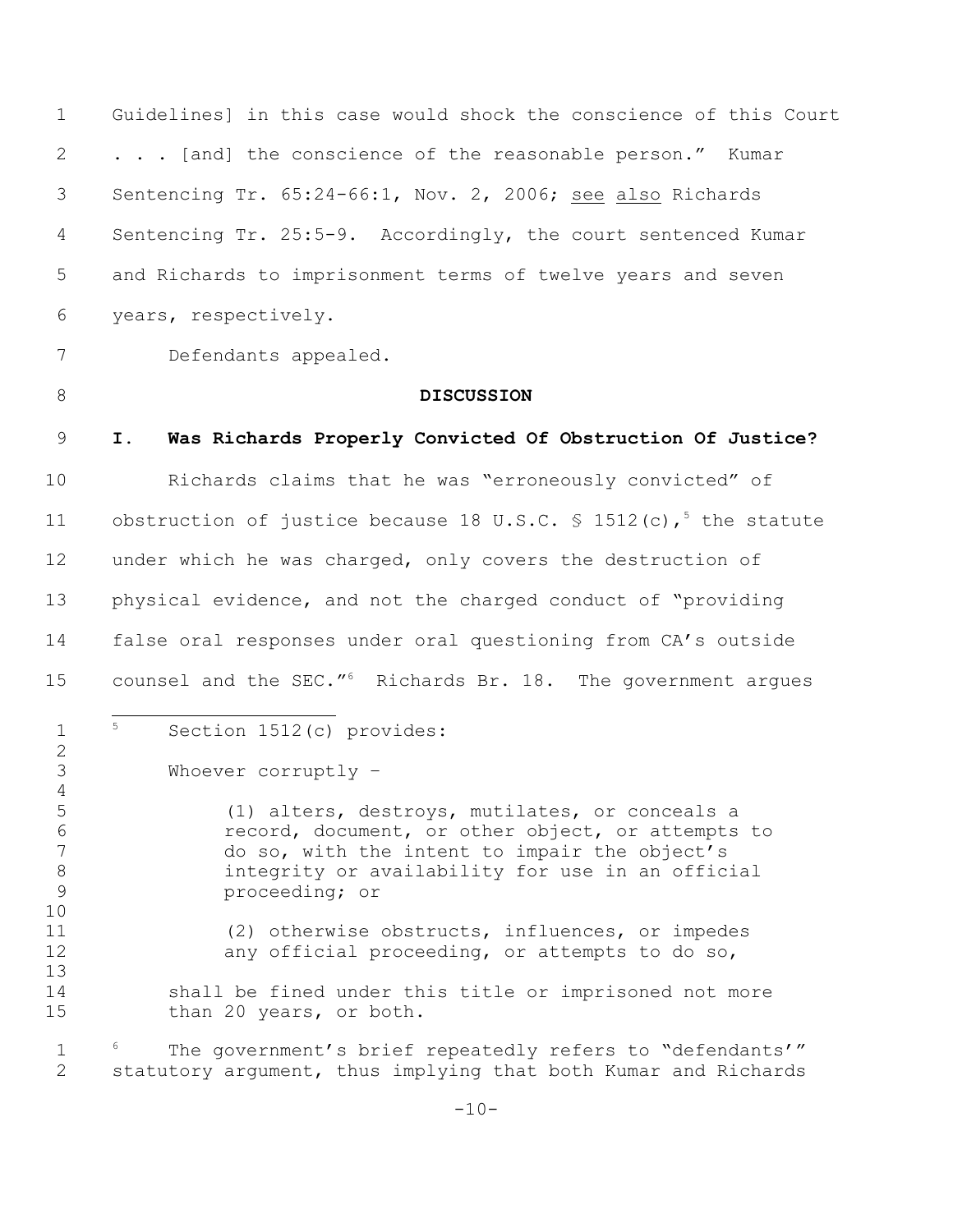Guidelines] in this case would shock the conscience of this Court 2 . . . [and] the conscience of the reasonable person." Kumar Sentencing Tr. 65:24-66:1, Nov. 2, 2006; see also Richards Sentencing Tr. 25:5-9. Accordingly, the court sentenced Kumar and Richards to imprisonment terms of twelve years and seven years, respectively.

Defendants appealed.

### **DISCUSSION**

## **I. Was Richards Properly Convicted Of Obstruction Of Justice?**

 Richards claims that he was "erroneously convicted" of 11 obstruction of justice because 18 U.S.C.  $\frac{1}{5}$  1512(c),<sup>5</sup> the statute under which he was charged, only covers the destruction of physical evidence, and not the charged conduct of "providing false oral responses under oral questioning from CA's outside 15 counsel and the SEC."<sup>6</sup> Richards Br. 18. The government argues

 $1 \quad$ <sup>5</sup> Section 1512(c) provides:

Whoever corruptly –

 (1) alters, destroys, mutilates, or conceals a record, document, or other object, or attempts to do so, with the intent to impair the object's integrity or availability for use in an official proceeding; or

 (2) otherwise obstructs, influences, or impedes 12 any official proceeding, or attempts to do so,

14 shall be fined under this title or imprisoned not more 15 than 20 years, or both.

1  $\,$   $^{\circ}$  The government's brief repeatedly refers to "defendants'" statutory argument, thus implying that both Kumar and Richards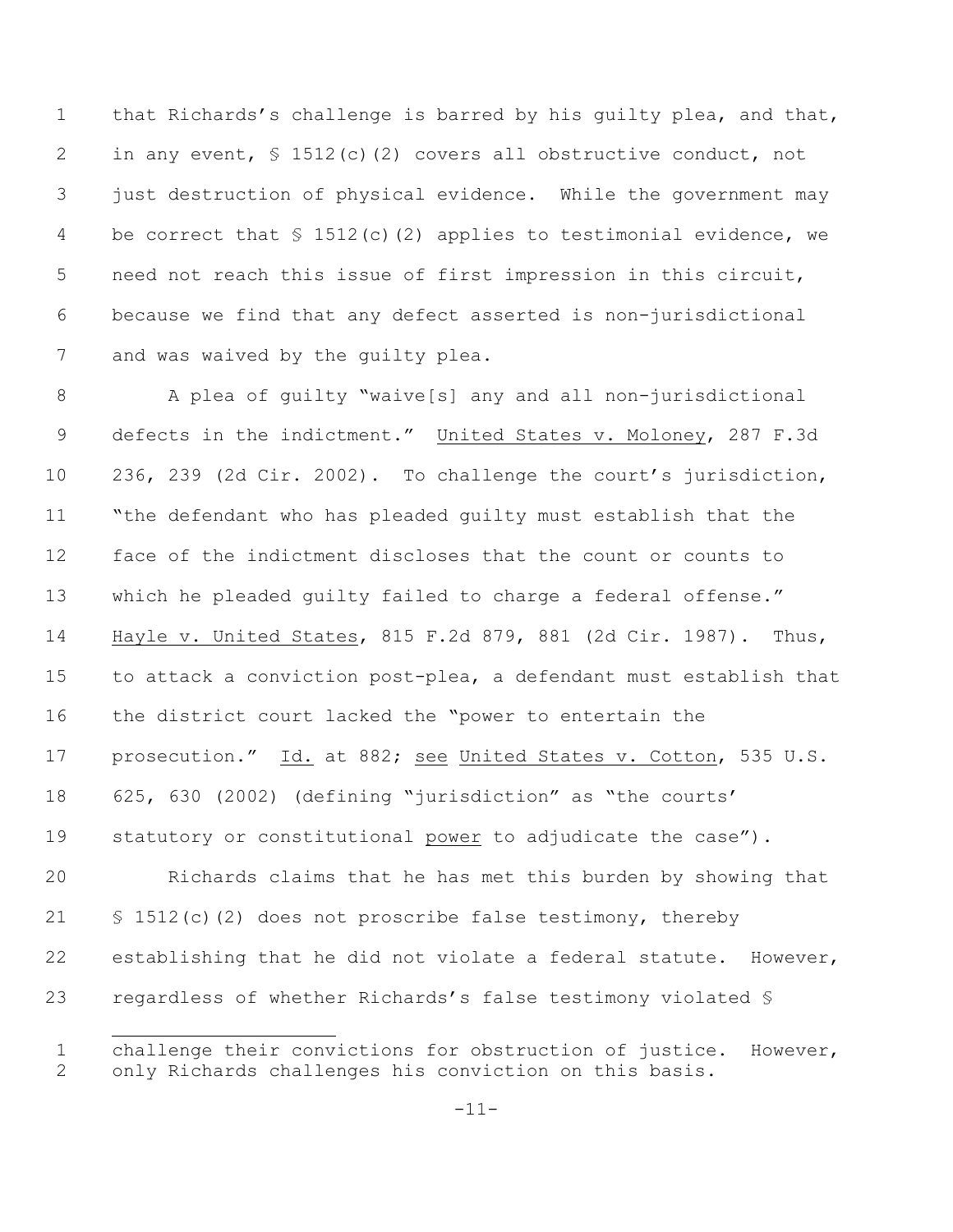that Richards's challenge is barred by his guilty plea, and that, 2 in any event, § 1512(c)(2) covers all obstructive conduct, not just destruction of physical evidence. While the government may 4 be correct that  $\frac{1512(c)}{2}$  applies to testimonial evidence, we need not reach this issue of first impression in this circuit, because we find that any defect asserted is non-jurisdictional 7 and was waived by the quilty plea.

 A plea of guilty "waive[s] any and all non-jurisdictional 9 defects in the indictment." United States v. Moloney, 287 F.3d 236, 239 (2d Cir. 2002). To challenge the court's jurisdiction, "the defendant who has pleaded guilty must establish that the face of the indictment discloses that the count or counts to which he pleaded guilty failed to charge a federal offense." Hayle v. United States, 815 F.2d 879, 881 (2d Cir. 1987). Thus, to attack a conviction post-plea, a defendant must establish that the district court lacked the "power to entertain the 17 prosecution." Id. at 882; see United States v. Cotton, 535 U.S. 625, 630 (2002) (defining "jurisdiction" as "the courts' statutory or constitutional power to adjudicate the case").

 Richards claims that he has met this burden by showing that § 1512(c)(2) does not proscribe false testimony, thereby establishing that he did not violate a federal statute. However, regardless of whether Richards's false testimony violated §

 challenge their convictions for obstruction of justice. However, only Richards challenges his conviction on this basis.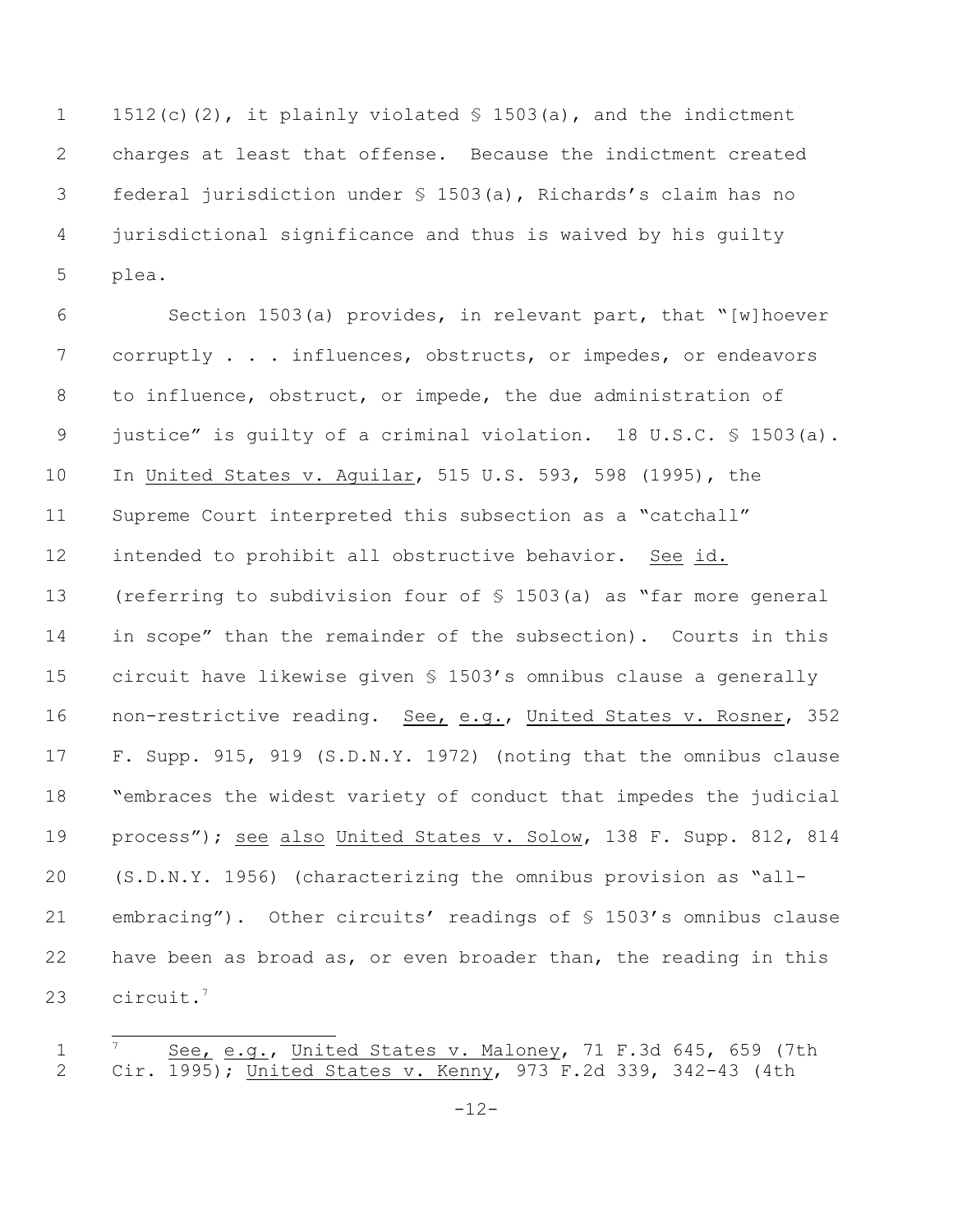1512(c)(2), it plainly violated § 1503(a), and the indictment charges at least that offense. Because the indictment created federal jurisdiction under § 1503(a), Richards's claim has no jurisdictional significance and thus is waived by his guilty plea.

 Section 1503(a) provides, in relevant part, that "[w]hoever corruptly . . . influences, obstructs, or impedes, or endeavors to influence, obstruct, or impede, the due administration of justice" is guilty of a criminal violation. 18 U.S.C. § 1503(a). In United States v. Aguilar, 515 U.S. 593, 598 (1995), the Supreme Court interpreted this subsection as a "catchall" intended to prohibit all obstructive behavior. See id. (referring to subdivision four of § 1503(a) as "far more general in scope" than the remainder of the subsection). Courts in this circuit have likewise given § 1503's omnibus clause a generally non-restrictive reading. See, e.g., United States v. Rosner, 352 F. Supp. 915, 919 (S.D.N.Y. 1972) (noting that the omnibus clause "embraces the widest variety of conduct that impedes the judicial process"); see also United States v. Solow, 138 F. Supp. 812, 814 (S.D.N.Y. 1956) (characterizing the omnibus provision as "all- embracing"). Other circuits' readings of § 1503's omnibus clause have been as broad as, or even broader than, the reading in this 23 circuit.<sup>7</sup>

1 <sup>7</sup> See, e.g., United States v. Maloney, 71 F.3d 645, 659 (7th Cir. 1995); United States v. Kenny, 973 F.2d 339, 342-43 (4th

-12-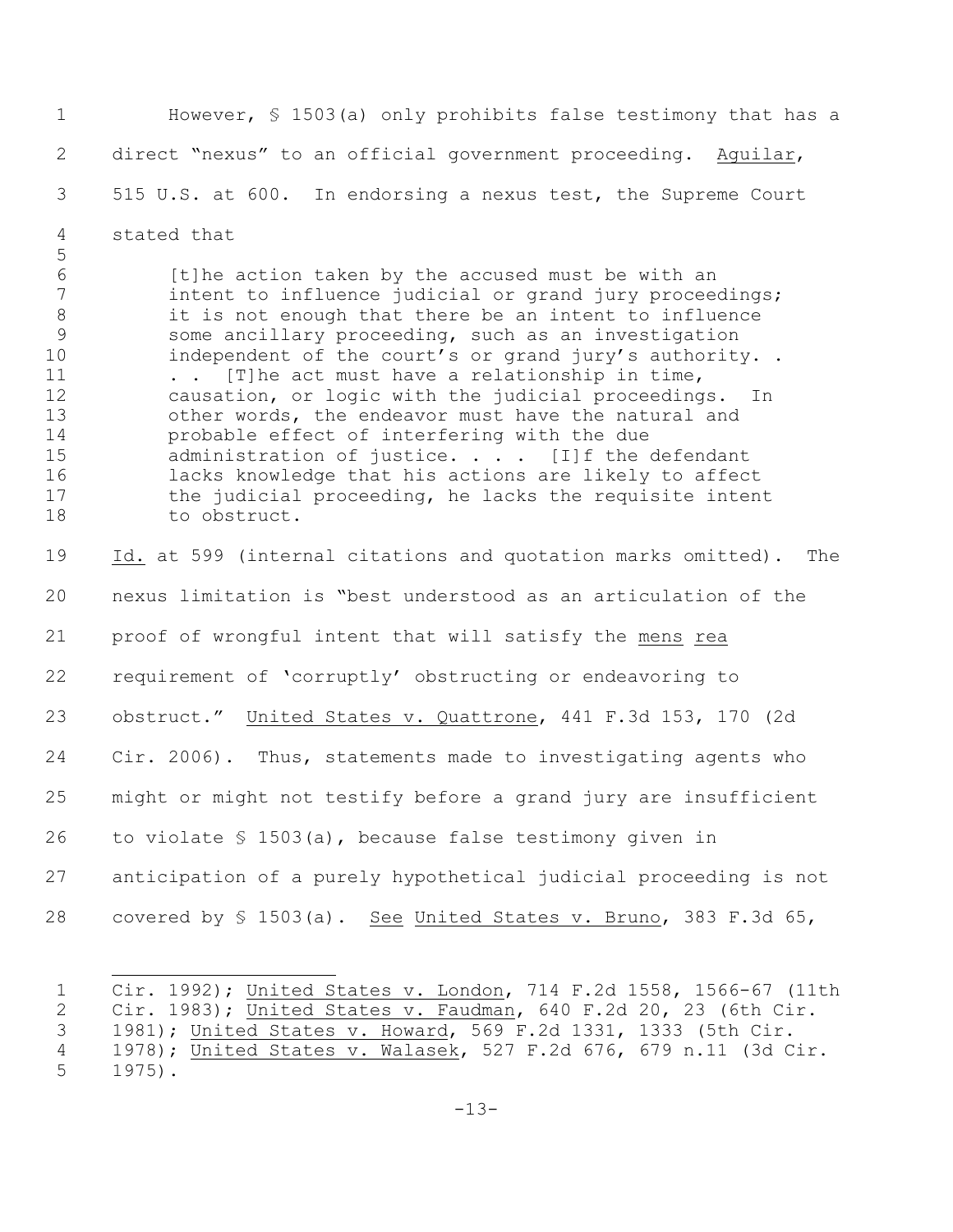However, § 1503(a) only prohibits false testimony that has a direct "nexus" to an official government proceeding. Aguilar, 515 U.S. at 600. In endorsing a nexus test, the Supreme Court stated that [t]he action taken by the accused must be with an 7 intent to influence judicial or grand jury proceedings; it is not enough that there be an intent to influence some ancillary proceeding, such as an investigation 10 independent of the court's or grand jury's authority.. . . [T]he act must have a relationship in time, causation, or logic with the judicial proceedings. In other words, the endeavor must have the natural and probable effect of interfering with the due 15 administration of justice. . . . [I]f the defendant lacks knowledge that his actions are likely to affect 17 the judicial proceeding, he lacks the requisite intent to obstruct. Id. at 599 (internal citations and quotation marks omitted). The nexus limitation is "best understood as an articulation of the proof of wrongful intent that will satisfy the mens rea requirement of 'corruptly' obstructing or endeavoring to obstruct." United States v. Quattrone, 441 F.3d 153, 170 (2d Cir. 2006). Thus, statements made to investigating agents who might or might not testify before a grand jury are insufficient to violate § 1503(a), because false testimony given in anticipation of a purely hypothetical judicial proceeding is not 28 covered by § 1503(a). See United States v. Bruno, 383 F.3d 65,

 Cir. 1992); United States v. London, 714 F.2d 1558, 1566-67 (11th Cir. 1983); United States v. Faudman, 640 F.2d 20, 23 (6th Cir. 1981); United States v. Howard, 569 F.2d 1331, 1333 (5th Cir. 1978); United States v. Walasek, 527 F.2d 676, 679 n.11 (3d Cir. 1975).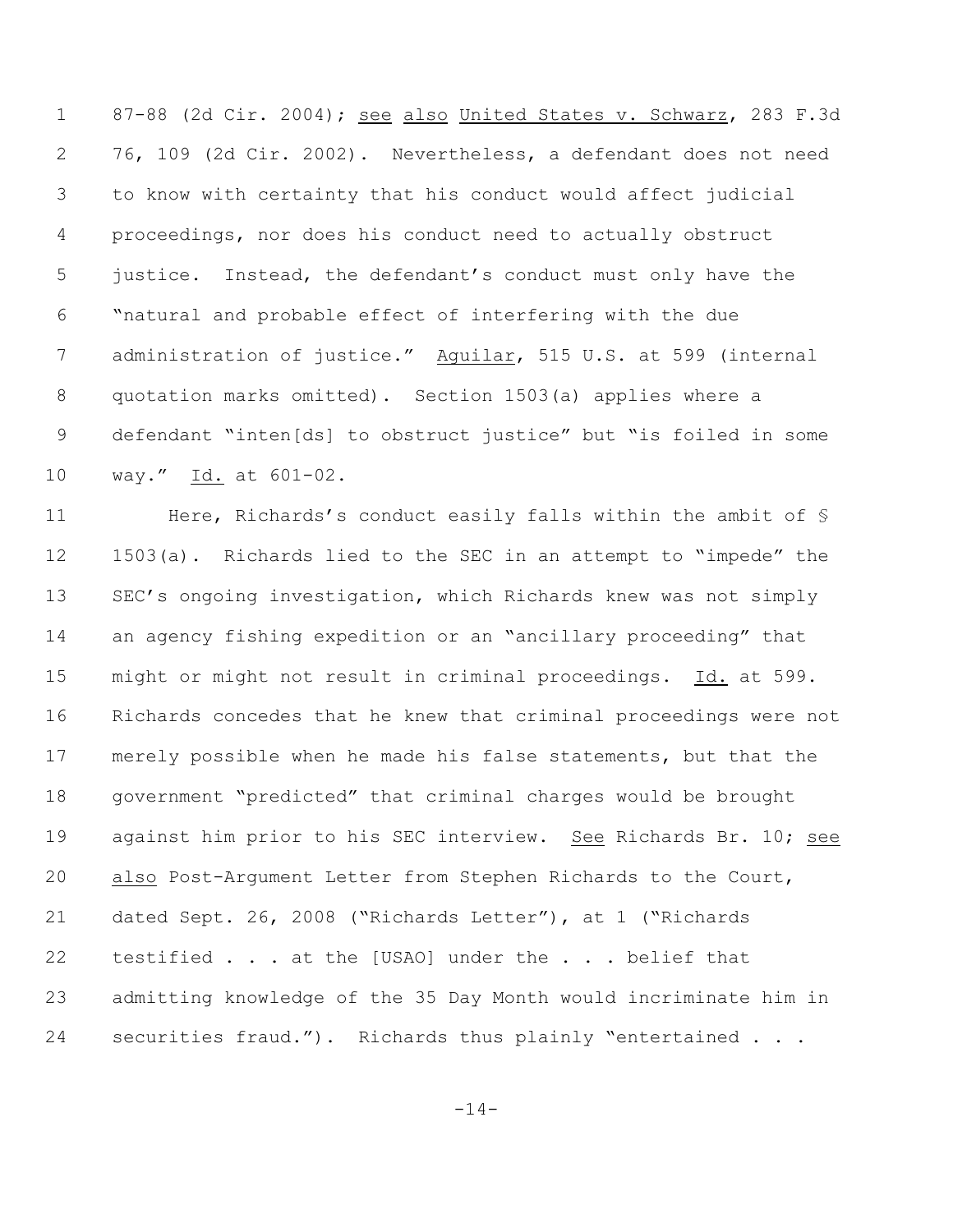1 87-88 (2d Cir. 2004); see also United States v. Schwarz, 283 F.3d 76, 109 (2d Cir. 2002). Nevertheless, a defendant does not need to know with certainty that his conduct would affect judicial proceedings, nor does his conduct need to actually obstruct justice. Instead, the defendant's conduct must only have the "natural and probable effect of interfering with the due administration of justice." Aguilar, 515 U.S. at 599 (internal quotation marks omitted). Section 1503(a) applies where a defendant "inten[ds] to obstruct justice" but "is foiled in some way." Id. at 601-02.

11 Here, Richards's conduct easily falls within the ambit of  $\frac{1}{2}$  1503(a). Richards lied to the SEC in an attempt to "impede" the SEC's ongoing investigation, which Richards knew was not simply an agency fishing expedition or an "ancillary proceeding" that might or might not result in criminal proceedings. Id. at 599. Richards concedes that he knew that criminal proceedings were not merely possible when he made his false statements, but that the government "predicted" that criminal charges would be brought against him prior to his SEC interview. See Richards Br. 10; see also Post-Argument Letter from Stephen Richards to the Court, dated Sept. 26, 2008 ("Richards Letter"), at 1 ("Richards testified . . . at the [USAO] under the . . . belief that admitting knowledge of the 35 Day Month would incriminate him in securities fraud."). Richards thus plainly "entertained . . .

-14-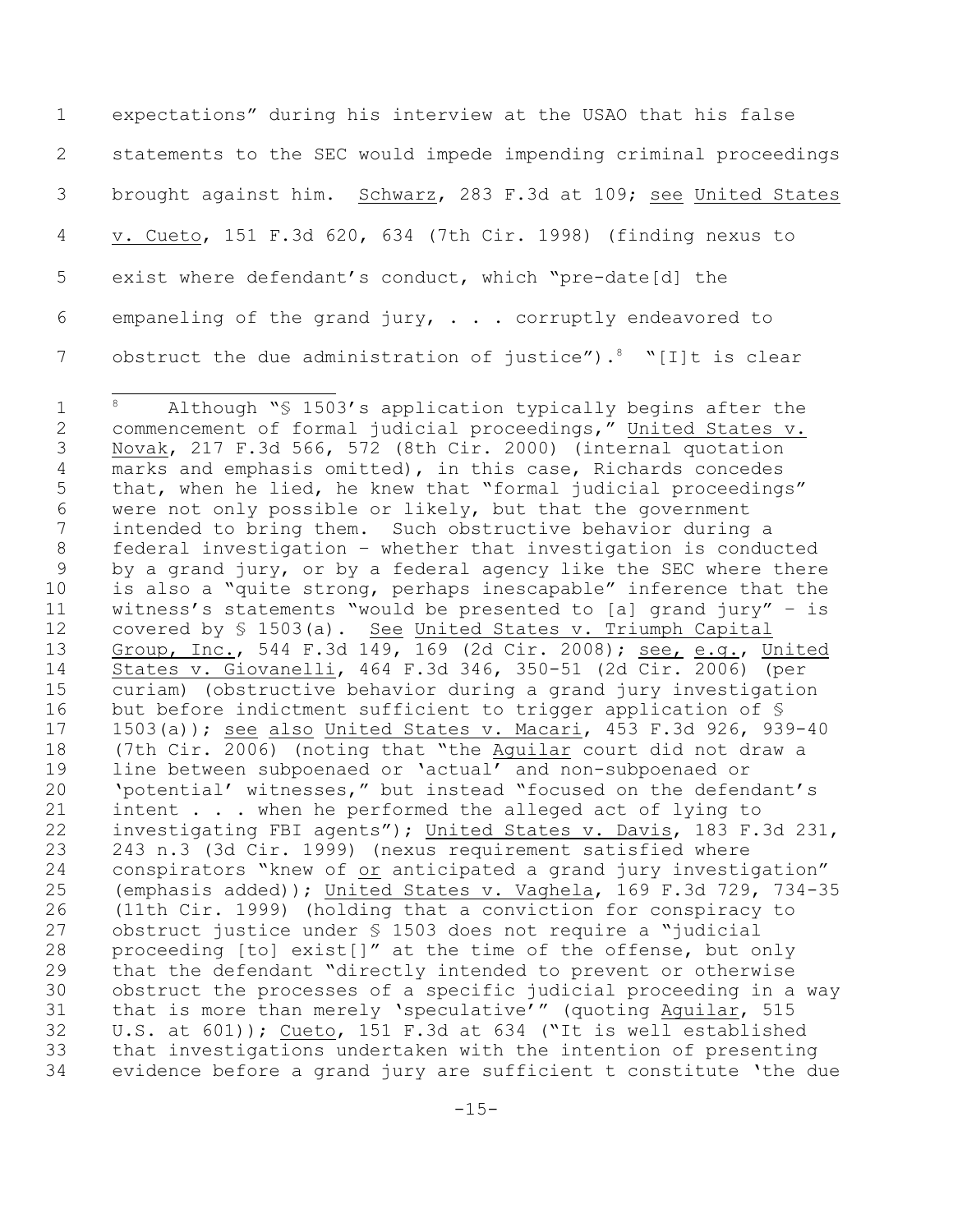expectations" during his interview at the USAO that his false statements to the SEC would impede impending criminal proceedings brought against him. Schwarz, 283 F.3d at 109; see United States v. Cueto, 151 F.3d 620, 634 (7th Cir. 1998) (finding nexus to exist where defendant's conduct, which "pre-date[d] the empaneling of the grand jury, . . . corruptly endeavored to 7 obstruct the due administration of justice"). "Ilt is clear

<sup>1 &</sup>lt;sup>8</sup> Although "§ 1503's application typically begins after the commencement of formal judicial proceedings," United States v. Novak, 217 F.3d 566, 572 (8th Cir. 2000) (internal quotation marks and emphasis omitted), in this case, Richards concedes that, when he lied, he knew that "formal judicial proceedings" were not only possible or likely, but that the government intended to bring them. Such obstructive behavior during a federal investigation – whether that investigation is conducted by a grand jury, or by a federal agency like the SEC where there is also a "quite strong, perhaps inescapable" inference that the witness's statements "would be presented to [a] grand jury" – is covered by § 1503(a). See United States v. Triumph Capital Group, Inc., 544 F.3d 149, 169 (2d Cir. 2008); see, e.g., United States v. Giovanelli, 464 F.3d 346, 350-51 (2d Cir. 2006) (per curiam) (obstructive behavior during a grand jury investigation 16 but before indictment sufficient to trigger application of § 1503(a)); see also United States v. Macari, 453 F.3d 926, 939-40 (7th Cir. 2006) (noting that "the Aguilar court did not draw a line between subpoenaed or 'actual' and non-subpoenaed or 'potential' witnesses," but instead "focused on the defendant's intent . . . when he performed the alleged act of lying to investigating FBI agents"); United States v. Davis, 183 F.3d 231, 243 n.3 (3d Cir. 1999) (nexus requirement satisfied where 24 conspirators "knew of <u>or</u> anticipated a grand jury investigation"<br>25 (emphasis added)); United States v. Vaghela, 169 F.3d 729, 734-3! (emphasis added)); United States v. Vaghela, 169 F.3d 729, 734-35 (11th Cir. 1999) (holding that a conviction for conspiracy to obstruct justice under § 1503 does not require a "judicial proceeding [to] exist[]" at the time of the offense, but only that the defendant "directly intended to prevent or otherwise obstruct the processes of a specific judicial proceeding in a way that is more than merely 'speculative'" (quoting Aguilar, 515 U.S. at 601)); Cueto, 151 F.3d at 634 ("It is well established that investigations undertaken with the intention of presenting evidence before a grand jury are sufficient t constitute 'the due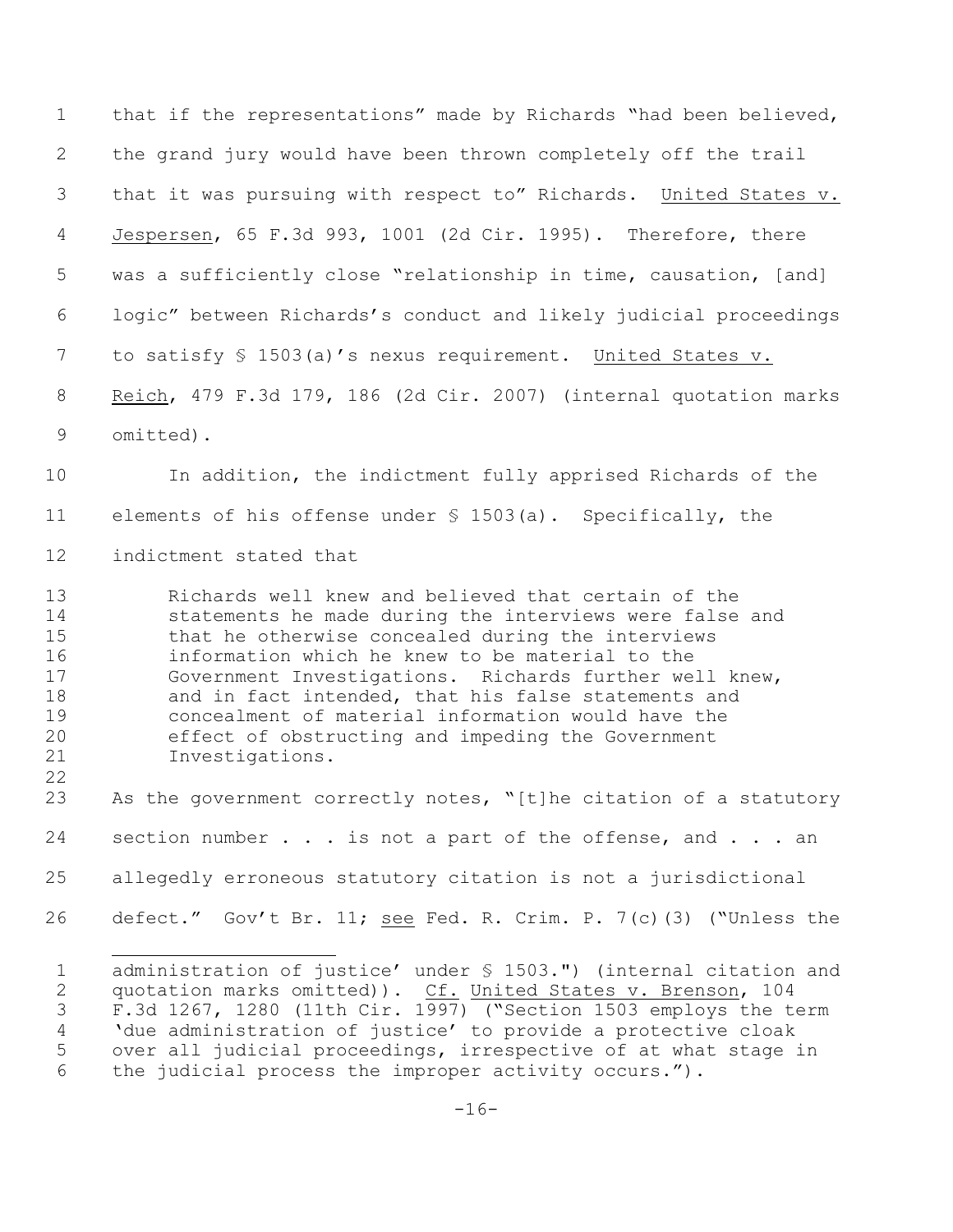that if the representations" made by Richards "had been believed, the grand jury would have been thrown completely off the trail that it was pursuing with respect to" Richards. United States v. Jespersen, 65 F.3d 993, 1001 (2d Cir. 1995). Therefore, there was a sufficiently close "relationship in time, causation, [and] logic" between Richards's conduct and likely judicial proceedings to satisfy § 1503(a)'s nexus requirement. United States v. Reich, 479 F.3d 179, 186 (2d Cir. 2007) (internal quotation marks omitted).

 In addition, the indictment fully apprised Richards of the elements of his offense under § 1503(a). Specifically, the indictment stated that

 Richards well knew and believed that certain of the statements he made during the interviews were false and that he otherwise concealed during the interviews information which he knew to be material to the Government Investigations. Richards further well knew, and in fact intended, that his false statements and concealment of material information would have the effect of obstructing and impeding the Government Investigations.

23 As the government correctly notes, "[t]he citation of a statutory 24 section number . . . is not a part of the offense, and . . . an allegedly erroneous statutory citation is not a jurisdictional 26 defect." Gov't Br. 11; see Fed. R. Crim. P. 7(c)(3) ("Unless the

 administration of justice' under § 1503.") (internal citation and quotation marks omitted)). Cf. United States v. Brenson, 104 E GREECH AND SAME COOL, 1997) (Section 1503 employs the term 'due administration of justice' to provide a protective cloak over all judicial proceedings, irrespective of at what stage in the judicial process the improper activity occurs.").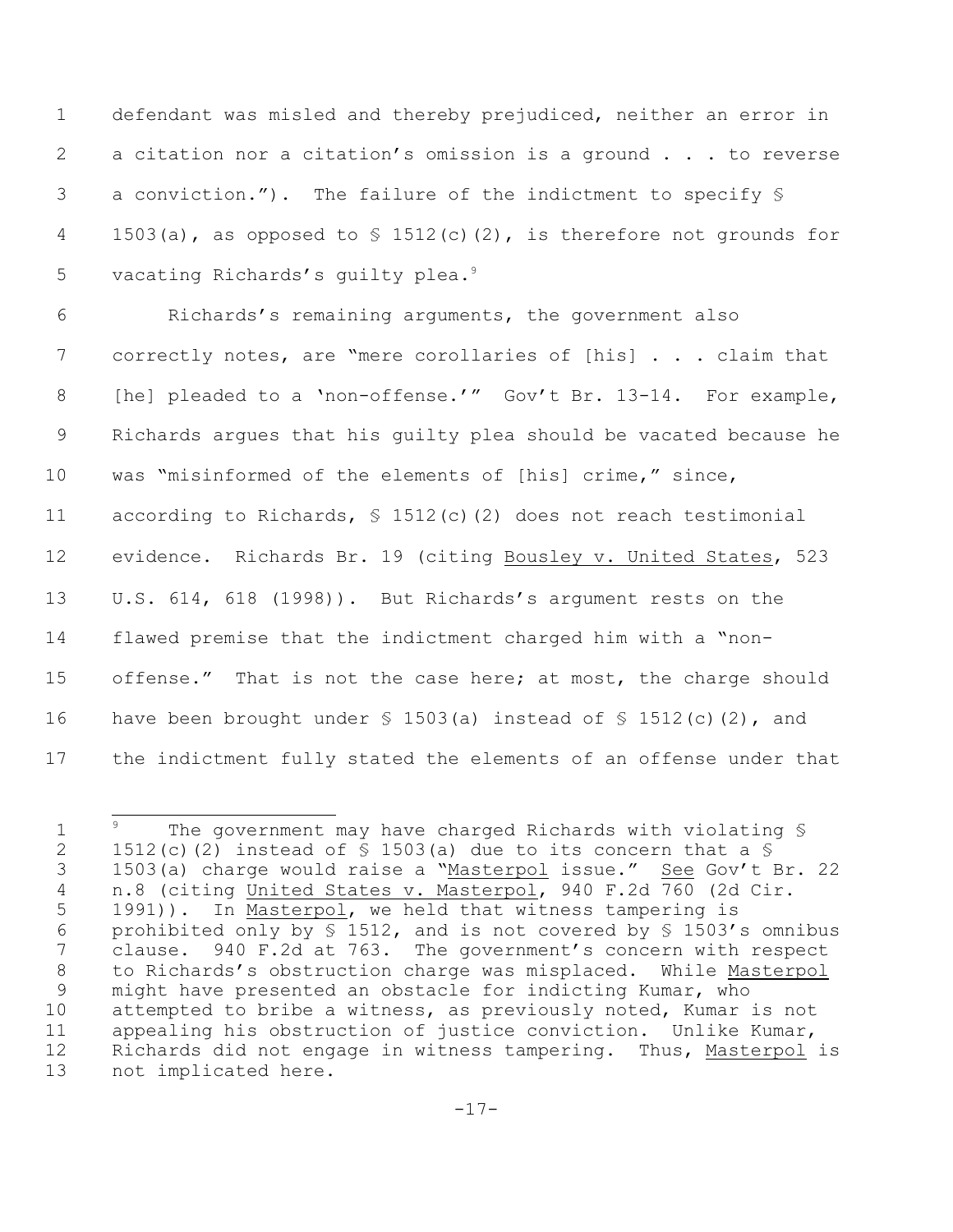defendant was misled and thereby prejudiced, neither an error in a citation nor a citation's omission is a ground . . . to reverse a conviction."). The failure of the indictment to specify § 4 1503(a), as opposed to  $\frac{1512(c)}{2}$ , is therefore not grounds for 5 vacating Richards's quilty plea.<sup>9</sup>

 Richards's remaining arguments, the government also 7 correctly notes, are "mere corollaries of [his] . . . claim that 8 [he] pleaded to a 'non-offense.'" Gov't Br. 13-14. For example, Richards argues that his guilty plea should be vacated because he was "misinformed of the elements of [his] crime," since, according to Richards, § 1512(c)(2) does not reach testimonial evidence.Richards Br. 19 (citing Bousley v. United States, 523 U.S. 614, 618 (1998)). But Richards's argument rests on the flawed premise that the indictment charged him with a "non- offense." That is not the case here; at most, the charge should 16 have been brought under  $\frac{1}{5}$  1503(a) instead of  $\frac{1}{5}$  1512(c)(2), and the indictment fully stated the elements of an offense under that

<sup>1</sup>  $3^9$  The government may have charged Richards with violating  $$$ 2 1512(c)(2) instead of  $\frac{1}{2}$  1503(a) due to its concern that a  $\frac{1}{2}$ 3 1503(a) charge would raise a "Masterpol issue." See Gov't Br. 22 n.8 (citing United States v. Masterpol, 940 F.2d 760 (2d Cir. 5 1991)). In Masterpol, we held that witness tampering is 6 prohibited only by  $\S$  1512, and is not covered by  $\S$  1503's omnibus clause. 940 F.2d at 763. The government's concern with respect to Richards's obstruction charge was misplaced. While Masterpol might have presented an obstacle for indicting Kumar, who attempted to bribe a witness, as previously noted, Kumar is not appealing his obstruction of justice conviction. Unlike Kumar, Richards did not engage in witness tampering. Thus, Masterpol is not implicated here.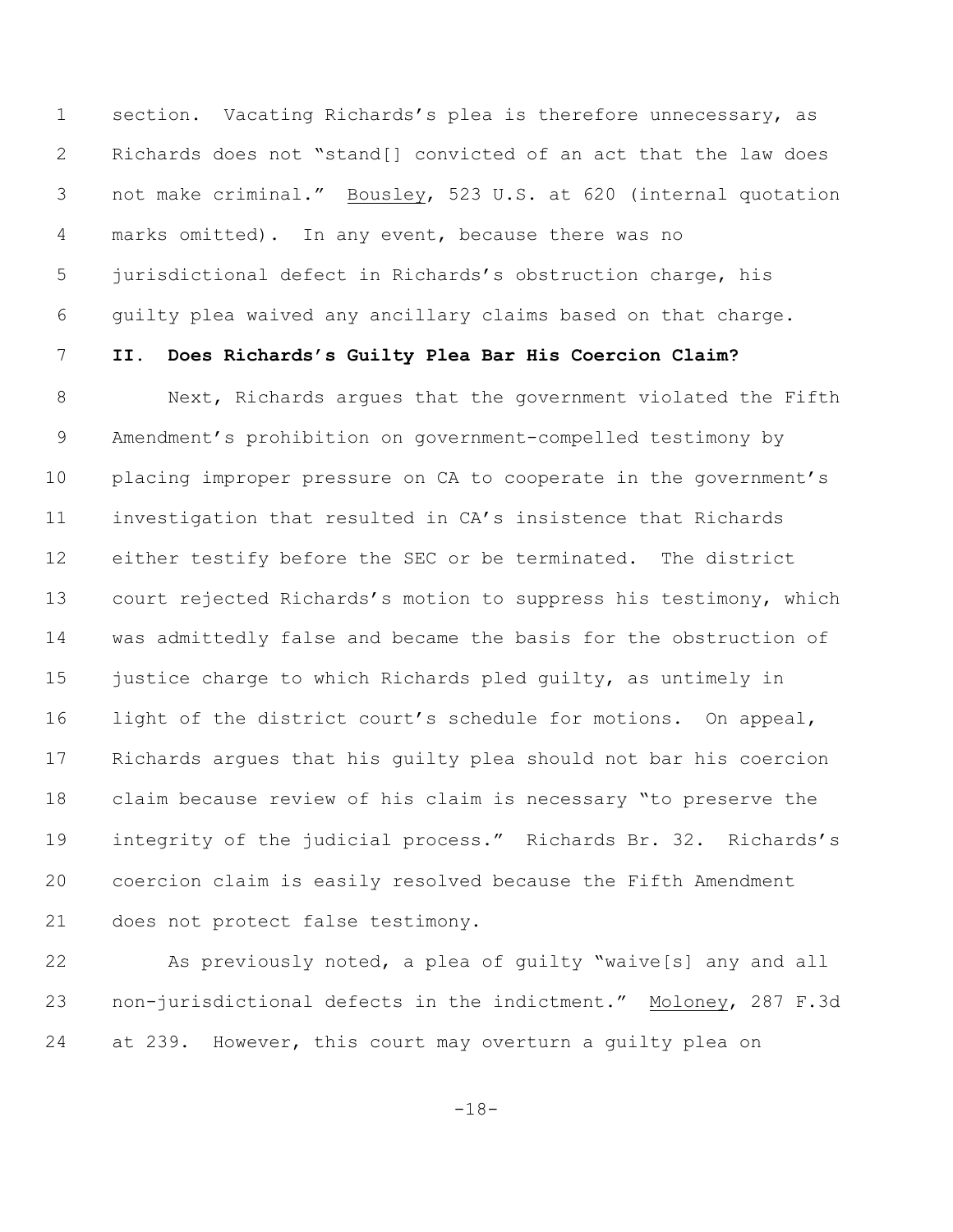section. Vacating Richards's plea is therefore unnecessary, as Richards does not "stand[] convicted of an act that the law does not make criminal." Bousley, 523 U.S. at 620 (internal quotation marks omitted). In any event, because there was no jurisdictional defect in Richards's obstruction charge, his guilty plea waived any ancillary claims based on that charge.

# **II. Does Richards's Guilty Plea Bar His Coercion Claim?**

8 Next, Richards arques that the government violated the Fifth Amendment's prohibition on government-compelled testimony by placing improper pressure on CA to cooperate in the government's investigation that resulted in CA's insistence that Richards either testify before the SEC or be terminated. The district court rejected Richards's motion to suppress his testimony, which was admittedly false and became the basis for the obstruction of 15 justice charge to which Richards pled quilty, as untimely in light of the district court's schedule for motions. On appeal, Richards argues that his guilty plea should not bar his coercion claim because review of his claim is necessary "to preserve the integrity of the judicial process." Richards Br. 32.Richards's coercion claim is easily resolved because the Fifth Amendment does not protect false testimony.

 As previously noted, a plea of guilty "waive[s] any and all non-jurisdictional defects in the indictment." Moloney, 287 F.3d at 239. However, this court may overturn a guilty plea on

-18-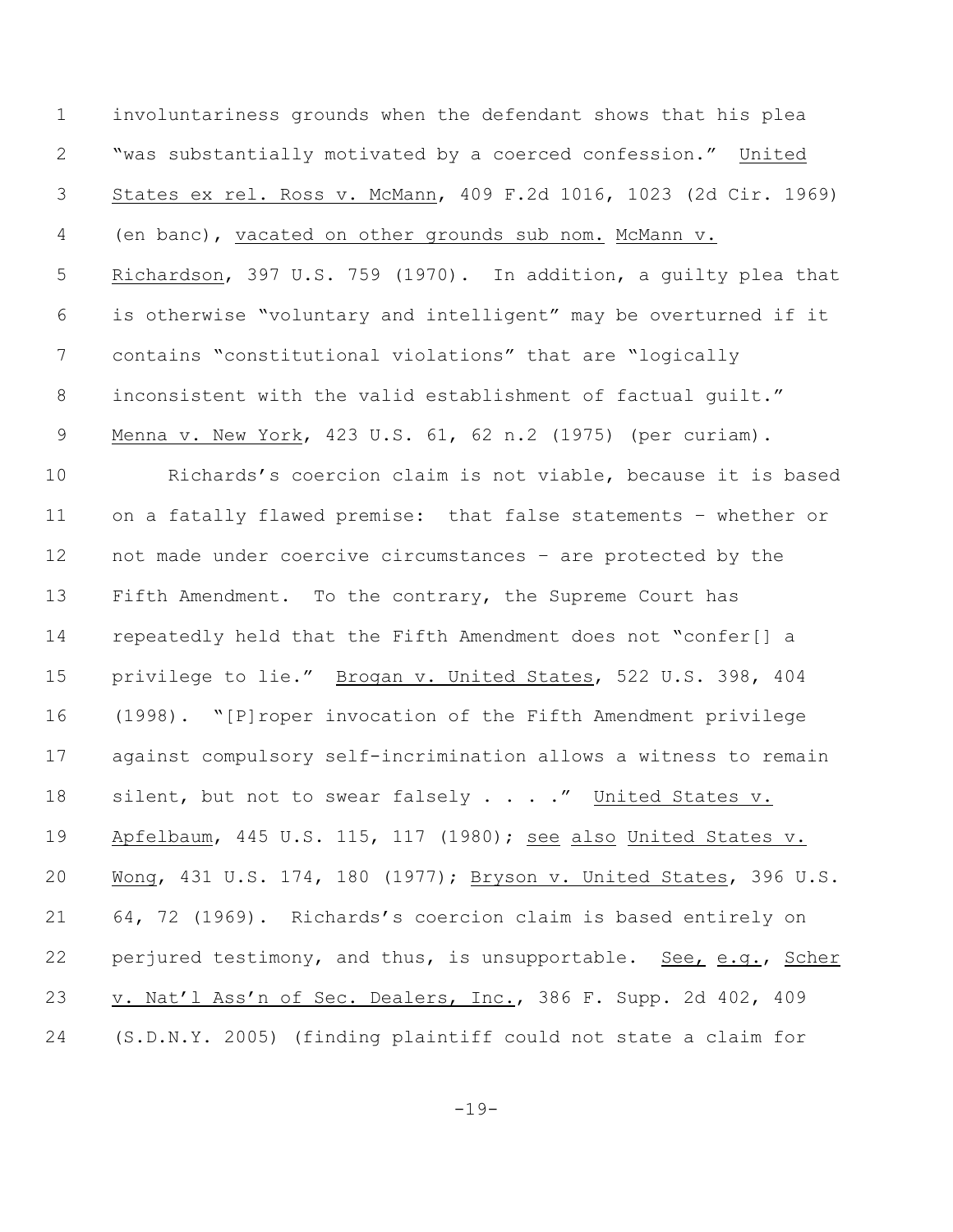involuntariness grounds when the defendant shows that his plea "was substantially motivated by a coerced confession." United States ex rel. Ross v. McMann, 409 F.2d 1016, 1023 (2d Cir. 1969) (en banc), vacated on other grounds sub nom. McMann v. Richardson, 397 U.S. 759 (1970). In addition, a guilty plea that is otherwise "voluntary and intelligent" may be overturned if it contains "constitutional violations" that are "logically inconsistent with the valid establishment of factual guilt." Menna v. New York, 423 U.S. 61, 62 n.2 (1975) (per curiam). Richards's coercion claim is not viable, because it is based on a fatally flawed premise: that false statements – whether or not made under coercive circumstances – are protected by the Fifth Amendment. To the contrary, the Supreme Court has repeatedly held that the Fifth Amendment does not "confer[] a privilege to lie." Brogan v. United States, 522 U.S. 398, 404 (1998). "[P]roper invocation of the Fifth Amendment privilege against compulsory self-incrimination allows a witness to remain 18 silent, but not to swear falsely . . . ." United States v. Apfelbaum, 445 U.S. 115, 117 (1980); see also United States v. Wong, 431 U.S. 174, 180 (1977); Bryson v. United States, 396 U.S. 64, 72 (1969). Richards's coercion claim is based entirely on perjured testimony, and thus, is unsupportable. See, e.g., Scher v. Nat'l Ass'n of Sec. Dealers, Inc., 386 F. Supp. 2d 402, 409 (S.D.N.Y. 2005) (finding plaintiff could not state a claim for

-19-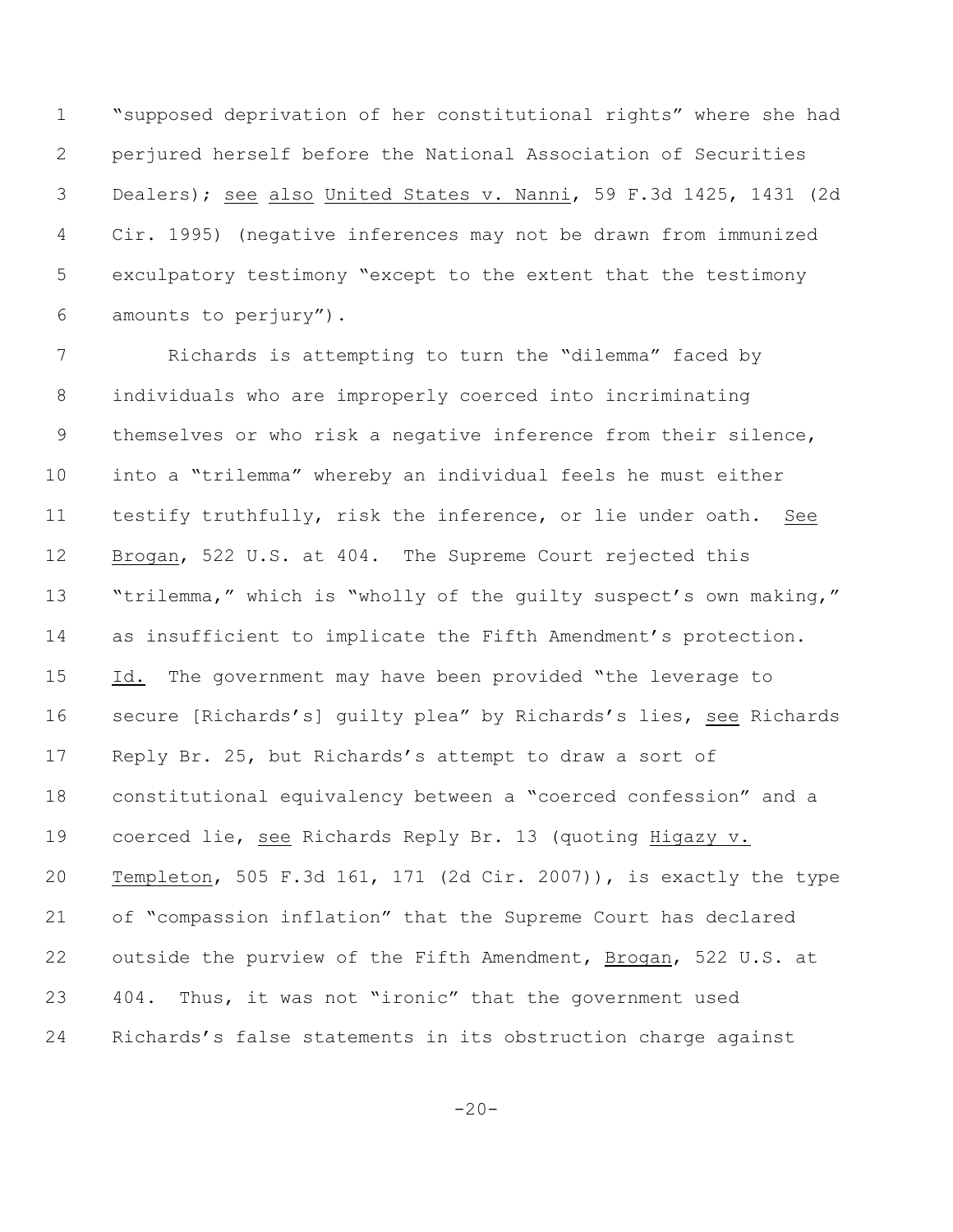"supposed deprivation of her constitutional rights" where she had perjured herself before the National Association of Securities Dealers); see also United States v. Nanni, 59 F.3d 1425, 1431 (2d Cir. 1995) (negative inferences may not be drawn from immunized exculpatory testimony "except to the extent that the testimony amounts to perjury").

 Richards is attempting to turn the "dilemma" faced by individuals who are improperly coerced into incriminating themselves or who risk a negative inference from their silence, into a "trilemma" whereby an individual feels he must either testify truthfully, risk the inference, or lie under oath. See Brogan, 522 U.S. at 404. The Supreme Court rejected this 13 "trilemma," which is "wholly of the quilty suspect's own making," as insufficient to implicate the Fifth Amendment's protection. 15 Id. The government may have been provided "the leverage to 16 secure [Richards's] quilty plea" by Richards's lies, see Richards Reply Br. 25, but Richards's attempt to draw a sort of constitutional equivalency between a "coerced confession" and a coerced lie, see Richards Reply Br. 13 (quoting Higazy v. Templeton, 505 F.3d 161, 171 (2d Cir. 2007)), is exactly the type of "compassion inflation" that the Supreme Court has declared outside the purview of the Fifth Amendment, Brogan, 522 U.S. at 404. Thus, it was not "ironic" that the government used Richards's false statements in its obstruction charge against

 $-20-$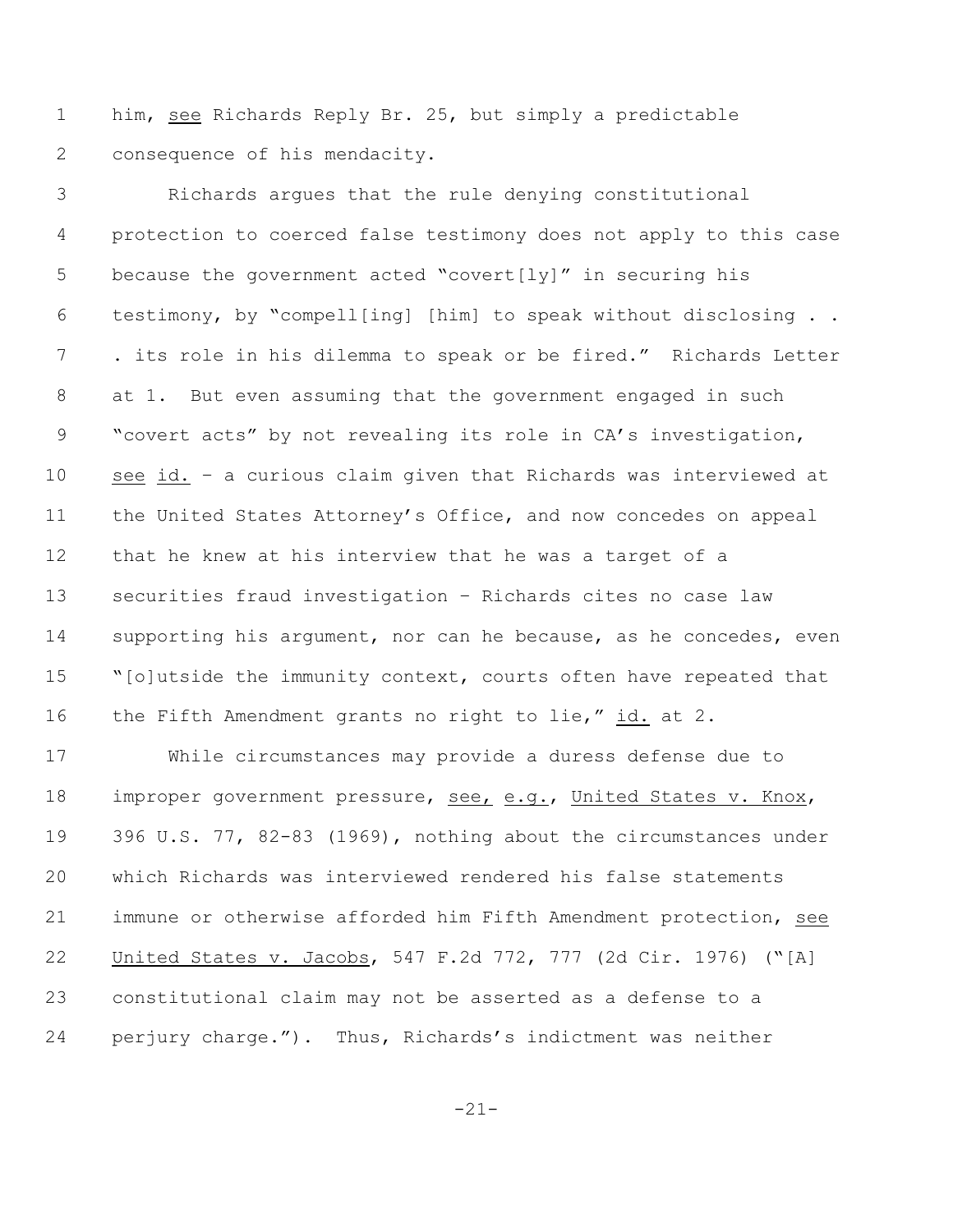him, see Richards Reply Br. 25, but simply a predictable consequence of his mendacity.

 Richards argues that the rule denying constitutional protection to coerced false testimony does not apply to this case 5 because the government acted "covert[ly]" in securing his testimony, by "compell[ing] [him] to speak without disclosing . . 7 . its role in his dilemma to speak or be fired." Richards Letter at 1. But even assuming that the government engaged in such "covert acts" by not revealing its role in CA's investigation, see id. – a curious claim given that Richards was interviewed at the United States Attorney's Office, and now concedes on appeal that he knew at his interview that he was a target of a securities fraud investigation – Richards cites no case law 14 supporting his argument, nor can he because, as he concedes, even 15 "[o]utside the immunity context, courts often have repeated that the Fifth Amendment grants no right to lie," id. at 2.

 While circumstances may provide a duress defense due to improper government pressure, see, e.g., United States v. Knox, 396 U.S. 77, 82-83 (1969), nothing about the circumstances under which Richards was interviewed rendered his false statements immune or otherwise afforded him Fifth Amendment protection, see United States v. Jacobs, 547 F.2d 772, 777 (2d Cir. 1976) ("[A] constitutional claim may not be asserted as a defense to a perjury charge."). Thus, Richards's indictment was neither

-21-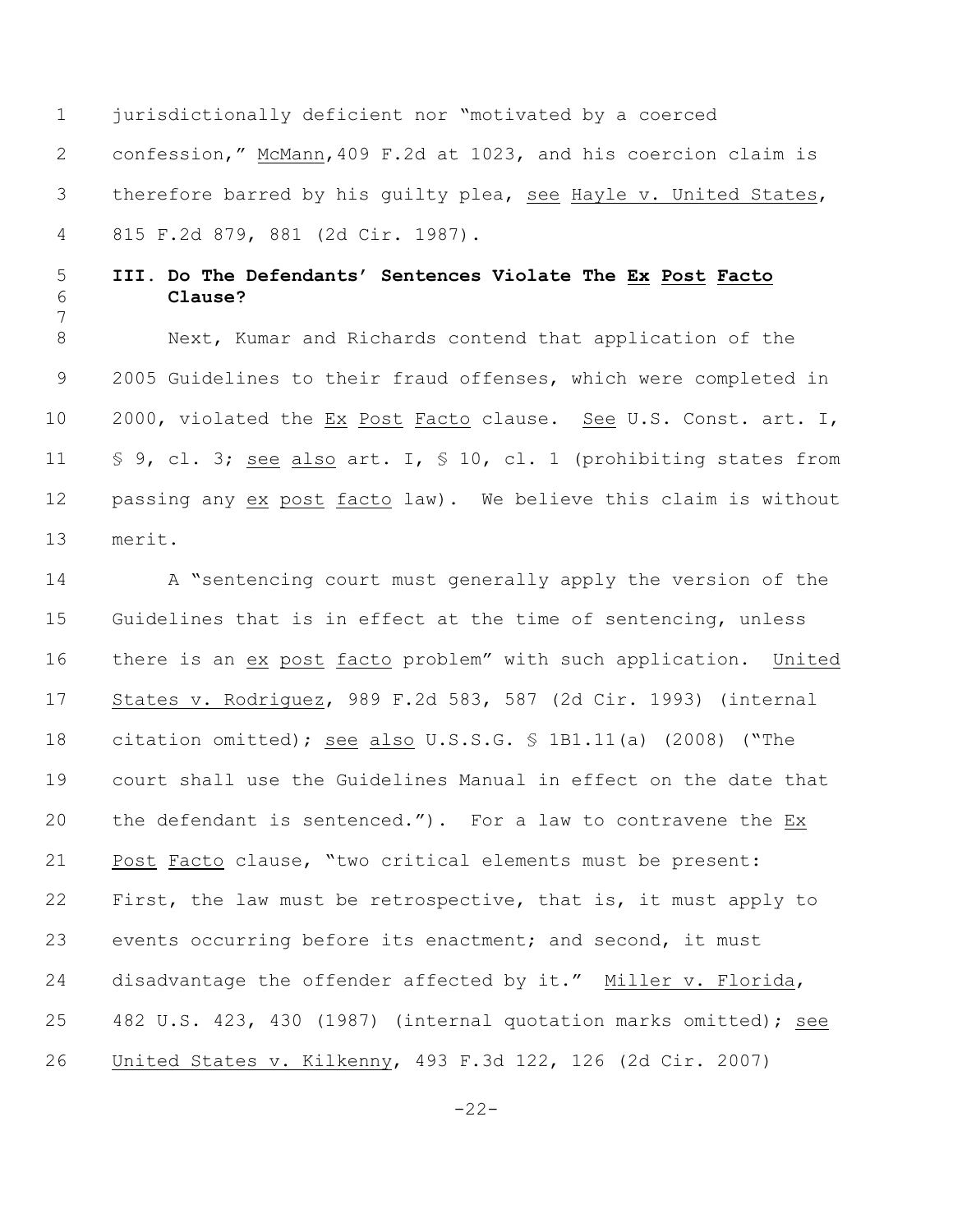jurisdictionally deficient nor "motivated by a coerced confession," McMann,409 F.2d at 1023, and his coercion claim is therefore barred by his guilty plea, see Hayle v. United States, 815 F.2d 879, 881 (2d Cir. 1987).

## **III. Do The Defendants' Sentences Violate The Ex Post Facto Clause?**

 Next, Kumar and Richards contend that application of the 2005 Guidelines to their fraud offenses, which were completed in 2000, violated the Ex Post Facto clause. See U.S. Const. art. I, 11 § 9, cl. 3; see also art. I, § 10, cl. 1 (prohibiting states from passing any ex post facto law). We believe this claim is without merit.

14 A "sentencing court must generally apply the version of the Guidelines that is in effect at the time of sentencing, unless there is an ex post facto problem" with such application. United States v. Rodriguez, 989 F.2d 583, 587 (2d Cir. 1993) (internal citation omitted); see also U.S.S.G. § 1B1.11(a) (2008) ("The court shall use the Guidelines Manual in effect on the date that the defendant is sentenced."). For a law to contravene the Ex Post Facto clause, "two critical elements must be present: First, the law must be retrospective, that is, it must apply to events occurring before its enactment; and second, it must disadvantage the offender affected by it." Miller v. Florida, 482 U.S. 423, 430 (1987) (internal quotation marks omitted); see United States v. Kilkenny, 493 F.3d 122, 126 (2d Cir. 2007)

-22-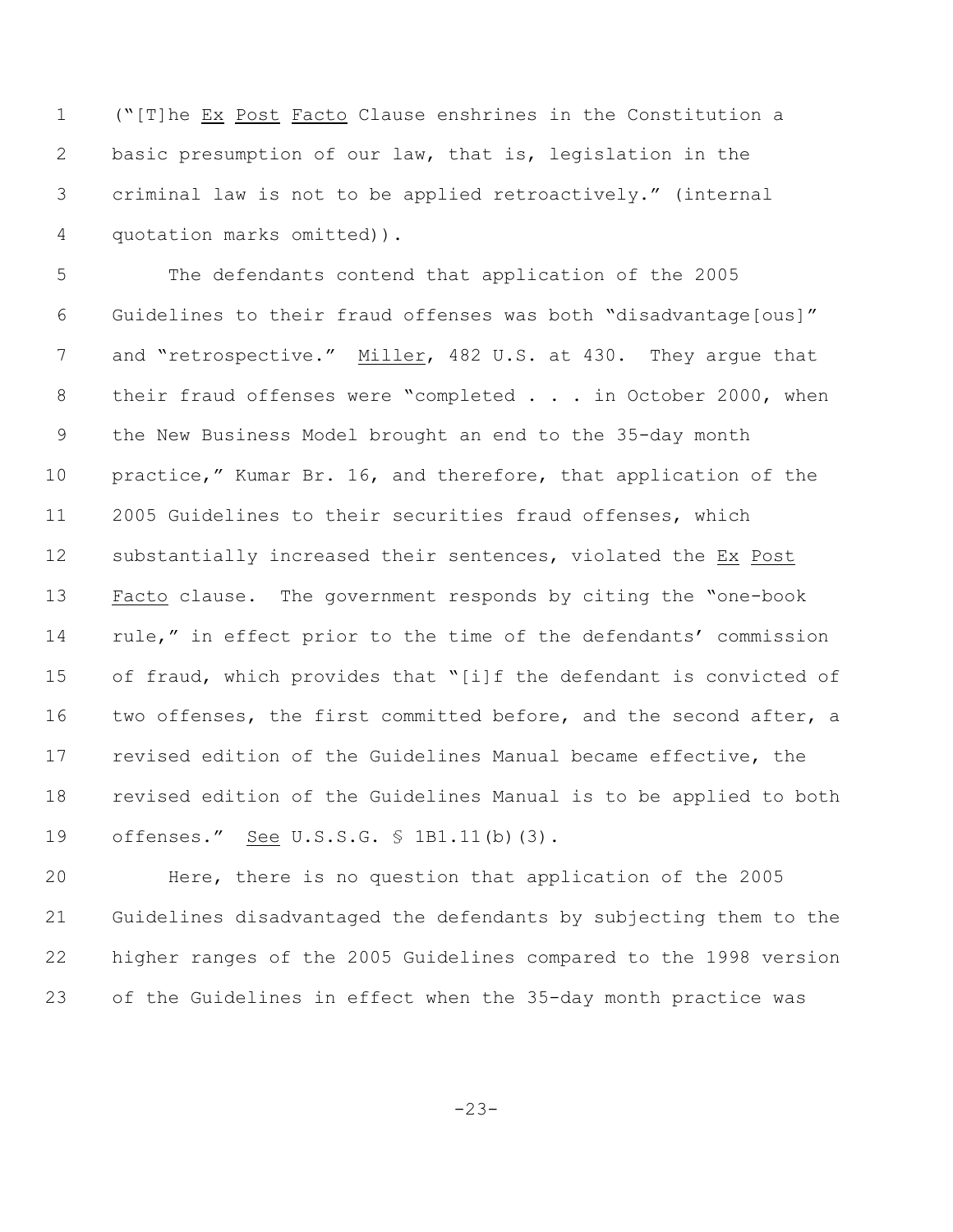("[T]he Ex Post Facto Clause enshrines in the Constitution a basic presumption of our law, that is, legislation in the criminal law is not to be applied retroactively." (internal quotation marks omitted)).

 The defendants contend that application of the 2005 Guidelines to their fraud offenses was both "disadvantage[ous]" 7 and "retrospective." Miller, 482 U.S. at 430. They argue that 8 their fraud offenses were "completed . . . in October 2000, when the New Business Model brought an end to the 35-day month practice," Kumar Br. 16, and therefore, that application of the 2005 Guidelines to their securities fraud offenses, which substantially increased their sentences, violated the Ex Post Facto clause. The government responds by citing the "one-book rule," in effect prior to the time of the defendants' commission of fraud, which provides that "[i]f the defendant is convicted of 16 two offenses, the first committed before, and the second after, a revised edition of the Guidelines Manual became effective, the revised edition of the Guidelines Manual is to be applied to both 19 offenses." See U.S.S.G. § 1B1.11(b)(3).

 Here, there is no question that application of the 2005 Guidelines disadvantaged the defendants by subjecting them to the higher ranges of the 2005 Guidelines compared to the 1998 version of the Guidelines in effect when the 35-day month practice was

-23-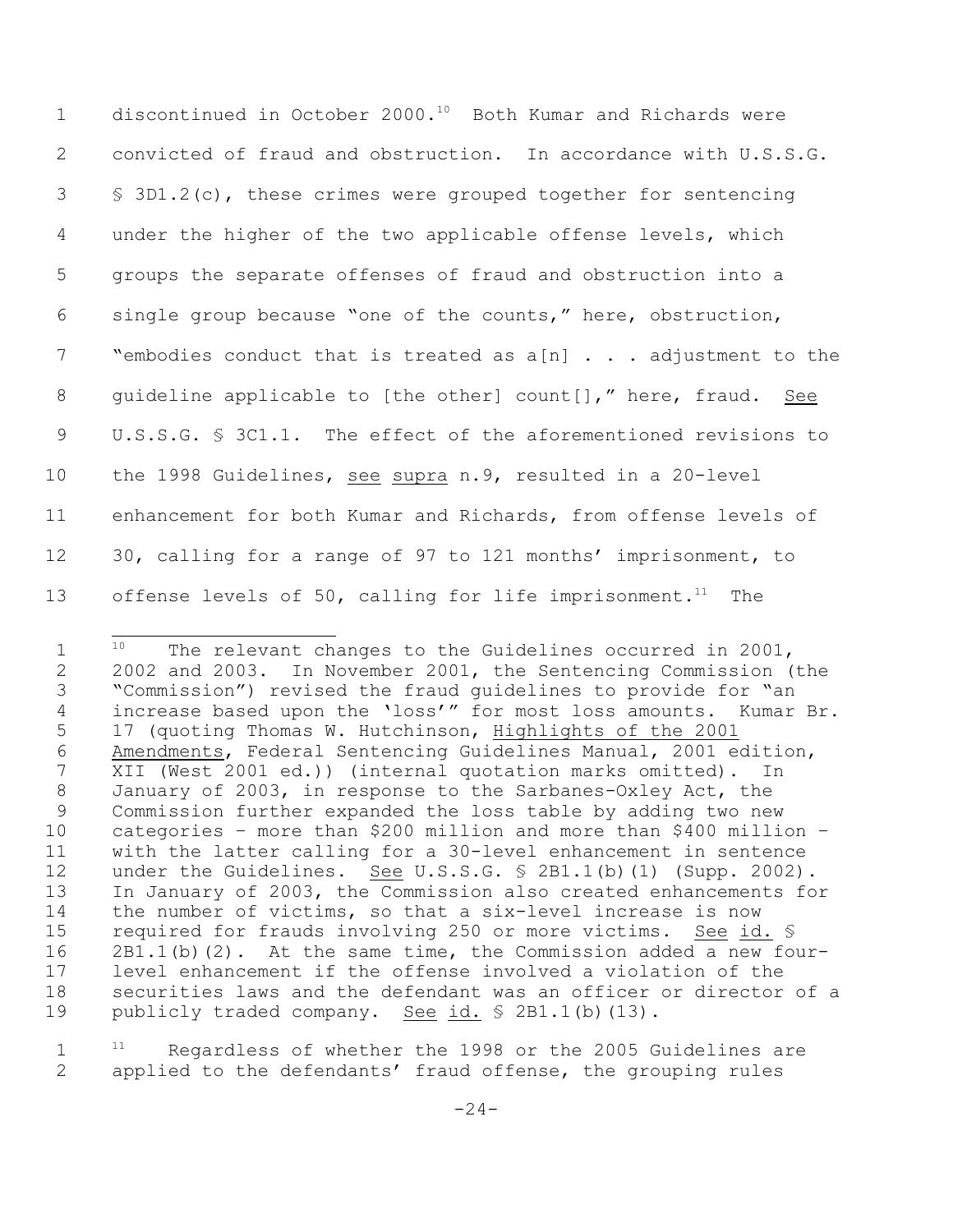| $\mathbf 1$ | discontinued in October 2000. <sup>10</sup> Both Kumar and Richards were |
|-------------|--------------------------------------------------------------------------|
| 2           | convicted of fraud and obstruction. In accordance with U.S.S.G.          |
| 3           | $\$$ 3D1.2(c), these crimes were grouped together for sentencing         |
| 4           | under the higher of the two applicable offense levels, which             |
| 5           | groups the separate offenses of fraud and obstruction into a             |
| 6           | single group because "one of the counts," here, obstruction,             |
| 7           | "embodies conduct that is treated as $a[n]$ adjustment to the            |
| 8           | quideline applicable to [the other] count[]," here, fraud. See           |
| 9           | U.S.S.G. § 3C1.1. The effect of the aforementioned revisions to          |
| 10          | the 1998 Guidelines, see supra n.9, resulted in a 20-level               |
| 11          | enhancement for both Kumar and Richards, from offense levels of          |
| 12          | 30, calling for a range of 97 to 121 months' imprisonment, to            |
| 13          | offense levels of 50, calling for life imprisonment. <sup>11</sup> The   |

 $1^{10}$  The relevant changes to the Guidelines occurred in 2001, 2002 and 2003. In November 2001, the Sentencing Commission (the "Commission") revised the fraud guidelines to provide for "an increase based upon the 'loss'" for most loss amounts. Kumar Br. 17 (quoting Thomas W. Hutchinson, Highlights of the 2001 6 Amendments, Federal Sentencing Guidelines Manual, 2001 edition,<br>7 XII (West 2001 ed.)) (internal quotation marks omitted). In XII (West 2001 ed.)) (internal quotation marks omitted). In January of 2003, in response to the Sarbanes-Oxley Act, the Commission further expanded the loss table by adding two new categories – more than \$200 million and more than \$400 million – with the latter calling for a 30-level enhancement in sentence under the Guidelines. See U.S.S.G. § 2B1.1(b)(1) (Supp. 2002). In January of 2003, the Commission also created enhancements for the number of victims, so that a six-level increase is now required for frauds involving 250 or more victims. See id. § 2B1.1(b)(2). At the same time, the Commission added a new four- level enhancement if the offense involved a violation of the securities laws and the defendant was an officer or director of a 19 publicly traded company. See id. § 2B1.1(b)(13).

  $11$  Regardless of whether the 1998 or the 2005 Guidelines are applied to the defendants' fraud offense, the grouping rules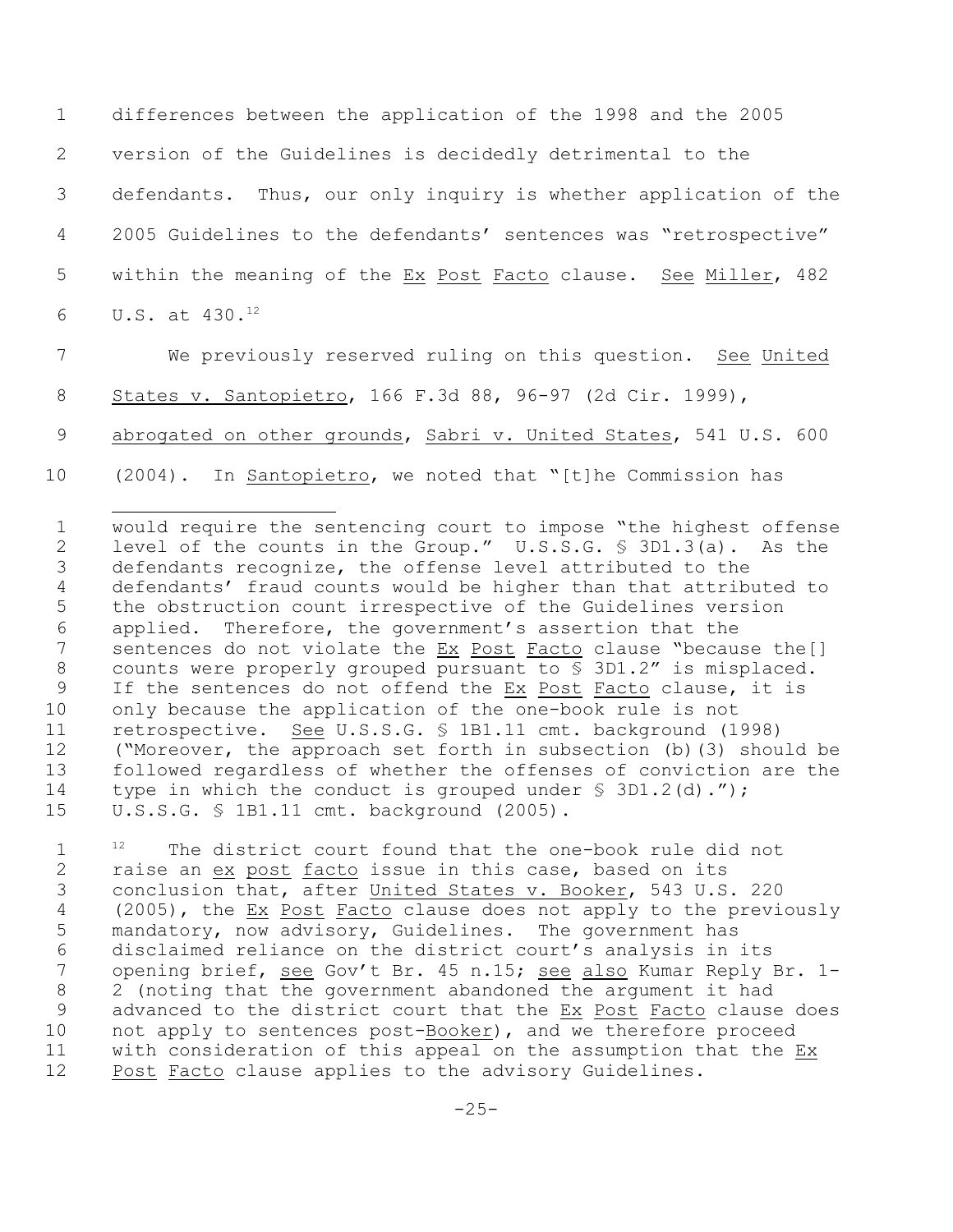differences between the application of the 1998 and the 2005 version of the Guidelines is decidedly detrimental to the defendants. Thus, our only inquiry is whether application of the 2005 Guidelines to the defendants' sentences was "retrospective" within the meaning of the Ex Post Facto clause. See Miller, 482 6 U.S. at  $430.^{12}$ 

 We previously reserved ruling on this question. See United States v. Santopietro, 166 F.3d 88, 96-97 (2d Cir. 1999),

9 abrogated on other grounds, Sabri v. United States, 541 U.S. 600

(2004). In Santopietro, we noted that "[t]he Commission has

 would require the sentencing court to impose "the highest offense level of the counts in the Group." U.S.S.G. § 3D1.3(a). As the defendants recognize, the offense level attributed to the defendants' fraud counts would be higher than that attributed to the obstruction count irrespective of the Guidelines version applied.Therefore, the government's assertion that the 7 sentences do not violate the Ex Post Facto clause "because the[] counts were properly grouped pursuant to § 3D1.2" is misplaced. If the sentences do not offend the Ex Post Facto clause, it is only because the application of the one-book rule is not 11 retrospective. See U.S.S.G. § 1B1.11 cmt. background (1998) ("Moreover, the approach set forth in subsection (b)(3) should be followed regardless of whether the offenses of conviction are the 14 type in which the conduct is grouped under § 3D1.2(d)."); U.S.S.G. § 1B1.11 cmt. background (2005).

  $1^2$  The district court found that the one-book rule did not 2 raise an ex post facto issue in this case, based on its conclusion that, after United States v. Booker, 543 U.S. 220 (2005), the Ex Post Facto clause does not apply to the previously mandatory, now advisory, Guidelines. The government has disclaimed reliance on the district court's analysis in its opening brief, see Gov't Br. 45 n.15; see also Kumar Reply Br. 1- 2 (noting that the government abandoned the argument it had 9 advanced to the district court that the Ex Post Facto clause does not apply to sentences post-Booker), and we therefore proceed with consideration of this appeal on the assumption that the Ex Post Facto clause applies to the advisory Guidelines.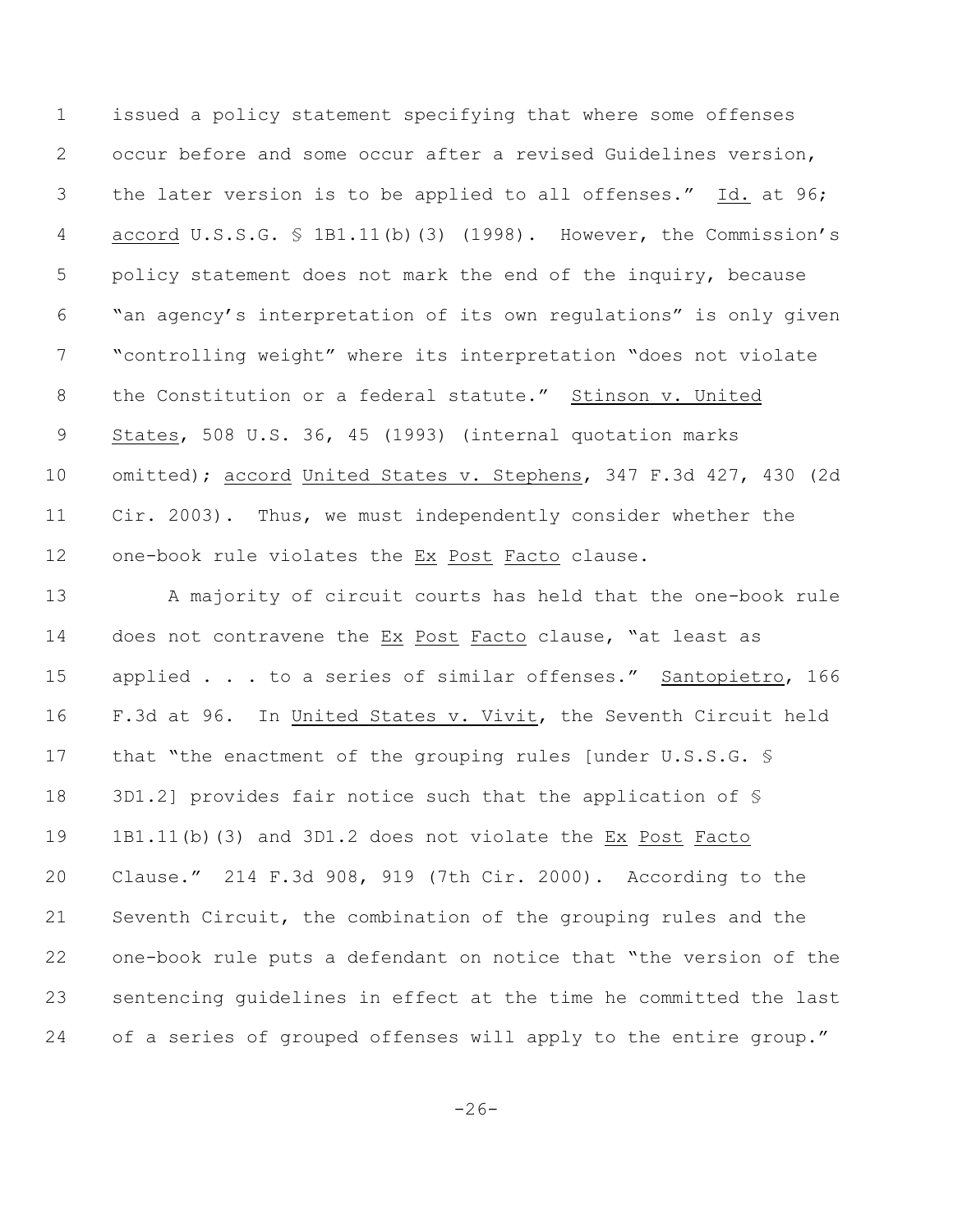issued a policy statement specifying that where some offenses occur before and some occur after a revised Guidelines version, the later version is to be applied to all offenses." Id. at 96; accord U.S.S.G. § 1B1.11(b)(3) (1998). However, the Commission's policy statement does not mark the end of the inquiry, because "an agency's interpretation of its own regulations" is only given "controlling weight" where its interpretation "does not violate the Constitution or a federal statute." Stinson v. United States, 508 U.S. 36, 45 (1993) (internal quotation marks omitted); accord United States v. Stephens, 347 F.3d 427, 430 (2d Cir. 2003). Thus, we must independently consider whether the one-book rule violates the Ex Post Facto clause.

13 A majority of circuit courts has held that the one-book rule does not contravene the Ex Post Facto clause, "at least as 15 applied . . . to a series of similar offenses." Santopietro, 166 F.3d at 96. In United States v. Vivit, the Seventh Circuit held that "the enactment of the grouping rules [under U.S.S.G. § 3D1.2] provides fair notice such that the application of § 1B1.11(b)(3) and 3D1.2 does not violate the Ex Post Facto Clause." 214 F.3d 908, 919 (7th Cir. 2000). According to the Seventh Circuit, the combination of the grouping rules and the one-book rule puts a defendant on notice that "the version of the sentencing guidelines in effect at the time he committed the last 24 of a series of grouped offenses will apply to the entire group."

 $-26-$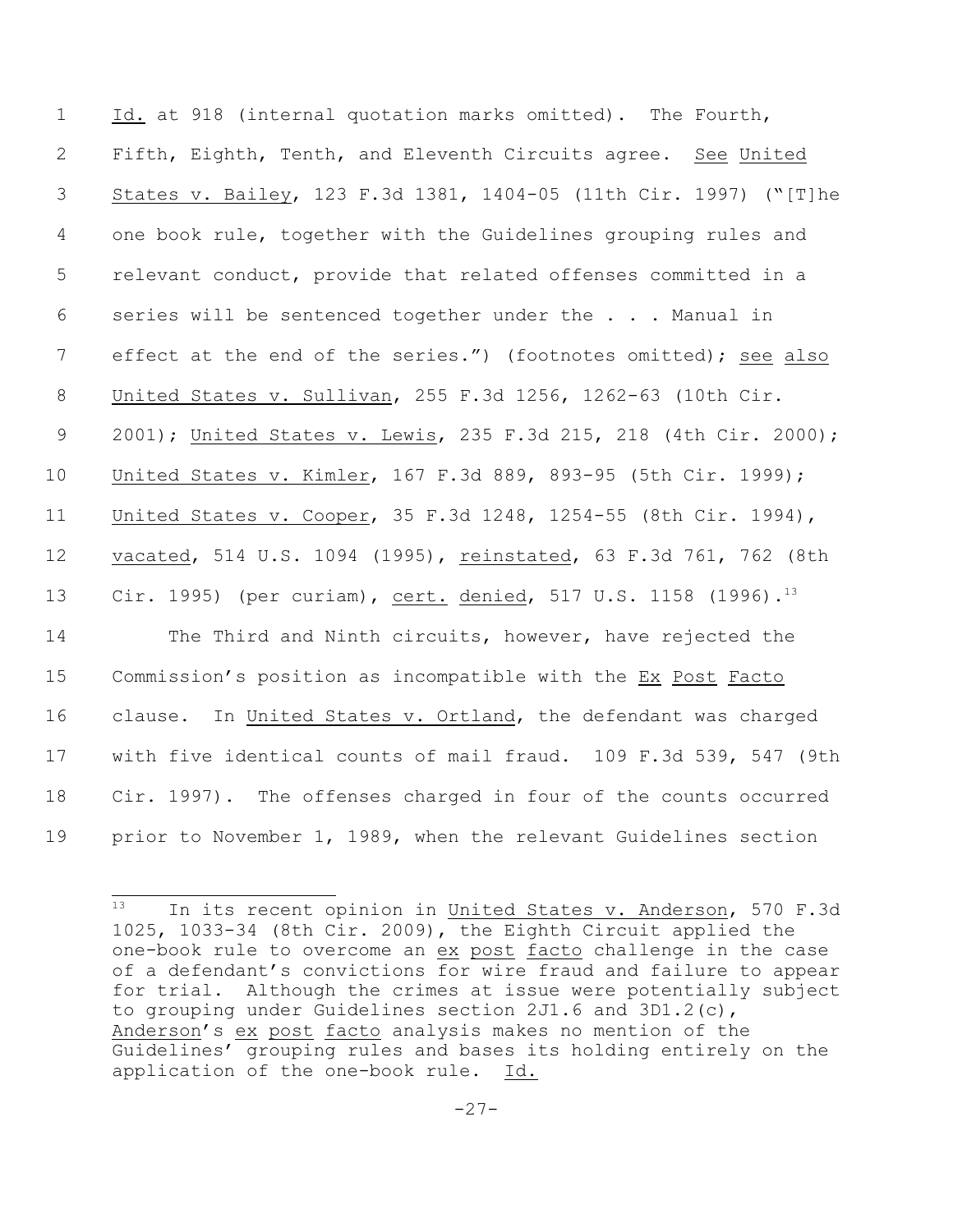Id. at 918 (internal quotation marks omitted). The Fourth, Fifth, Eighth, Tenth, and Eleventh Circuits agree. See United States v. Bailey, 123 F.3d 1381, 1404-05 (11th Cir. 1997) ("[T]he one book rule, together with the Guidelines grouping rules and relevant conduct, provide that related offenses committed in a series will be sentenced together under the . . . Manual in 7 effect at the end of the series.") (footnotes omitted); see also United States v. Sullivan, 255 F.3d 1256, 1262-63 (10th Cir. 2001); United States v. Lewis, 235 F.3d 215, 218 (4th Cir. 2000); United States v. Kimler, 167 F.3d 889, 893-95 (5th Cir. 1999); United States v. Cooper, 35 F.3d 1248, 1254-55 (8th Cir. 1994), vacated, 514 U.S. 1094 (1995), reinstated, 63 F.3d 761, 762 (8th Cir. 1995) (per curiam), cert. denied, 517 U.S. 1158 (1996).<sup>13</sup> The Third and Ninth circuits, however, have rejected the 15 Commission's position as incompatible with the Ex Post Facto clause. In United States v. Ortland, the defendant was charged with five identical counts of mail fraud. 109 F.3d 539, 547 (9th Cir. 1997). The offenses charged in four of the counts occurred prior to November 1, 1989, when the relevant Guidelines section

 In its recent opinion in United States v. Anderson, 570 F.3d 1025, 1033-34 (8th Cir. 2009), the Eighth Circuit applied the one-book rule to overcome an ex post facto challenge in the case of a defendant's convictions for wire fraud and failure to appear for trial. Although the crimes at issue were potentially subject to grouping under Guidelines section 2J1.6 and 3D1.2(c), Anderson's ex post facto analysis makes no mention of the Guidelines' grouping rules and bases its holding entirely on the application of the one-book rule. Id.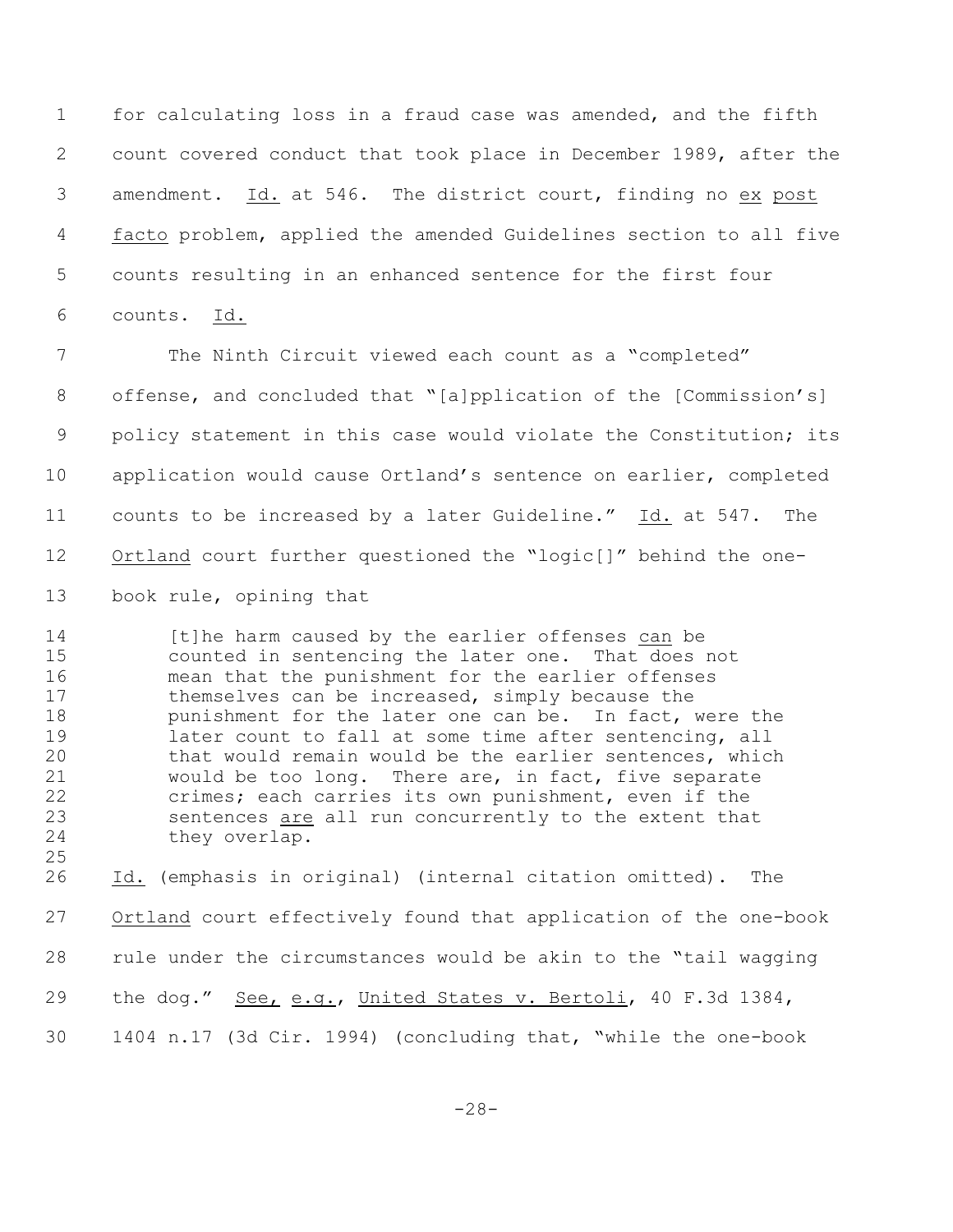for calculating loss in a fraud case was amended, and the fifth count covered conduct that took place in December 1989, after the amendment. Id. at 546. The district court, finding no ex post facto problem, applied the amended Guidelines section to all five counts resulting in an enhanced sentence for the first four counts. Id.

 The Ninth Circuit viewed each count as a "completed" offense, and concluded that "[a]pplication of the [Commission's] 9 policy statement in this case would violate the Constitution; its application would cause Ortland's sentence on earlier, completed counts to be increased by a later Guideline." Id. at 547. The Ortland court further questioned the "logic[]" behind the one-book rule, opining that

14 [t]he harm caused by the earlier offenses can be counted in sentencing the later one. That does not mean that the punishment for the earlier offenses 17 themselves can be increased, simply because the **punishment for the later one can be.** In fact, were the later count to fall at some time after sentencing, all that would remain would be the earlier sentences, which would be too long. There are, in fact, five separate crimes; each carries its own punishment, even if the sentences are all run concurrently to the extent that they overlap.

 Id. (emphasis in original) (internal citation omitted). The Ortland court effectively found that application of the one-book rule under the circumstances would be akin to the "tail wagging 29 the dog." <u>See, e.g.</u>, United States v. Bertoli, 40 F.3d 1384, 1404 n.17 (3d Cir. 1994) (concluding that, "while the one-book

-28-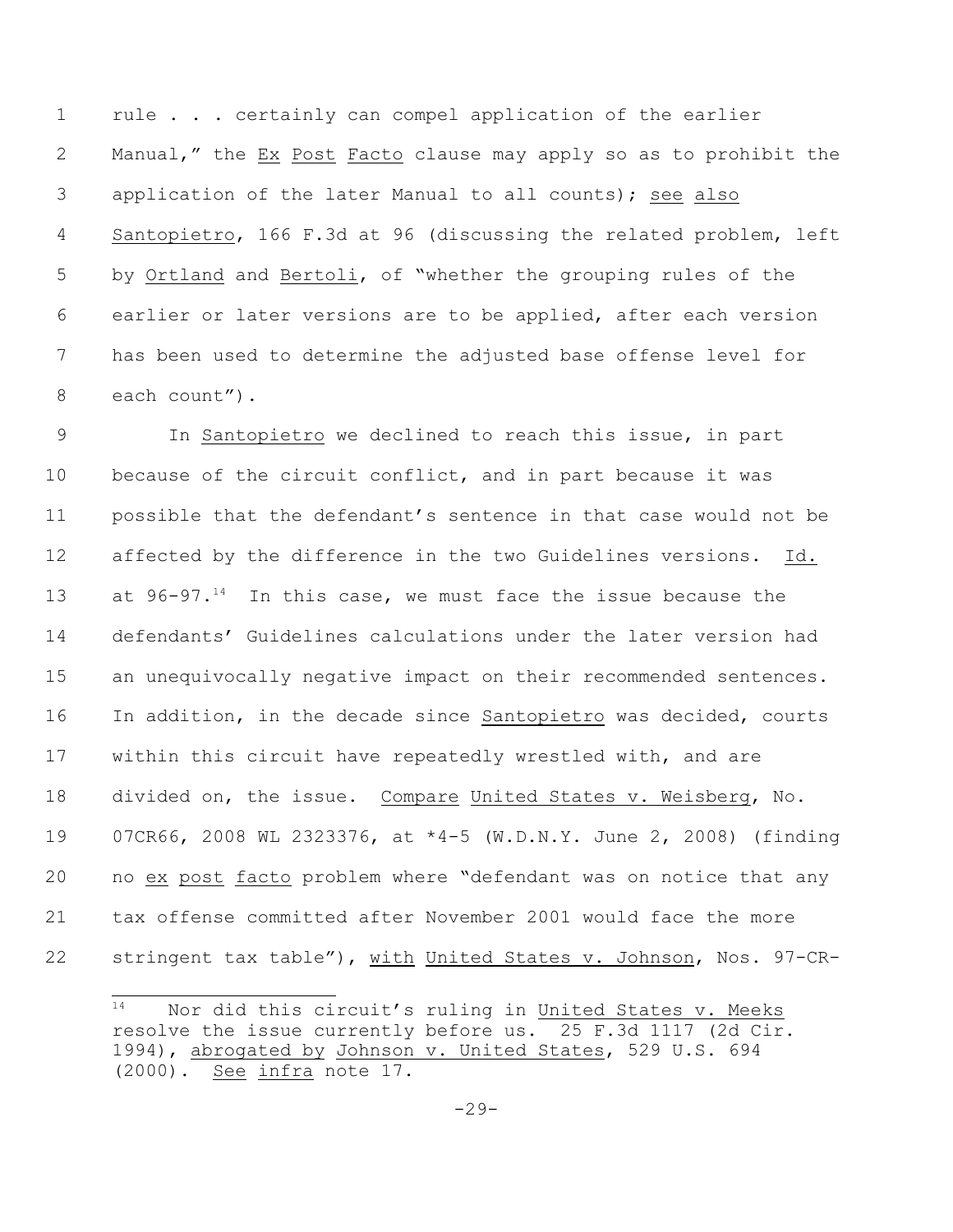rule . . . certainly can compel application of the earlier Manual," the Ex Post Facto clause may apply so as to prohibit the application of the later Manual to all counts); see also Santopietro, 166 F.3d at 96 (discussing the related problem, left by Ortland and Bertoli, of "whether the grouping rules of the earlier or later versions are to be applied, after each version has been used to determine the adjusted base offense level for each count").

 In Santopietro we declined to reach this issue, in part because of the circuit conflict, and in part because it was possible that the defendant's sentence in that case would not be affected by the difference in the two Guidelines versions. Id. 13 at  $96-97.^{14}$  In this case, we must face the issue because the defendants' Guidelines calculations under the later version had 15 an unequivocally negative impact on their recommended sentences. In addition, in the decade since Santopietro was decided, courts within this circuit have repeatedly wrestled with, and are divided on, the issue. Compare United States v. Weisberg, No. 07CR66, 2008 WL 2323376, at \*4-5 (W.D.N.Y. June 2, 2008) (finding no ex post facto problem where "defendant was on notice that any tax offense committed after November 2001 would face the more 22 stringent tax table"), with United States v. Johnson, Nos. 97-CR-

 Nor did this circuit's ruling in United States v. Meeks resolve the issue currently before us. 25 F.3d 1117 (2d Cir. 1994), abrogated by Johnson v. United States, 529 U.S. 694  $(2000)$ . See infra note  $\overline{17}$ .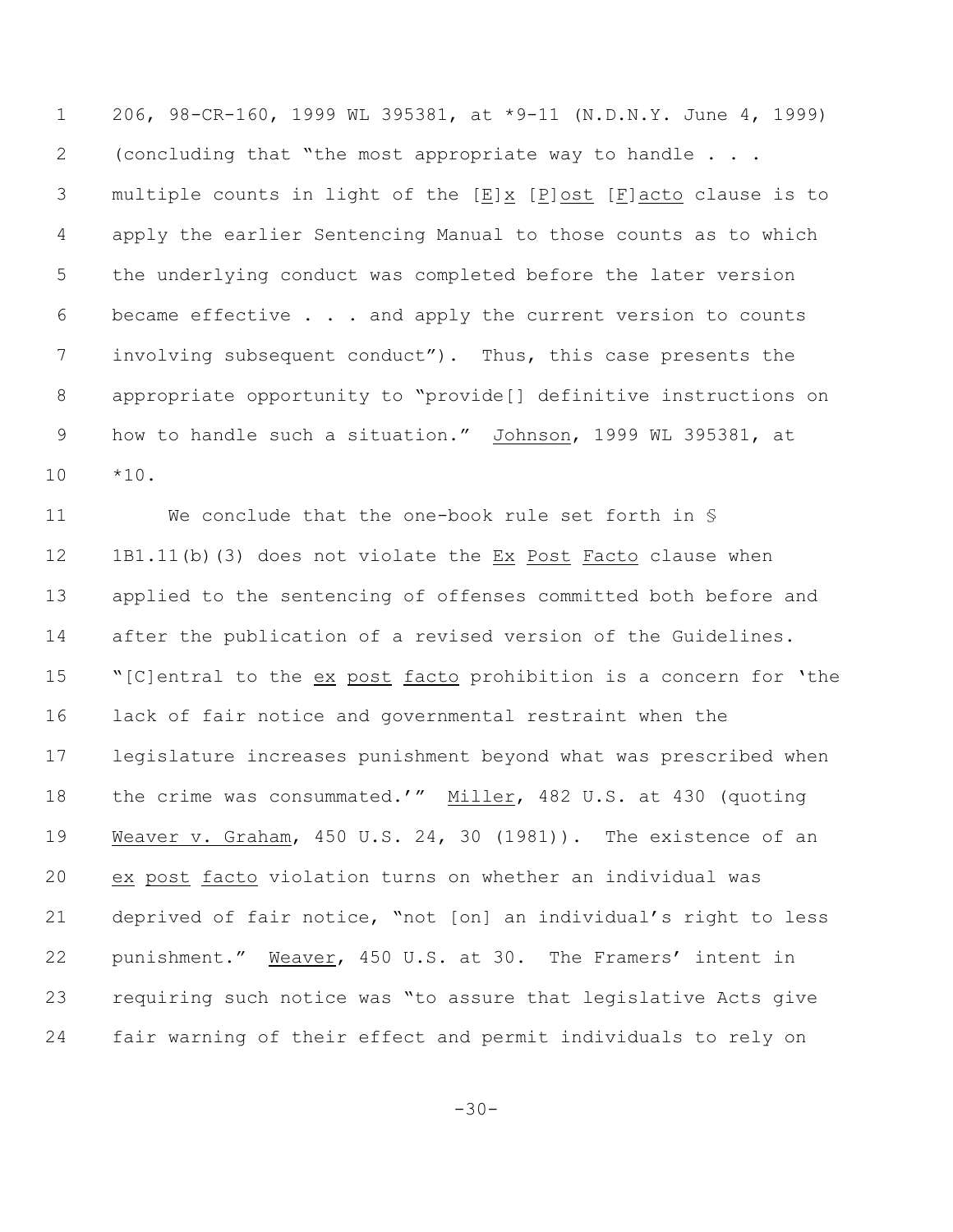206, 98-CR-160, 1999 WL 395381, at \*9-11 (N.D.N.Y. June 4, 1999) (concluding that "the most appropriate way to handle . . . multiple counts in light of the [E]x [P]ost [F]acto clause is to apply the earlier Sentencing Manual to those counts as to which the underlying conduct was completed before the later version became effective . . . and apply the current version to counts involving subsequent conduct"). Thus, this case presents the appropriate opportunity to "provide[] definitive instructions on how to handle such a situation." Johnson, 1999 WL 395381, at \*10.

 We conclude that the one-book rule set forth in § 12 1B1.11(b)(3) does not violate the Ex Post Facto clause when applied to the sentencing of offenses committed both before and after the publication of a revised version of the Guidelines. "[C]entral to the ex post facto prohibition is a concern for 'the lack of fair notice and governmental restraint when the legislature increases punishment beyond what was prescribed when 18 the crime was consummated.'" Miller, 482 U.S. at 430 (quoting Weaver v. Graham, 450 U.S. 24, 30 (1981)). The existence of an ex post facto violation turns on whether an individual was deprived of fair notice, "not [on] an individual's right to less punishment." Weaver, 450 U.S. at 30. The Framers' intent in requiring such notice was "to assure that legislative Acts give fair warning of their effect and permit individuals to rely on

-30-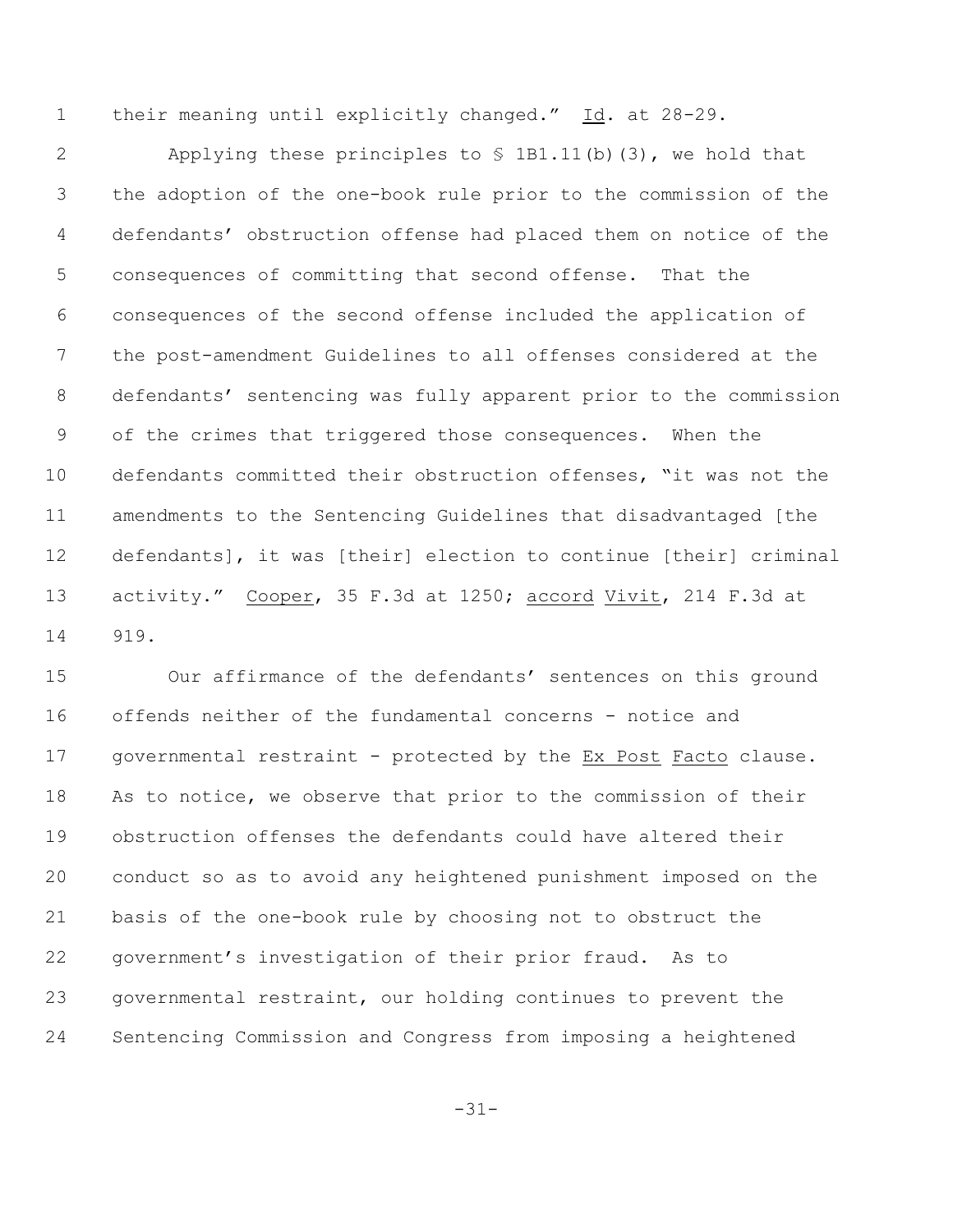1 their meaning until explicitly changed." Id. at 28-29.

 Applying these principles to § 1B1.11(b)(3), we hold that the adoption of the one-book rule prior to the commission of the defendants' obstruction offense had placed them on notice of the consequences of committing that second offense. That the consequences of the second offense included the application of the post-amendment Guidelines to all offenses considered at the defendants' sentencing was fully apparent prior to the commission of the crimes that triggered those consequences. When the defendants committed their obstruction offenses, "it was not the amendments to the Sentencing Guidelines that disadvantaged [the defendants], it was [their] election to continue [their] criminal activity." Cooper, 35 F.3d at 1250; accord Vivit, 214 F.3d at 919.

 Our affirmance of the defendants' sentences on this ground offends neither of the fundamental concerns - notice and governmental restraint - protected by the Ex Post Facto clause. As to notice, we observe that prior to the commission of their obstruction offenses the defendants could have altered their conduct so as to avoid any heightened punishment imposed on the basis of the one-book rule by choosing not to obstruct the government's investigation of their prior fraud. As to governmental restraint, our holding continues to prevent the Sentencing Commission and Congress from imposing a heightened

-31-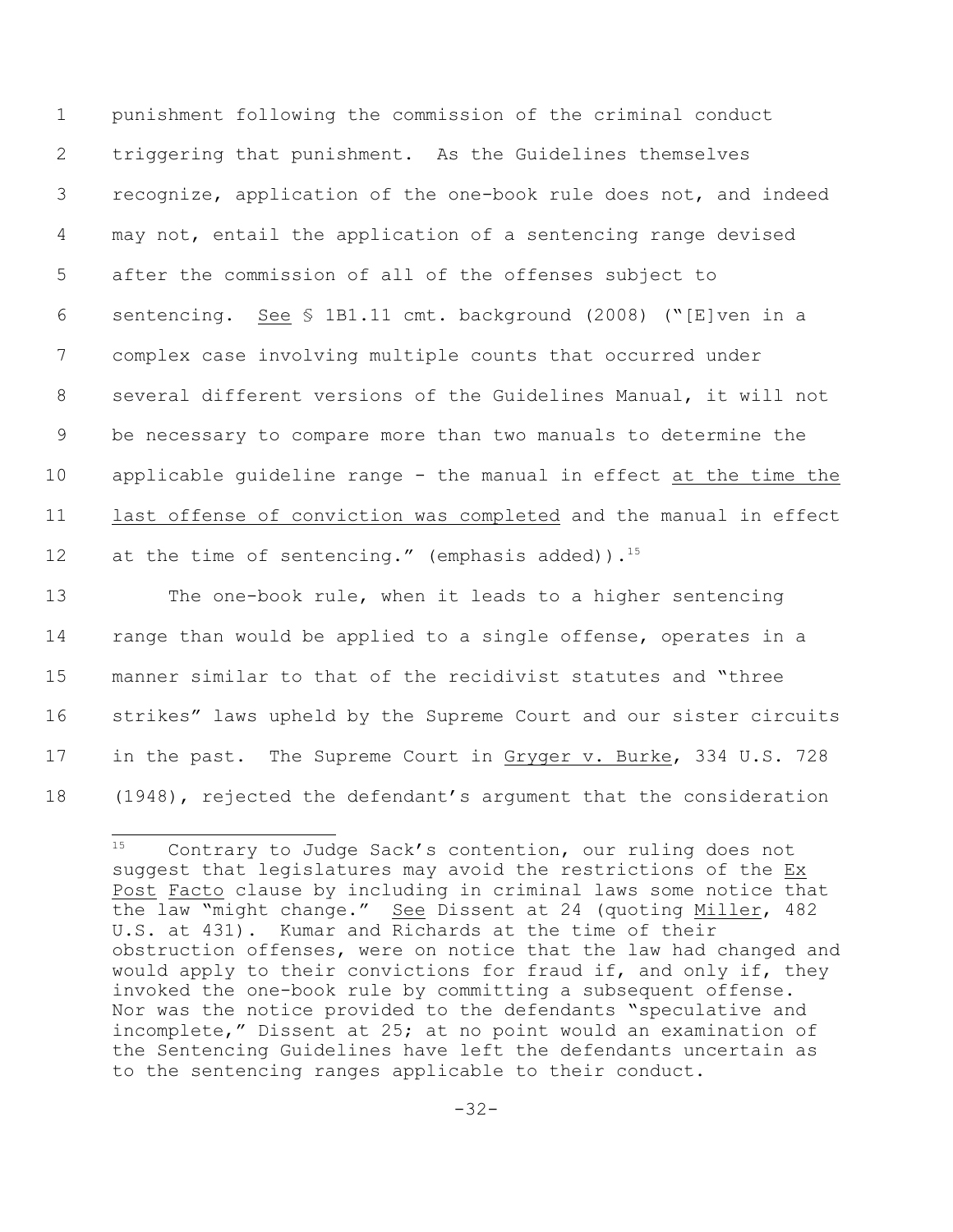punishment following the commission of the criminal conduct triggering that punishment. As the Guidelines themselves recognize, application of the one-book rule does not, and indeed may not, entail the application of a sentencing range devised after the commission of all of the offenses subject to sentencing. See § 1B1.11 cmt. background (2008) ("[E]ven in a complex case involving multiple counts that occurred under several different versions of the Guidelines Manual, it will not be necessary to compare more than two manuals to determine the applicable guideline range - the manual in effect at the time the last offense of conviction was completed and the manual in effect 12 at the time of sentencing." (emphasis added)).<sup>15</sup>

 The one-book rule, when it leads to a higher sentencing range than would be applied to a single offense, operates in a manner similar to that of the recidivist statutes and "three strikes" laws upheld by the Supreme Court and our sister circuits 17 in the past. The Supreme Court in Gryger v. Burke, 334 U.S. 728 (1948), rejected the defendant's argument that the consideration

 $15$  Contrary to Judge Sack's contention, our ruling does not suggest that legislatures may avoid the restrictions of the Ex Post Facto clause by including in criminal laws some notice that the law "might change." See Dissent at 24 (quoting Miller, 482 U.S. at 431). Kumar and Richards at the time of their obstruction offenses, were on notice that the law had changed and would apply to their convictions for fraud if, and only if, they invoked the one-book rule by committing a subsequent offense. Nor was the notice provided to the defendants "speculative and incomplete," Dissent at 25; at no point would an examination of the Sentencing Guidelines have left the defendants uncertain as to the sentencing ranges applicable to their conduct.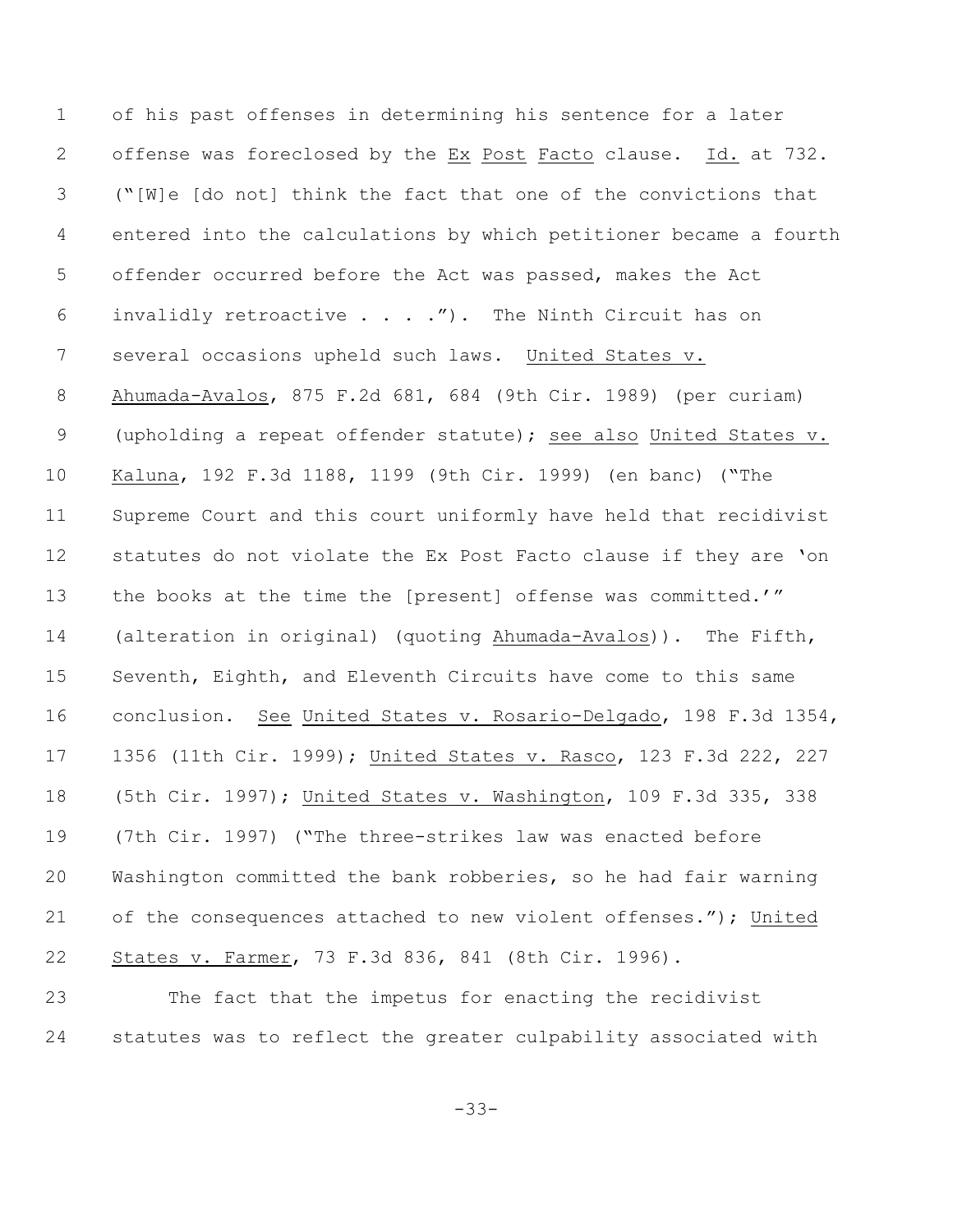of his past offenses in determining his sentence for a later offense was foreclosed by the Ex Post Facto clause. Id. at 732. ("[W]e [do not] think the fact that one of the convictions that entered into the calculations by which petitioner became a fourth offender occurred before the Act was passed, makes the Act invalidly retroactive . . . ."). The Ninth Circuit has on several occasions upheld such laws. United States v. Ahumada-Avalos, 875 F.2d 681, 684 (9th Cir. 1989) (per curiam) (upholding a repeat offender statute); see also United States v. Kaluna, 192 F.3d 1188, 1199 (9th Cir. 1999) (en banc) ("The Supreme Court and this court uniformly have held that recidivist statutes do not violate the Ex Post Facto clause if they are 'on the books at the time the [present] offense was committed.'" (alteration in original) (quoting Ahumada-Avalos)). The Fifth, Seventh, Eighth, and Eleventh Circuits have come to this same conclusion. See United States v. Rosario-Delgado, 198 F.3d 1354, 1356 (11th Cir. 1999); United States v. Rasco, 123 F.3d 222, 227 (5th Cir. 1997); United States v. Washington, 109 F.3d 335, 338 (7th Cir. 1997) ("The three-strikes law was enacted before Washington committed the bank robberies, so he had fair warning of the consequences attached to new violent offenses."); United States v. Farmer, 73 F.3d 836, 841 (8th Cir. 1996).

 The fact that the impetus for enacting the recidivist statutes was to reflect the greater culpability associated with

-33-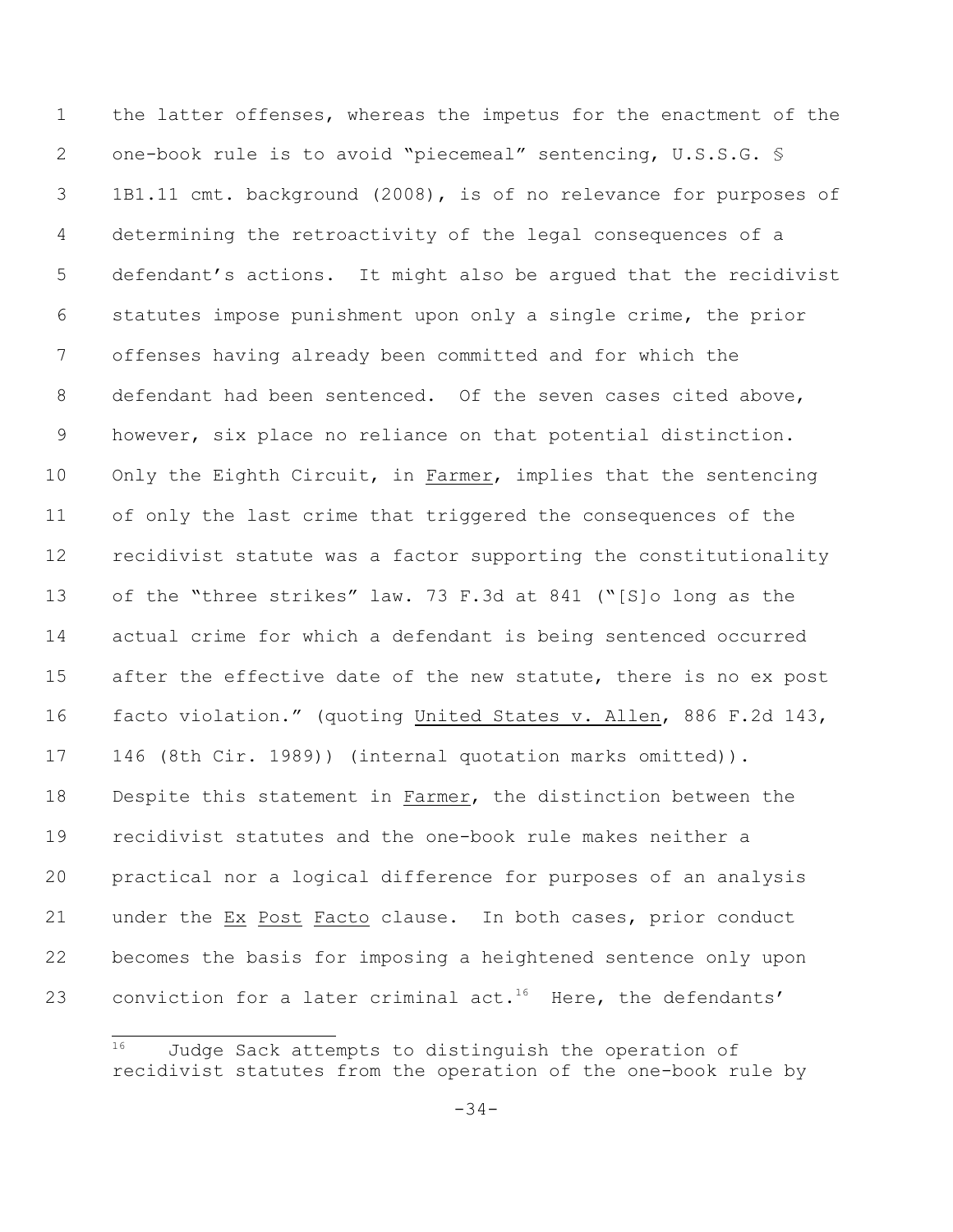the latter offenses, whereas the impetus for the enactment of the 2 one-book rule is to avoid "piecemeal" sentencing, U.S.S.G. § 1B1.11 cmt. background (2008), is of no relevance for purposes of determining the retroactivity of the legal consequences of a defendant's actions. It might also be argued that the recidivist statutes impose punishment upon only a single crime, the prior offenses having already been committed and for which the defendant had been sentenced. Of the seven cases cited above, however, six place no reliance on that potential distinction. 10 Only the Eighth Circuit, in Farmer, implies that the sentencing of only the last crime that triggered the consequences of the recidivist statute was a factor supporting the constitutionality of the "three strikes" law. 73 F.3d at 841 ("[S]o long as the actual crime for which a defendant is being sentenced occurred 15 after the effective date of the new statute, there is no ex post facto violation." (quoting United States v. Allen, 886 F.2d 143, 146 (8th Cir. 1989)) (internal quotation marks omitted)). Despite this statement in Farmer, the distinction between the recidivist statutes and the one-book rule makes neither a practical nor a logical difference for purposes of an analysis under the Ex Post Facto clause. In both cases, prior conduct becomes the basis for imposing a heightened sentence only upon 23 conviction for a later criminal act.<sup>16</sup> Here, the defendants'

 Judge Sack attempts to distinguish the operation of recidivist statutes from the operation of the one-book rule by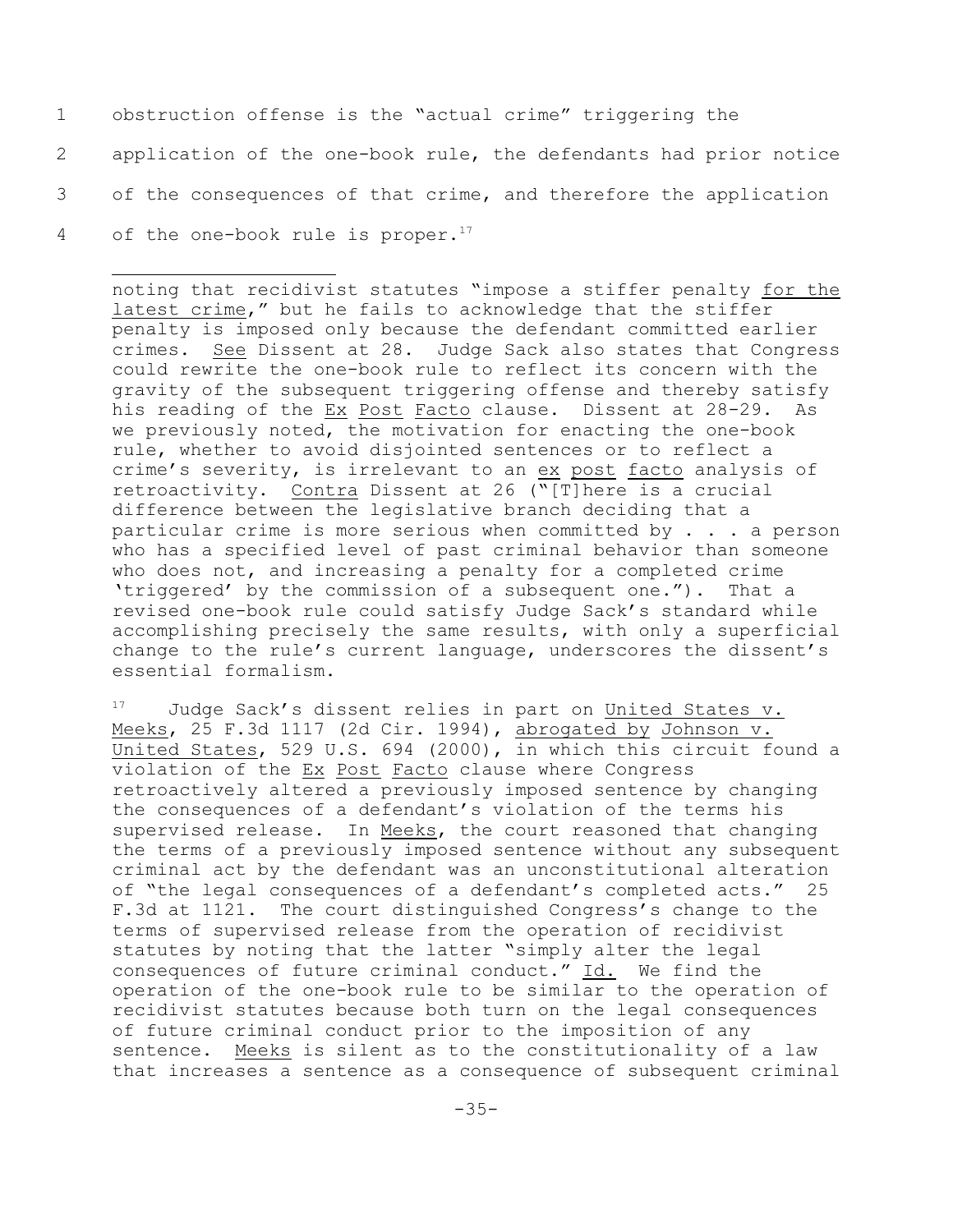obstruction offense is the "actual crime" triggering the application of the one-book rule, the defendants had prior notice of the consequences of that crime, and therefore the application 4 of the one-book rule is proper.<sup>17</sup>

noting that recidivist statutes "impose a stiffer penalty for the latest crime," but he fails to acknowledge that the stiffer penalty is imposed only because the defendant committed earlier crimes. See Dissent at 28. Judge Sack also states that Congress could rewrite the one-book rule to reflect its concern with the gravity of the subsequent triggering offense and thereby satisfy his reading of the Ex Post Facto clause. Dissent at 28-29. As we previously noted, the motivation for enacting the one-book rule, whether to avoid disjointed sentences or to reflect a crime's severity, is irrelevant to an ex post facto analysis of retroactivity. Contra Dissent at 26 ("[T]here is a crucial difference between the legislative branch deciding that a particular crime is more serious when committed by . . . a person who has a specified level of past criminal behavior than someone who does not, and increasing a penalty for a completed crime 'triggered' by the commission of a subsequent one."). That a revised one-book rule could satisfy Judge Sack's standard while accomplishing precisely the same results, with only a superficial change to the rule's current language, underscores the dissent's essential formalism.

 $17$  Judge Sack's dissent relies in part on United States v. Meeks, 25 F.3d 1117 (2d Cir. 1994), abrogated by Johnson v. United States, 529 U.S. 694 (2000), in which this circuit found a violation of the Ex Post Facto clause where Congress retroactively altered a previously imposed sentence by changing the consequences of a defendant's violation of the terms his supervised release. In Meeks, the court reasoned that changing the terms of a previously imposed sentence without any subsequent criminal act by the defendant was an unconstitutional alteration of "the legal consequences of a defendant's completed acts." 25 F.3d at 1121. The court distinguished Congress's change to the terms of supervised release from the operation of recidivist statutes by noting that the latter "simply alter the legal consequences of future criminal conduct." Id. We find the operation of the one-book rule to be similar to the operation of recidivist statutes because both turn on the legal consequences of future criminal conduct prior to the imposition of any sentence. Meeks is silent as to the constitutionality of a law that increases a sentence as a consequence of subsequent criminal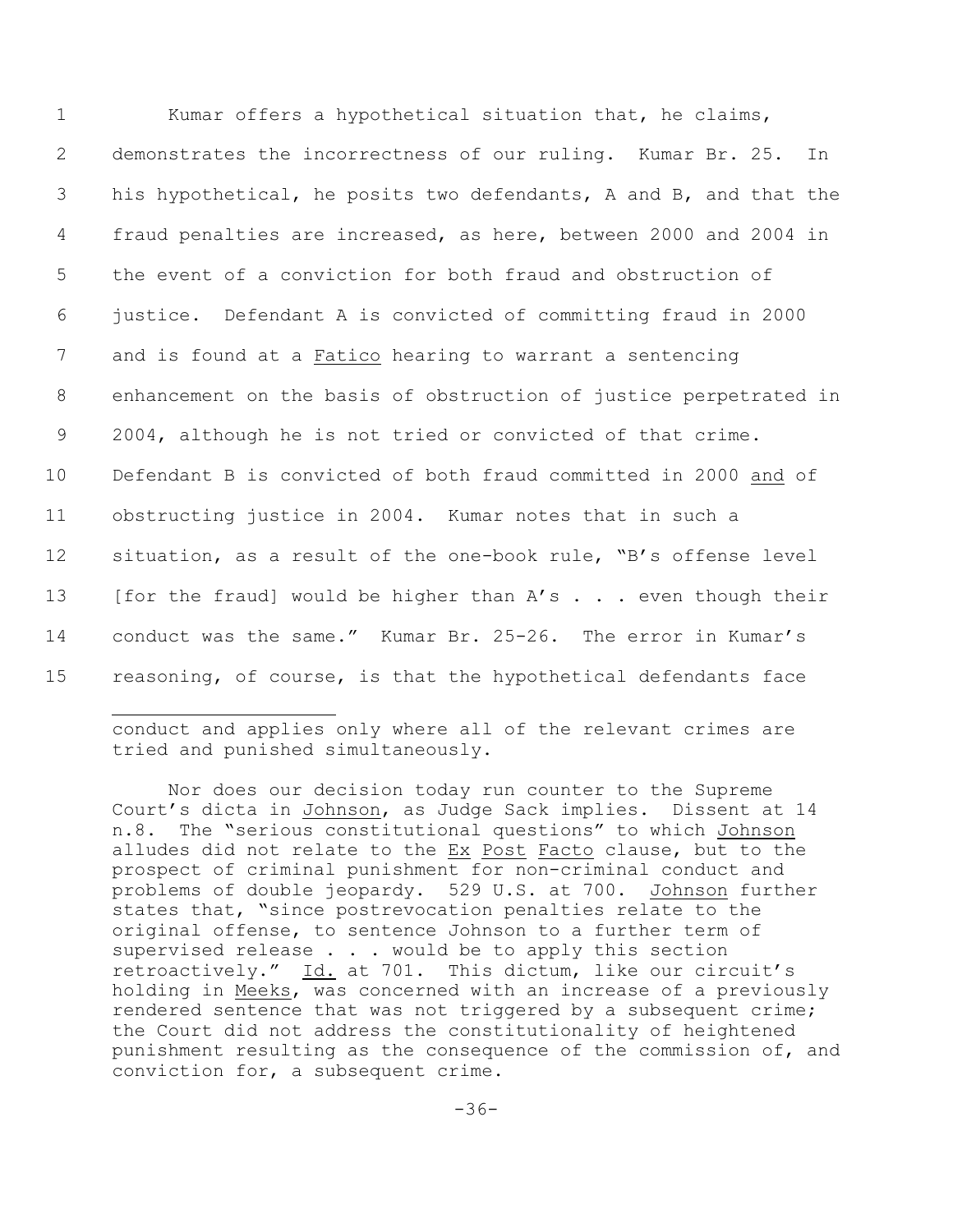| $\mathbf 1$ | Kumar offers a hypothetical situation that, he claims,            |
|-------------|-------------------------------------------------------------------|
| 2           | demonstrates the incorrectness of our ruling. Kumar Br. 25.<br>In |
| 3           | his hypothetical, he posits two defendants, A and B, and that the |
| 4           | fraud penalties are increased, as here, between 2000 and 2004 in  |
| 5           | the event of a conviction for both fraud and obstruction of       |
| 6           | justice. Defendant A is convicted of committing fraud in 2000     |
| 7           | and is found at a Fatico hearing to warrant a sentencing          |
| 8           | enhancement on the basis of obstruction of justice perpetrated in |
| 9           | 2004, although he is not tried or convicted of that crime.        |
| 10          | Defendant B is convicted of both fraud committed in 2000 and of   |
| 11          | obstructing justice in 2004. Kumar notes that in such a           |
| 12          | situation, as a result of the one-book rule, "B's offense level   |
| 13          | [for the fraud] would be higher than A's even though their        |
| 14          | conduct was the same." Kumar Br. 25-26. The error in Kumar's      |
| 15          | reasoning, of course, is that the hypothetical defendants face    |

conduct and applies only where all of the relevant crimes are tried and punished simultaneously.

Nor does our decision today run counter to the Supreme Court's dicta in Johnson, as Judge Sack implies. Dissent at 14 n.8. The "serious constitutional questions" to which Johnson alludes did not relate to the Ex Post Facto clause, but to the prospect of criminal punishment for non-criminal conduct and problems of double jeopardy. 529 U.S. at 700. Johnson further states that, "since postrevocation penalties relate to the original offense, to sentence Johnson to a further term of supervised release . . . would be to apply this section retroactively." Id. at 701. This dictum, like our circuit's holding in Meeks, was concerned with an increase of a previously rendered sentence that was not triggered by a subsequent crime; the Court did not address the constitutionality of heightened punishment resulting as the consequence of the commission of, and conviction for, a subsequent crime.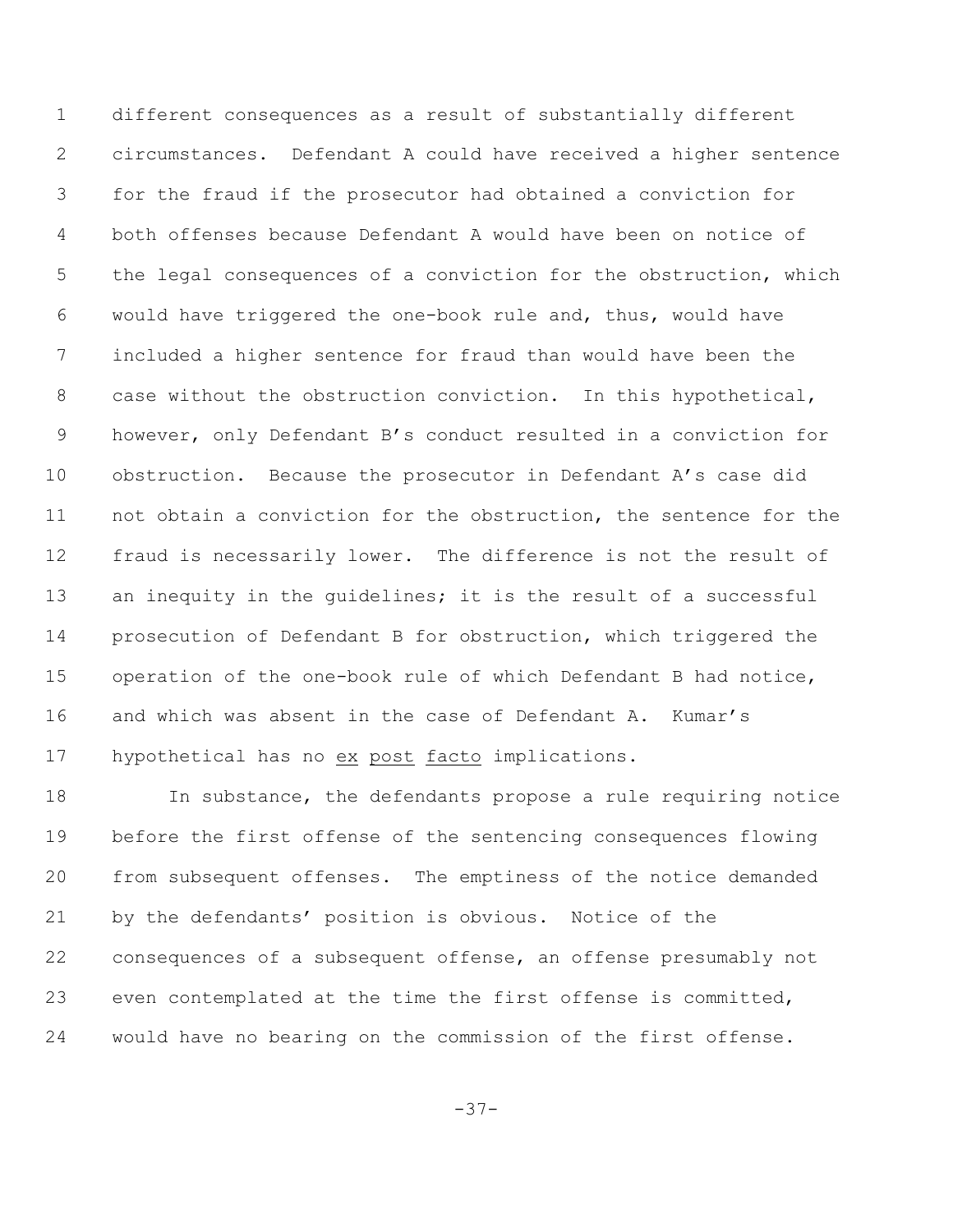different consequences as a result of substantially different circumstances. Defendant A could have received a higher sentence for the fraud if the prosecutor had obtained a conviction for both offenses because Defendant A would have been on notice of the legal consequences of a conviction for the obstruction, which would have triggered the one-book rule and, thus, would have included a higher sentence for fraud than would have been the case without the obstruction conviction. In this hypothetical, however, only Defendant B's conduct resulted in a conviction for obstruction. Because the prosecutor in Defendant A's case did not obtain a conviction for the obstruction, the sentence for the fraud is necessarily lower. The difference is not the result of 13 an inequity in the guidelines; it is the result of a successful prosecution of Defendant B for obstruction, which triggered the operation of the one-book rule of which Defendant B had notice, and which was absent in the case of Defendant A. Kumar's hypothetical has no ex post facto implications.

 In substance, the defendants propose a rule requiring notice before the first offense of the sentencing consequences flowing from subsequent offenses. The emptiness of the notice demanded by the defendants' position is obvious. Notice of the consequences of a subsequent offense, an offense presumably not even contemplated at the time the first offense is committed, would have no bearing on the commission of the first offense.

-37-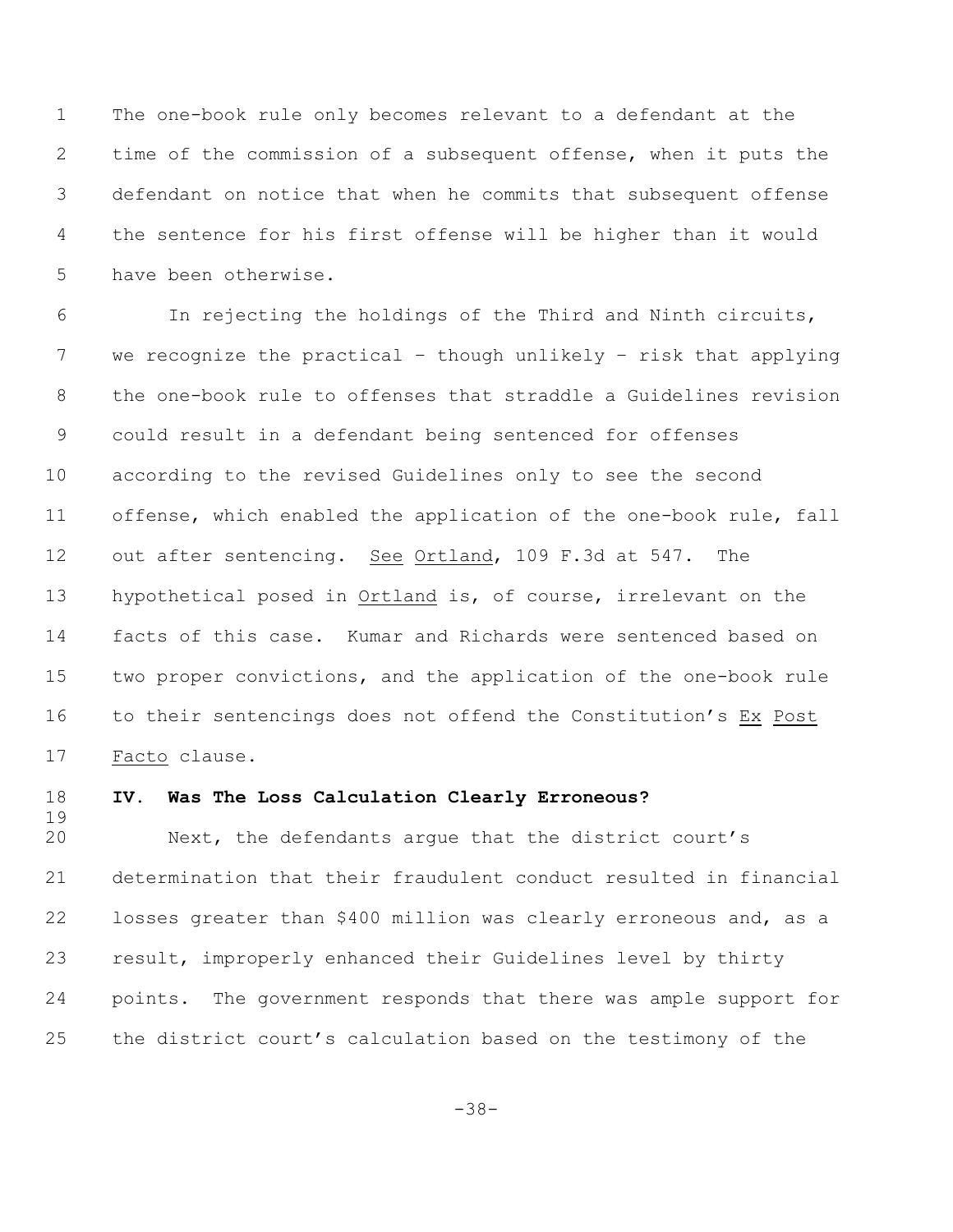The one-book rule only becomes relevant to a defendant at the time of the commission of a subsequent offense, when it puts the defendant on notice that when he commits that subsequent offense the sentence for his first offense will be higher than it would have been otherwise.

6 In rejecting the holdings of the Third and Ninth circuits, we recognize the practical – though unlikely – risk that applying the one-book rule to offenses that straddle a Guidelines revision could result in a defendant being sentenced for offenses according to the revised Guidelines only to see the second offense, which enabled the application of the one-book rule, fall out after sentencing. See Ortland, 109 F.3d at 547. The hypothetical posed in Ortland is, of course, irrelevant on the facts of this case. Kumar and Richards were sentenced based on two proper convictions, and the application of the one-book rule to their sentencings does not offend the Constitution's Ex Post Facto clause.

# 

### **IV. Was The Loss Calculation Clearly Erroneous?**

 Next, the defendants argue that the district court's determination that their fraudulent conduct resulted in financial losses greater than \$400 million was clearly erroneous and, as a result, improperly enhanced their Guidelines level by thirty points. The government responds that there was ample support for the district court's calculation based on the testimony of the

-38-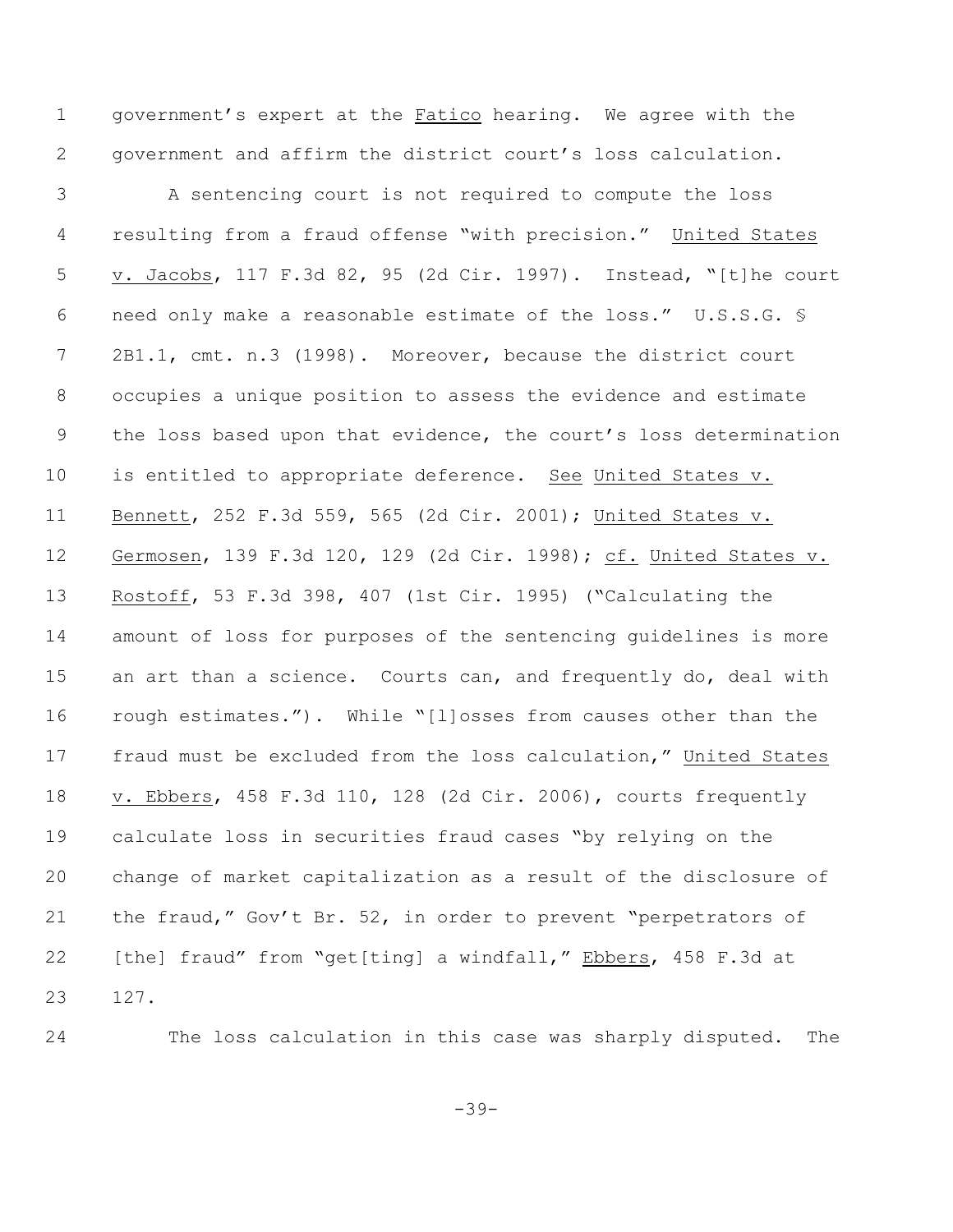government's expert at the Fatico hearing. We agree with the government and affirm the district court's loss calculation.

 A sentencing court is not required to compute the loss resulting from a fraud offense "with precision." United States v. Jacobs, 117 F.3d 82, 95 (2d Cir. 1997). Instead, "[t]he court need only make a reasonable estimate of the loss." U.S.S.G. § 2B1.1, cmt. n.3 (1998). Moreover, because the district court occupies a unique position to assess the evidence and estimate the loss based upon that evidence, the court's loss determination 10 is entitled to appropriate deference. See United States v. Bennett, 252 F.3d 559, 565 (2d Cir. 2001); United States v. Germosen, 139 F.3d 120, 129 (2d Cir. 1998); cf. United States v. Rostoff, 53 F.3d 398, 407 (1st Cir. 1995) ("Calculating the amount of loss for purposes of the sentencing guidelines is more 15 an art than a science. Courts can, and frequently do, deal with rough estimates."). While "[l]osses from causes other than the fraud must be excluded from the loss calculation," United States v. Ebbers, 458 F.3d 110, 128 (2d Cir. 2006), courts frequently calculate loss in securities fraud cases "by relying on the change of market capitalization as a result of the disclosure of the fraud," Gov't Br. 52, in order to prevent "perpetrators of 22 [the] fraud" from "get[ting] a windfall," Ebbers, 458 F.3d at 127.

The loss calculation in this case was sharply disputed. The

-39-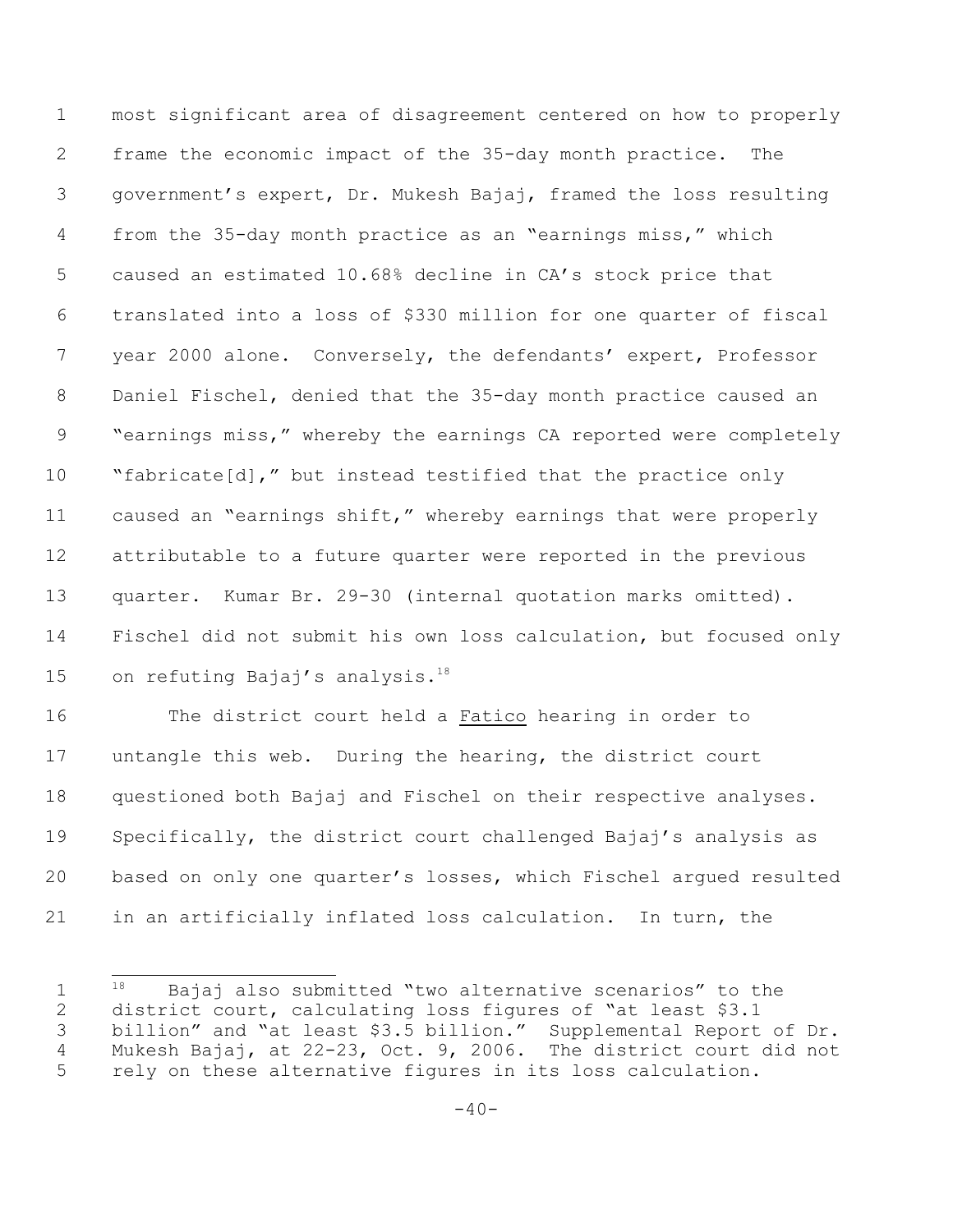most significant area of disagreement centered on how to properly frame the economic impact of the 35-day month practice. The government's expert, Dr. Mukesh Bajaj, framed the loss resulting from the 35-day month practice as an "earnings miss," which caused an estimated 10.68% decline in CA's stock price that translated into a loss of \$330 million for one quarter of fiscal year 2000 alone. Conversely, the defendants' expert, Professor Daniel Fischel, denied that the 35-day month practice caused an "earnings miss," whereby the earnings CA reported were completely "fabricate[d]," but instead testified that the practice only caused an "earnings shift," whereby earnings that were properly attributable to a future quarter were reported in the previous quarter. Kumar Br. 29-30 (internal quotation marks omitted). Fischel did not submit his own loss calculation, but focused only 15 on refuting Bajaj's analysis.<sup>18</sup>

 The district court held a Fatico hearing in order to untangle this web. During the hearing, the district court questioned both Bajaj and Fischel on their respective analyses. Specifically, the district court challenged Bajaj's analysis as based on only one quarter's losses, which Fischel argued resulted in an artificially inflated loss calculation. In turn, the

  $18$  Bajaj also submitted "two alternative scenarios" to the district court, calculating loss figures of "at least \$3.1 billion" and "at least \$3.5 billion." Supplemental Report of Dr. Mukesh Bajaj, at 22-23, Oct. 9, 2006. The district court did not rely on these alternative figures in its loss calculation.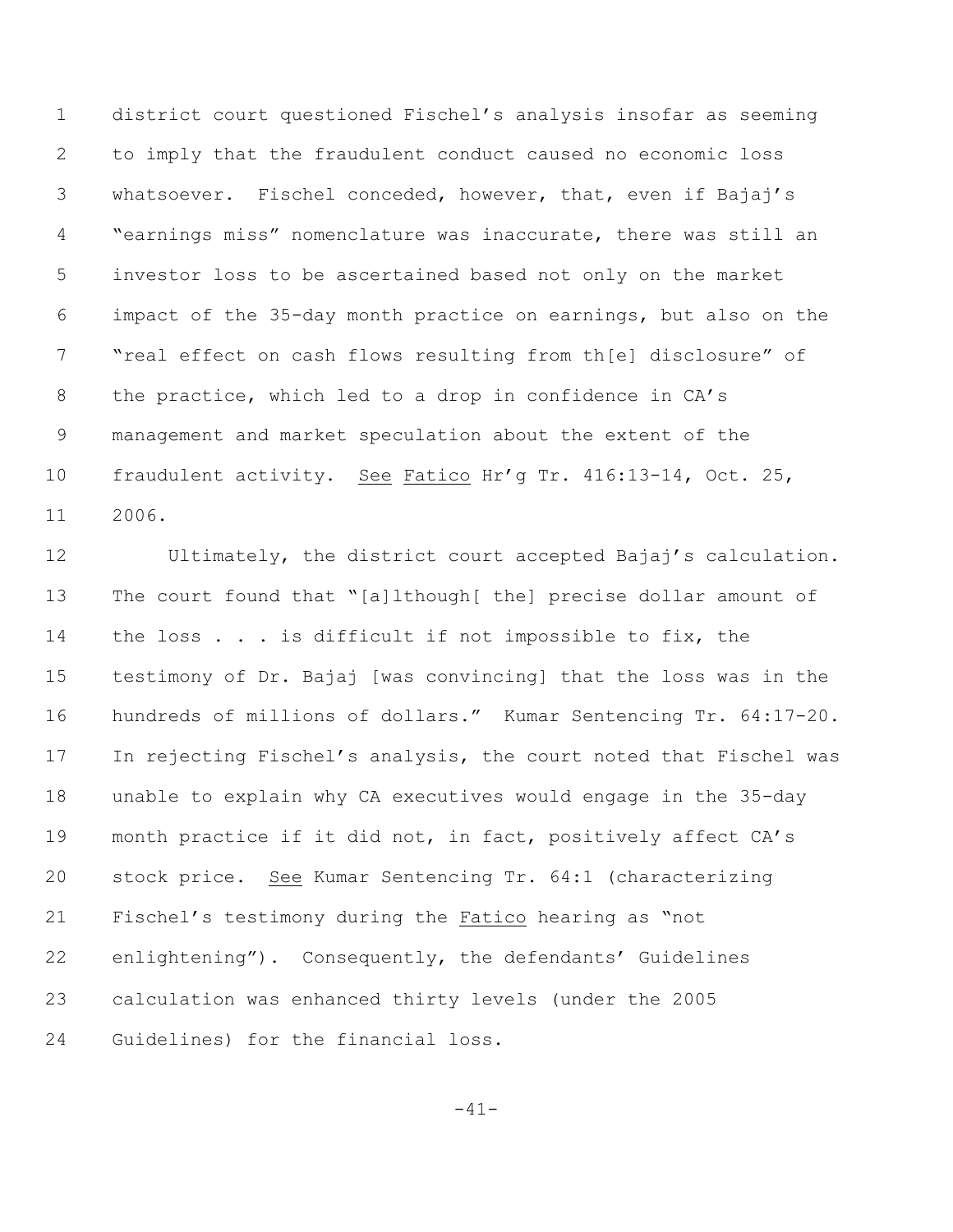district court questioned Fischel's analysis insofar as seeming to imply that the fraudulent conduct caused no economic loss whatsoever. Fischel conceded, however, that, even if Bajaj's "earnings miss" nomenclature was inaccurate, there was still an investor loss to be ascertained based not only on the market impact of the 35-day month practice on earnings, but also on the "real effect on cash flows resulting from th[e] disclosure" of the practice, which led to a drop in confidence in CA's management and market speculation about the extent of the fraudulent activity. See Fatico Hr'g Tr. 416:13-14, Oct. 25, 2006.

 Ultimately, the district court accepted Bajaj's calculation. The court found that "[a]lthough[ the] precise dollar amount of 14 the loss . . . is difficult if not impossible to fix, the testimony of Dr. Bajaj [was convincing] that the loss was in the hundreds of millions of dollars." Kumar Sentencing Tr. 64:17-20. In rejecting Fischel's analysis, the court noted that Fischel was unable to explain why CA executives would engage in the 35-day month practice if it did not, in fact, positively affect CA's stock price. See Kumar Sentencing Tr. 64:1 (characterizing Fischel's testimony during the Fatico hearing as "not enlightening")**.** Consequently, the defendants' Guidelines calculation was enhanced thirty levels (under the 2005 Guidelines) for the financial loss.

-41-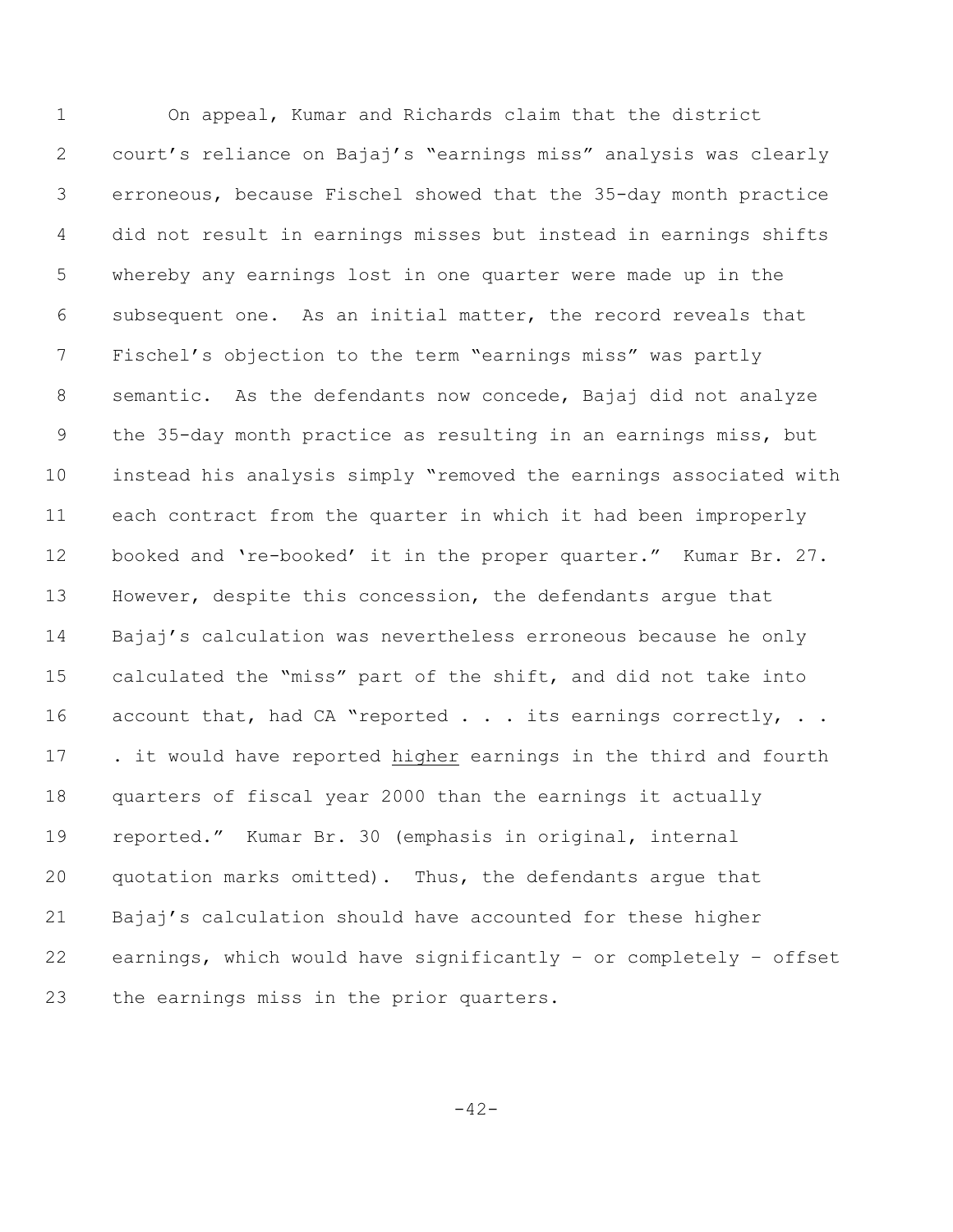On appeal, Kumar and Richards claim that the district court's reliance on Bajaj's "earnings miss" analysis was clearly erroneous, because Fischel showed that the 35-day month practice did not result in earnings misses but instead in earnings shifts whereby any earnings lost in one quarter were made up in the subsequent one. As an initial matter, the record reveals that Fischel's objection to the term "earnings miss" was partly semantic. As the defendants now concede, Bajaj did not analyze the 35-day month practice as resulting in an earnings miss, but instead his analysis simply "removed the earnings associated with each contract from the quarter in which it had been improperly booked and 're-booked' it in the proper quarter." Kumar Br. 27. However, despite this concession, the defendants argue that Bajaj's calculation was nevertheless erroneous because he only calculated the "miss" part of the shift, and did not take into 16 account that, had CA "reported . . . its earnings correctly, . . . it would have reported higher earnings in the third and fourth quarters of fiscal year 2000 than the earnings it actually reported." Kumar Br. 30 (emphasis in original, internal quotation marks omitted). Thus, the defendants argue that Bajaj's calculation should have accounted for these higher earnings, which would have significantly – or completely – offset the earnings miss in the prior quarters.

 $-42-$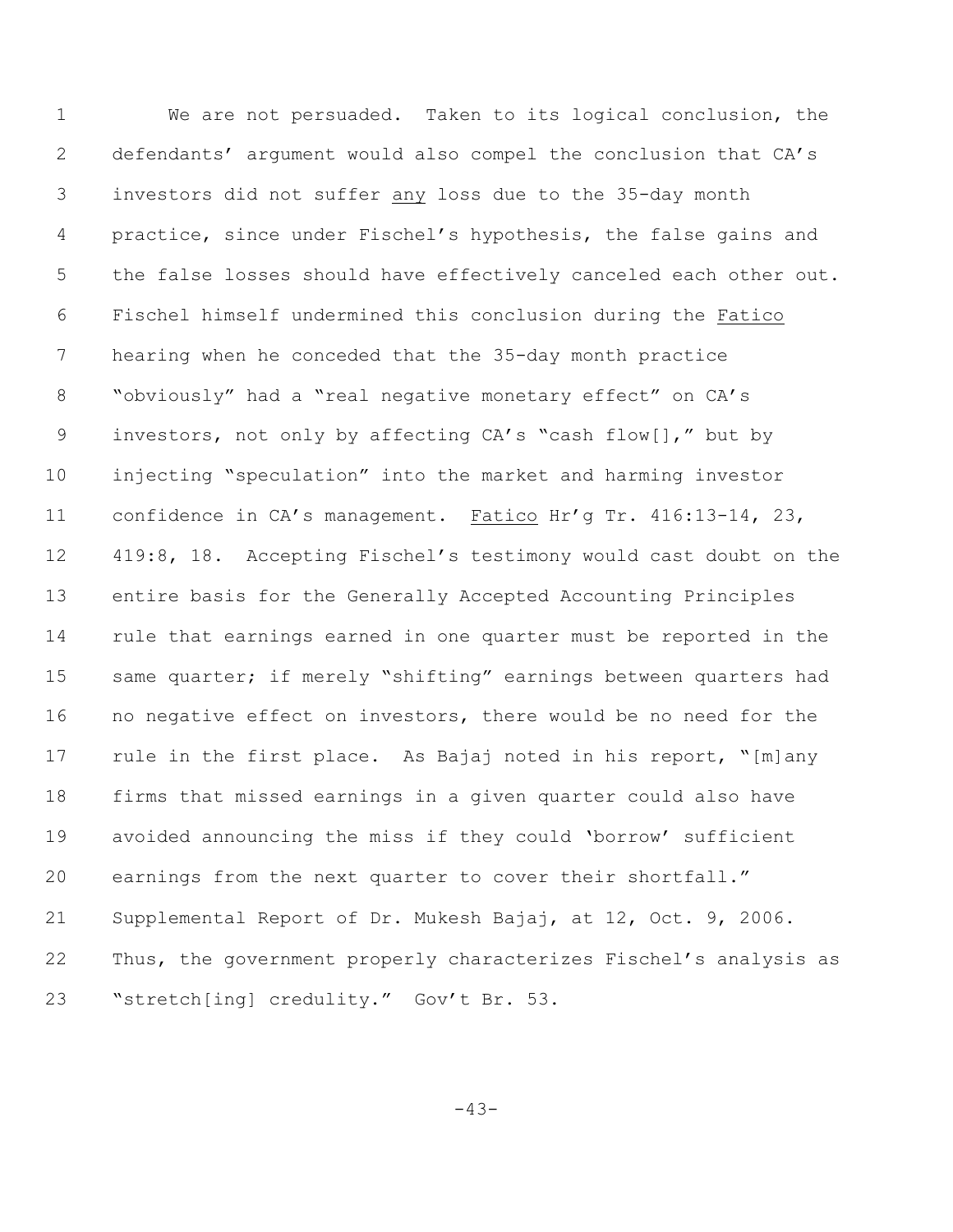We are not persuaded. Taken to its logical conclusion, the defendants' argument would also compel the conclusion that CA's investors did not suffer any loss due to the 35-day month practice, since under Fischel's hypothesis, the false gains and the false losses should have effectively canceled each other out. Fischel himself undermined this conclusion during the Fatico hearing when he conceded that the 35-day month practice "obviously" had a "real negative monetary effect" on CA's investors, not only by affecting CA's "cash flow[]," but by injecting "speculation" into the market and harming investor confidence in CA's management. Fatico Hr'g Tr. 416:13-14, 23, 419:8, 18. Accepting Fischel's testimony would cast doubt on the entire basis for the Generally Accepted Accounting Principles rule that earnings earned in one quarter must be reported in the 15 same quarter; if merely "shifting" earnings between quarters had no negative effect on investors, there would be no need for the rule in the first place. As Bajaj noted in his report, "[m]any firms that missed earnings in a given quarter could also have avoided announcing the miss if they could 'borrow' sufficient earnings from the next quarter to cover their shortfall." Supplemental Report of Dr. Mukesh Bajaj, at 12, Oct. 9, 2006**.** Thus, the government properly characterizes Fischel's analysis as "stretch[ing] credulity." Gov't Br. 53.

-43-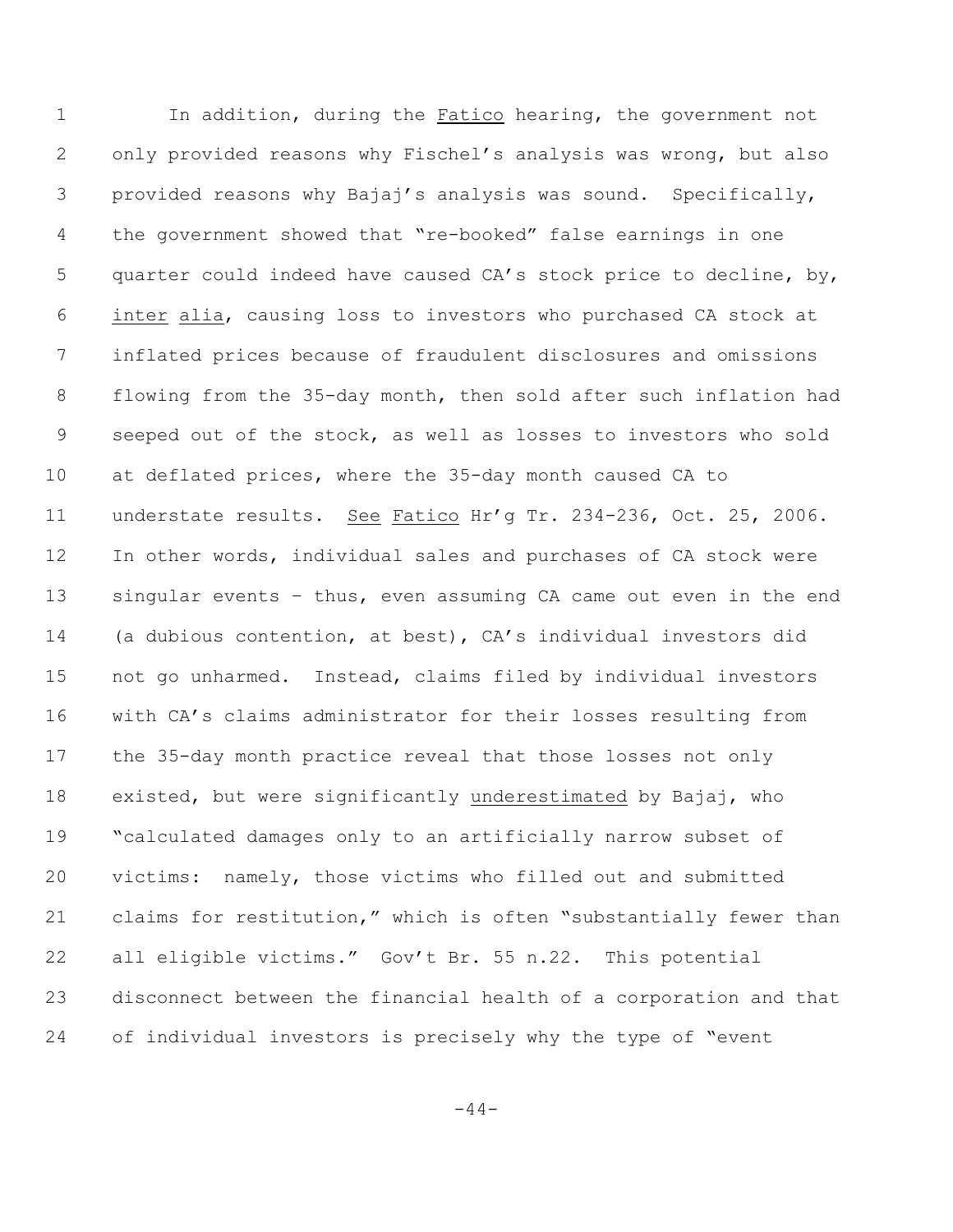In addition, during the Fatico hearing, the government not only provided reasons why Fischel's analysis was wrong, but also provided reasons why Bajaj's analysis was sound. Specifically, the government showed that "re-booked" false earnings in one quarter could indeed have caused CA's stock price to decline, by, inter alia, causing loss to investors who purchased CA stock at inflated prices because of fraudulent disclosures and omissions flowing from the 35-day month, then sold after such inflation had seeped out of the stock, as well as losses to investors who sold at deflated prices, where the 35-day month caused CA to understate results. See Fatico Hr'g Tr. 234-236, Oct. 25, 2006. In other words, individual sales and purchases of CA stock were singular events – thus, even assuming CA came out even in the end (a dubious contention, at best), CA's individual investors did not go unharmed. Instead, claims filed by individual investors with CA's claims administrator for their losses resulting from the 35-day month practice reveal that those losses not only existed, but were significantly underestimated by Bajaj, who "calculated damages only to an artificially narrow subset of victims: namely, those victims who filled out and submitted claims for restitution," which is often "substantially fewer than all eligible victims." Gov't Br. 55 n.22. This potential disconnect between the financial health of a corporation and that of individual investors is precisely why the type of "event

 $-44-$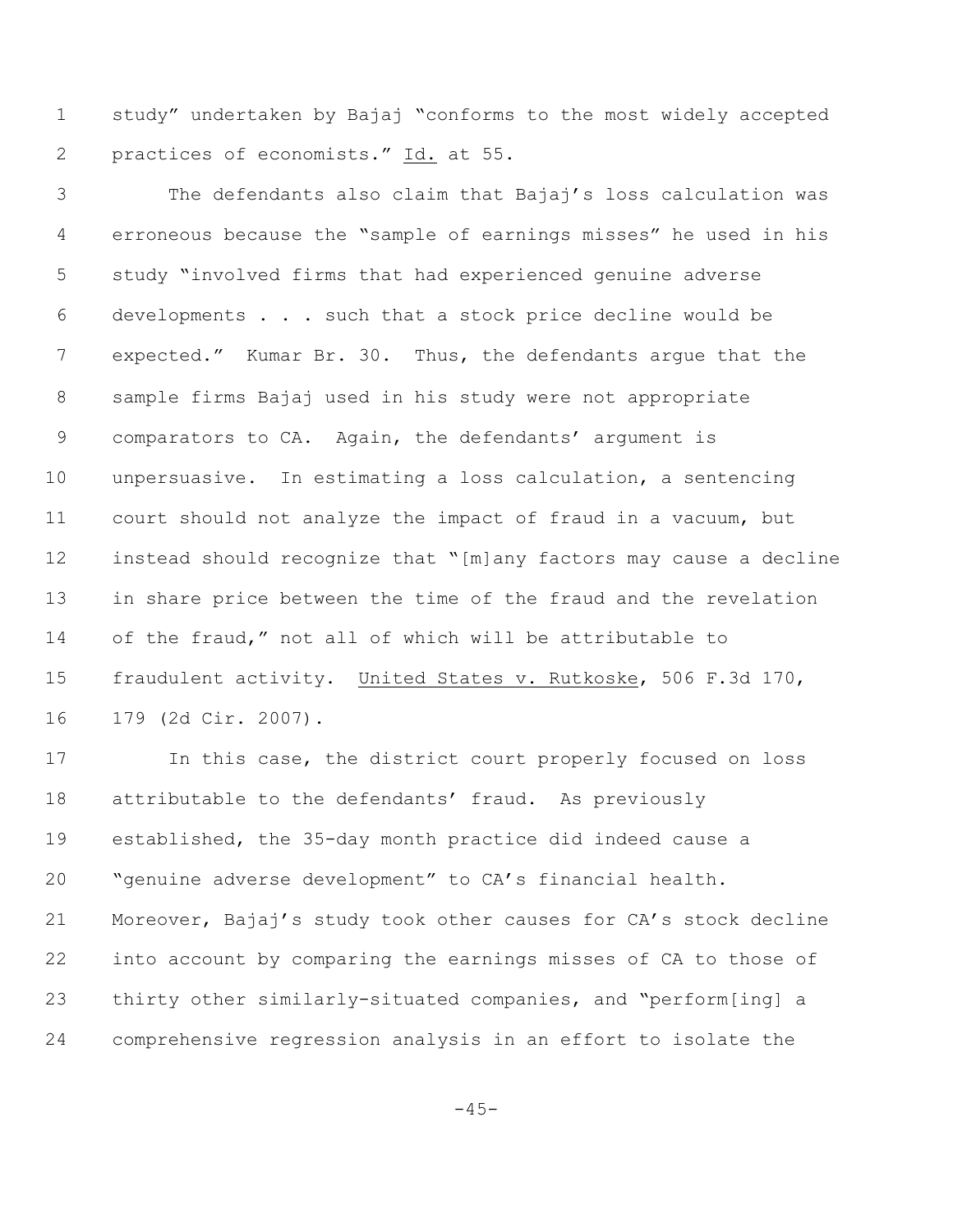study" undertaken by Bajaj "conforms to the most widely accepted practices of economists." Id. at 55.

 The defendants also claim that Bajaj's loss calculation was erroneous because the "sample of earnings misses" he used in his study "involved firms that had experienced genuine adverse developments . . . such that a stock price decline would be expected." Kumar Br. 30.Thus, the defendants argue that the sample firms Bajaj used in his study were not appropriate comparators to CA. Again, the defendants' argument is unpersuasive. In estimating a loss calculation, a sentencing court should not analyze the impact of fraud in a vacuum, but instead should recognize that "[m]any factors may cause a decline in share price between the time of the fraud and the revelation of the fraud," not all of which will be attributable to fraudulent activity. United States v. Rutkoske, 506 F.3d 170, 179 (2d Cir. 2007).

 In this case, the district court properly focused on loss attributable to the defendants' fraud. As previously established, the 35-day month practice did indeed cause a "genuine adverse development" to CA's financial health. Moreover, Bajaj's study took other causes for CA's stock decline into account by comparing the earnings misses of CA to those of thirty other similarly-situated companies, and "perform[ing] a comprehensive regression analysis in an effort to isolate the

 $-45-$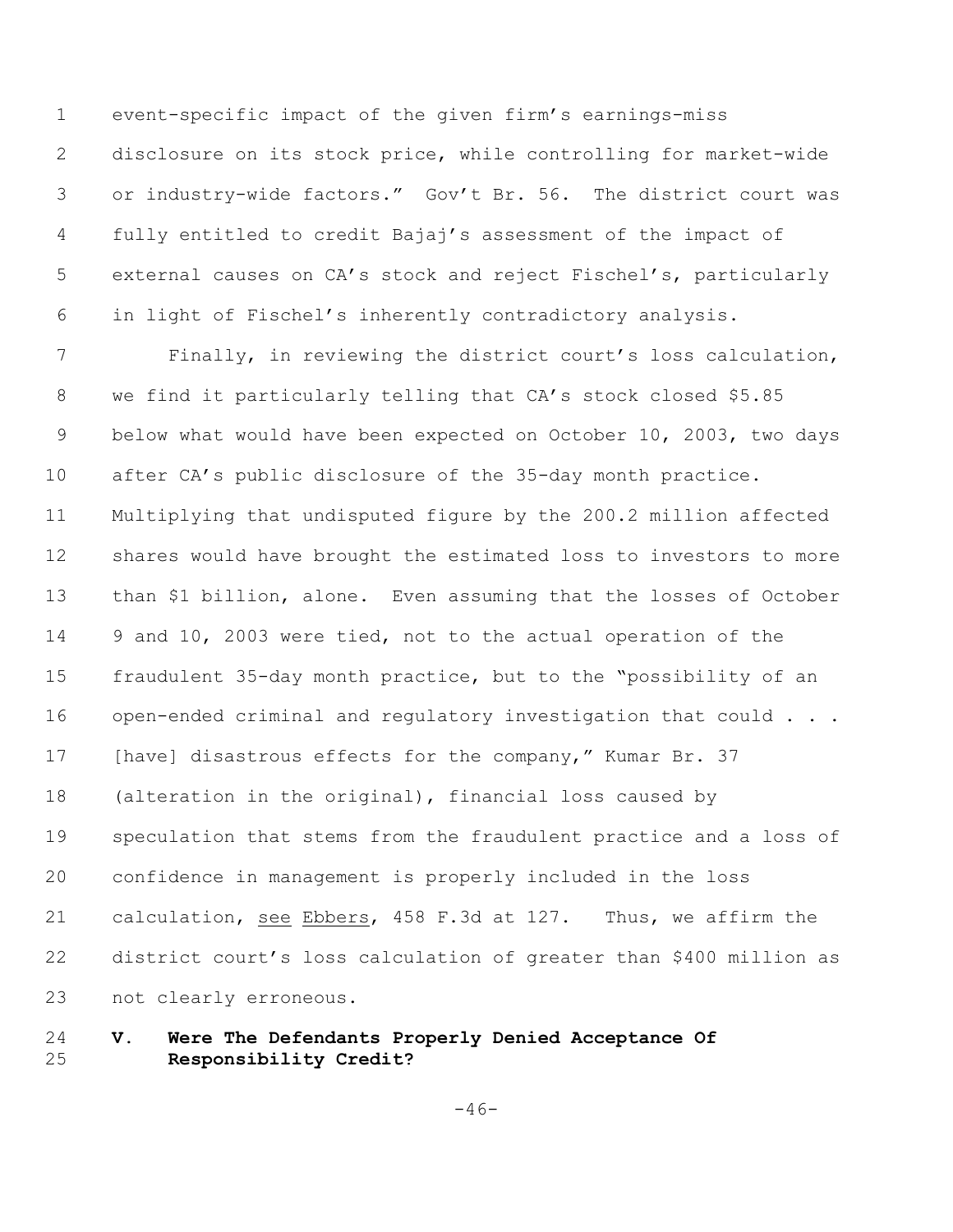event-specific impact of the given firm's earnings-miss disclosure on its stock price, while controlling for market-wide or industry-wide factors." Gov't Br. 56. The district court was fully entitled to credit Bajaj's assessment of the impact of external causes on CA's stock and reject Fischel's, particularly in light of Fischel's inherently contradictory analysis.

 Finally, in reviewing the district court's loss calculation, we find it particularly telling that CA's stock closed \$5.85 below what would have been expected on October 10, 2003, two days 10 after CA's public disclosure of the 35-day month practice. Multiplying that undisputed figure by the 200.2 million affected shares would have brought the estimated loss to investors to more than \$1 billion, alone. Even assuming that the losses of October 9 and 10, 2003 were tied, not to the actual operation of the fraudulent 35-day month practice, but to the "possibility of an 16 open-ended criminal and regulatory investigation that could . . . 17 [have] disastrous effects for the company," Kumar Br. 37 (alteration in the original), financial loss caused by speculation that stems from the fraudulent practice and a loss of confidence in management is properly included in the loss calculation, see Ebbers, 458 F.3d at 127. Thus, we affirm the district court's loss calculation of greater than \$400 million as not clearly erroneous.

# **V. Were The Defendants Properly Denied Acceptance Of Responsibility Credit?**

 $-46-$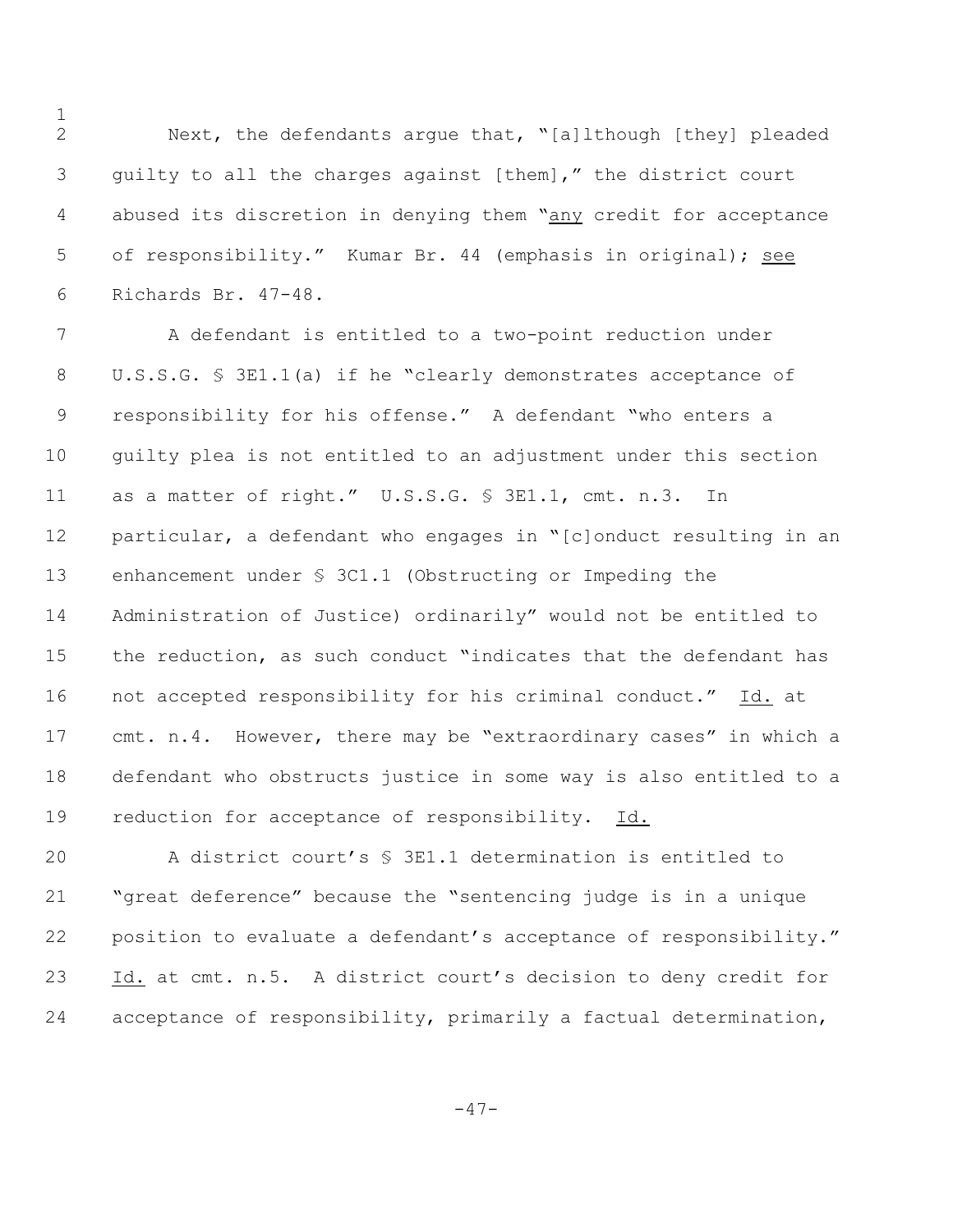Next, the defendants argue that, "[a]lthough [they] pleaded guilty to all the charges against [them]," the district court abused its discretion in denying them "any credit for acceptance of responsibility." Kumar Br. 44 (emphasis in original); see Richards Br. 47-48.

 A defendant is entitled to a two-point reduction under U.S.S.G. § 3E1.1(a) if he "clearly demonstrates acceptance of responsibility for his offense." A defendant "who enters a guilty plea is not entitled to an adjustment under this section as a matter of right." U.S.S.G. § 3E1.1, cmt. n.3. In particular, a defendant who engages in "[c]onduct resulting in an enhancement under § 3C1.1 (Obstructing or Impeding the Administration of Justice) ordinarily" would not be entitled to the reduction, as such conduct "indicates that the defendant has not accepted responsibility for his criminal conduct." Id. at cmt. n.4. However, there may be "extraordinary cases" in which a defendant who obstructs justice in some way is also entitled to a reduction for acceptance of responsibility. Id.

 A district court's § 3E1.1 determination is entitled to "great deference" because the "sentencing judge is in a unique position to evaluate a defendant's acceptance of responsibility." Id. at cmt. n.5. A district court's decision to deny credit for acceptance of responsibility, primarily a factual determination,

-47-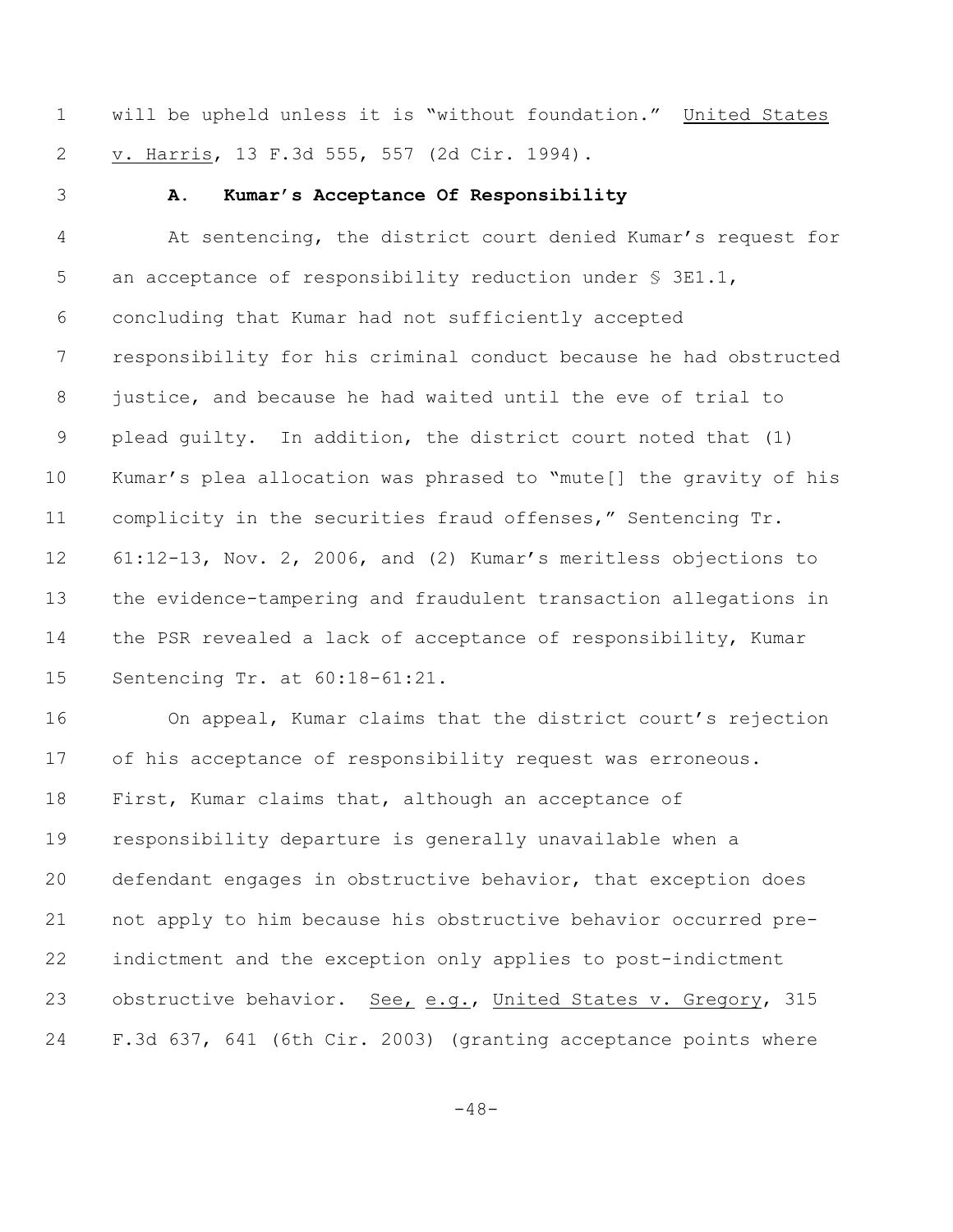will be upheld unless it is "without foundation." United States v. Harris, 13 F.3d 555, 557 (2d Cir. 1994).

### **A. Kumar's Acceptance Of Responsibility**

 At sentencing, the district court denied Kumar's request for 5 an acceptance of responsibility reduction under § 3E1.1, concluding that Kumar had not sufficiently accepted responsibility for his criminal conduct because he had obstructed justice, and because he had waited until the eve of trial to plead guilty. In addition, the district court noted that (1) Kumar's plea allocation was phrased to "mute[] the gravity of his complicity in the securities fraud offenses," Sentencing Tr. 61:12-13, Nov. 2, 2006, and (2) Kumar's meritless objections to the evidence-tampering and fraudulent transaction allegations in the PSR revealed a lack of acceptance of responsibility, Kumar Sentencing Tr. at 60:18-61:21.

 On appeal, Kumar claims that the district court's rejection of his acceptance of responsibility request was erroneous. First, Kumar claims that, although an acceptance of responsibility departure is generally unavailable when a defendant engages in obstructive behavior, that exception does not apply to him because his obstructive behavior occurred pre- indictment and the exception only applies to post-indictment 23 obstructive behavior. See, e.g., United States v. Gregory, 315 F.3d 637, 641 (6th Cir. 2003) (granting acceptance points where

 $-48-$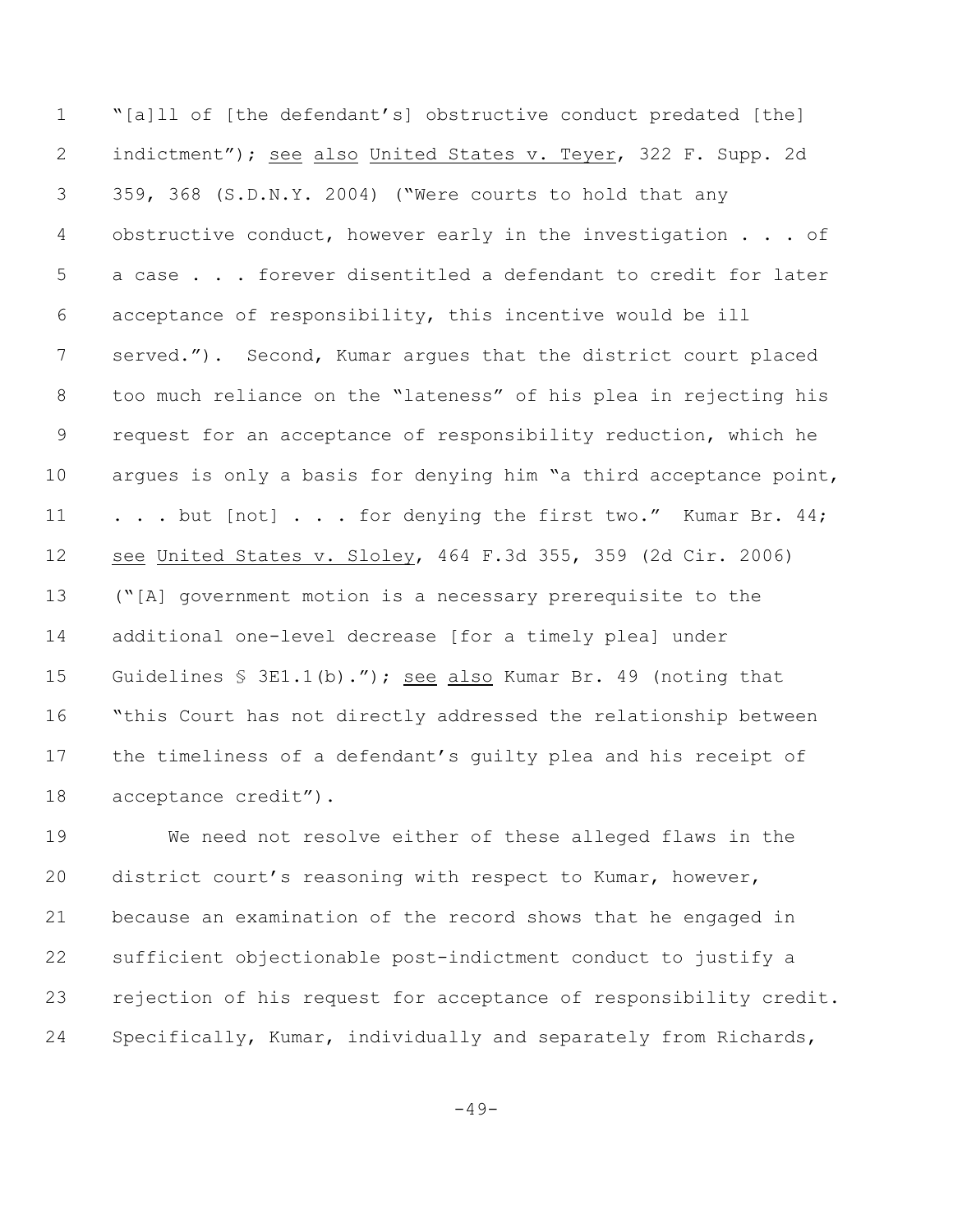"[a]ll of [the defendant's] obstructive conduct predated [the] indictment"); see also United States v. Teyer, 322 F. Supp. 2d 359, 368 (S.D.N.Y. 2004) ("Were courts to hold that any 4 obstructive conduct, however early in the investigation . . . of a case . . . forever disentitled a defendant to credit for later acceptance of responsibility, this incentive would be ill served."). Second, Kumar argues that the district court placed too much reliance on the "lateness" of his plea in rejecting his request for an acceptance of responsibility reduction, which he argues is only a basis for denying him "a third acceptance point, 11 . . . but [not] . . . for denying the first two." Kumar Br. 44; see United States v. Sloley, 464 F.3d 355, 359 (2d Cir. 2006) ("[A] government motion is a necessary prerequisite to the additional one-level decrease [for a timely plea] under Guidelines § 3E1.1(b)."); see also Kumar Br. 49 (noting that "this Court has not directly addressed the relationship between the timeliness of a defendant's guilty plea and his receipt of acceptance credit").

 We need not resolve either of these alleged flaws in the district court's reasoning with respect to Kumar, however, because an examination of the record shows that he engaged in sufficient objectionable post-indictment conduct to justify a rejection of his request for acceptance of responsibility credit. Specifically, Kumar, individually and separately from Richards,

 $-49-$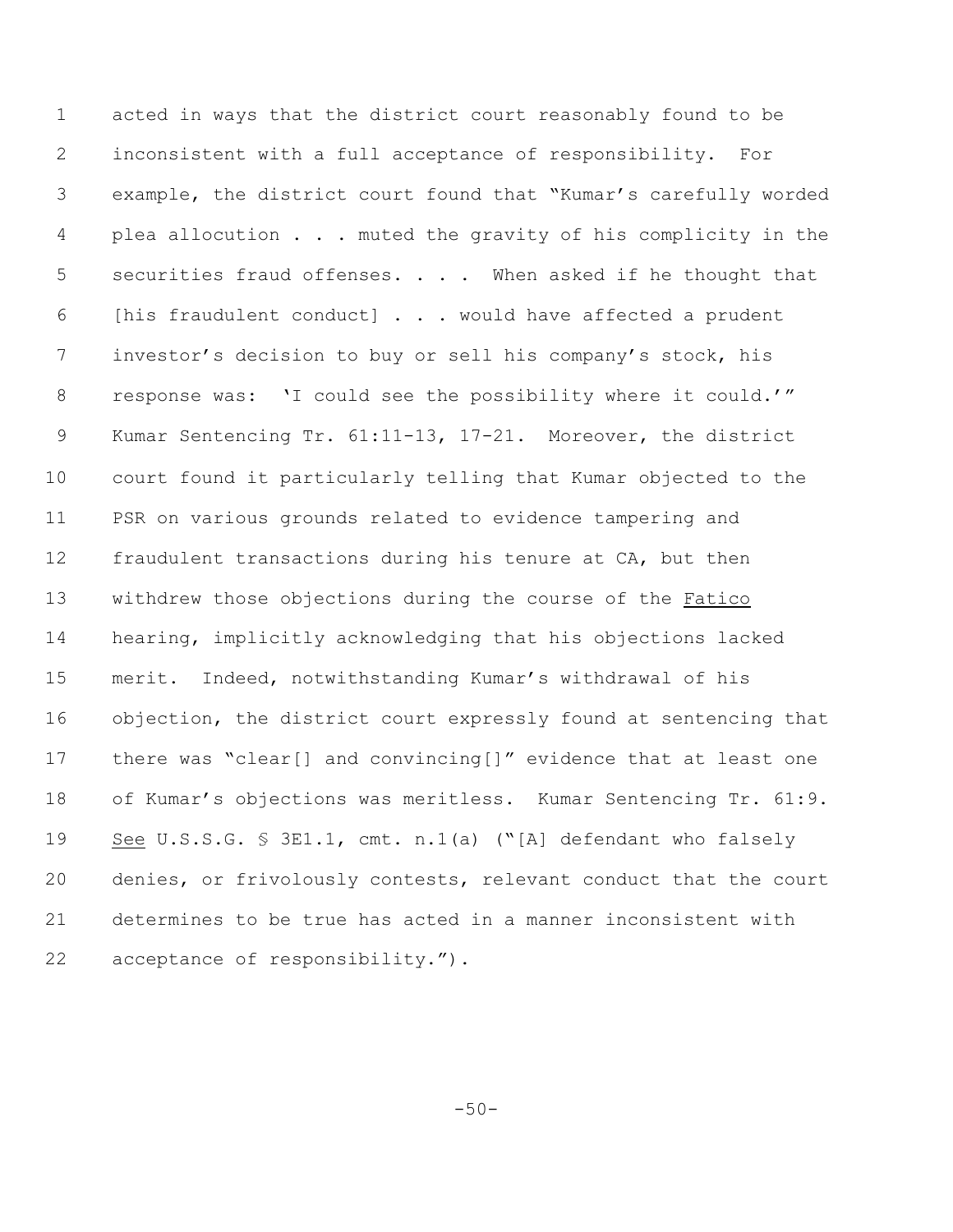acted in ways that the district court reasonably found to be inconsistent with a full acceptance of responsibility. For example, the district court found that "Kumar's carefully worded 4 plea allocution . . . muted the gravity of his complicity in the 5 securities fraud offenses. . . . When asked if he thought that [his fraudulent conduct] . . . would have affected a prudent investor's decision to buy or sell his company's stock, his 8 response was: 'I could see the possibility where it could.'" Kumar Sentencing Tr. 61:11-13, 17-21**.** Moreover, the district court found it particularly telling that Kumar objected to the PSR on various grounds related to evidence tampering and fraudulent transactions during his tenure at CA, but then withdrew those objections during the course of the Fatico hearing, implicitly acknowledging that his objections lacked merit. Indeed, notwithstanding Kumar's withdrawal of his objection, the district court expressly found at sentencing that there was "clear[] and convincing[]" evidence that at least one of Kumar's objections was meritless. Kumar Sentencing Tr. 61:9. See U.S.S.G. § 3E1.1, cmt. n.1(a) ("[A] defendant who falsely denies, or frivolously contests, relevant conduct that the court determines to be true has acted in a manner inconsistent with acceptance of responsibility.").

 $-50-$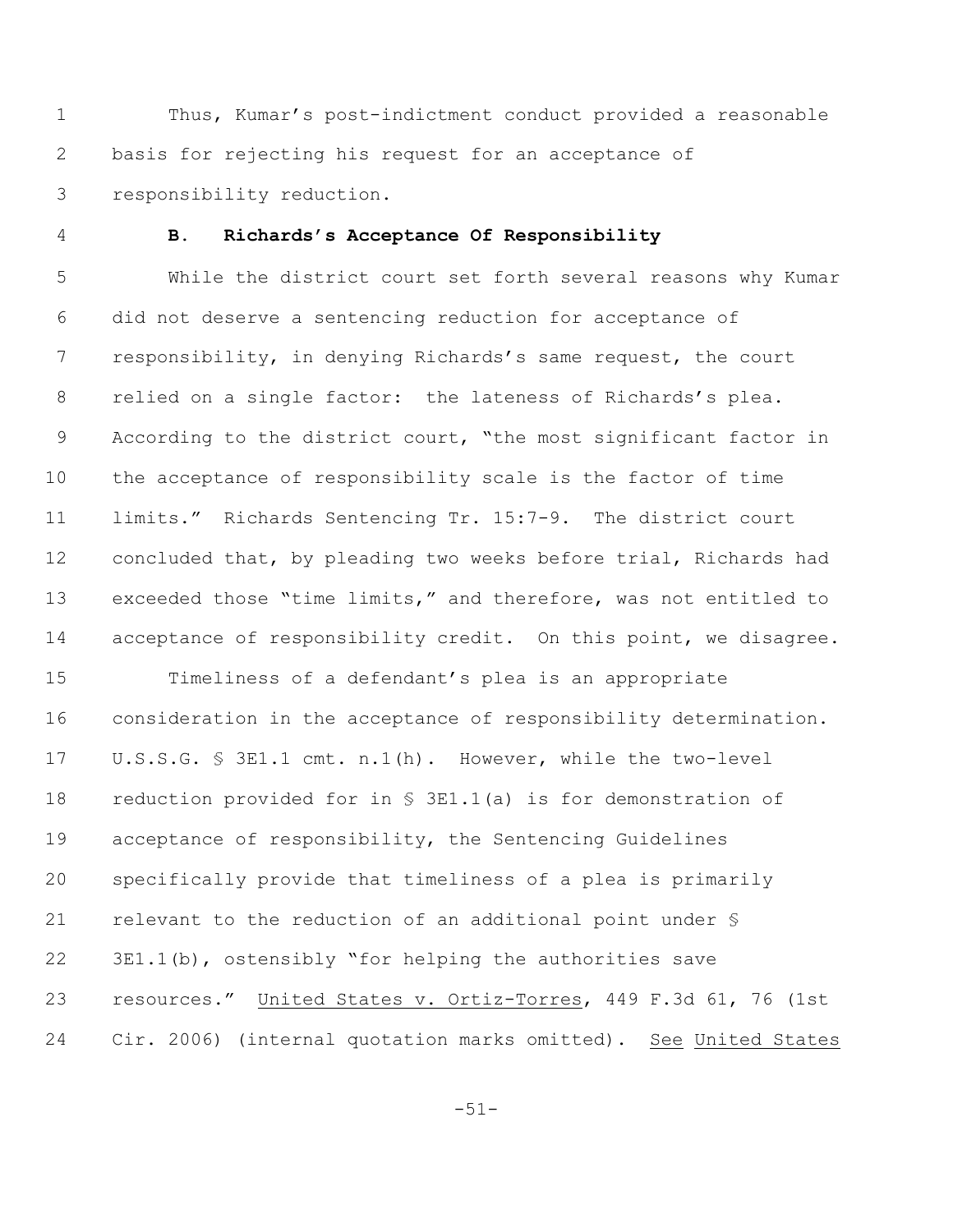Thus, Kumar's post-indictment conduct provided a reasonable basis for rejecting his request for an acceptance of responsibility reduction.

#### **B. Richards's Acceptance Of Responsibility**

 While the district court set forth several reasons why Kumar did not deserve a sentencing reduction for acceptance of responsibility, in denying Richards's same request, the court relied on a single factor: the lateness of Richards's plea. According to the district court, "the most significant factor in the acceptance of responsibility scale is the factor of time limits." Richards Sentencing Tr. 15:7-9. The district court concluded that, by pleading two weeks before trial, Richards had exceeded those "time limits," and therefore, was not entitled to 14 acceptance of responsibility credit. On this point, we disagree.

 Timeliness of a defendant's plea is an appropriate consideration in the acceptance of responsibility determination. U.S.S.G. § 3E1.1 cmt. n.1(h). However, while the two-level reduction provided for in § 3E1.1(a) is for demonstration of acceptance of responsibility, the Sentencing Guidelines specifically provide that timeliness of a plea is primarily relevant to the reduction of an additional point under § 3E1.1(b), ostensibly "for helping the authorities save resources." United States v. Ortiz-Torres, 449 F.3d 61, 76 (1st Cir. 2006) (internal quotation marks omitted). See United States

-51-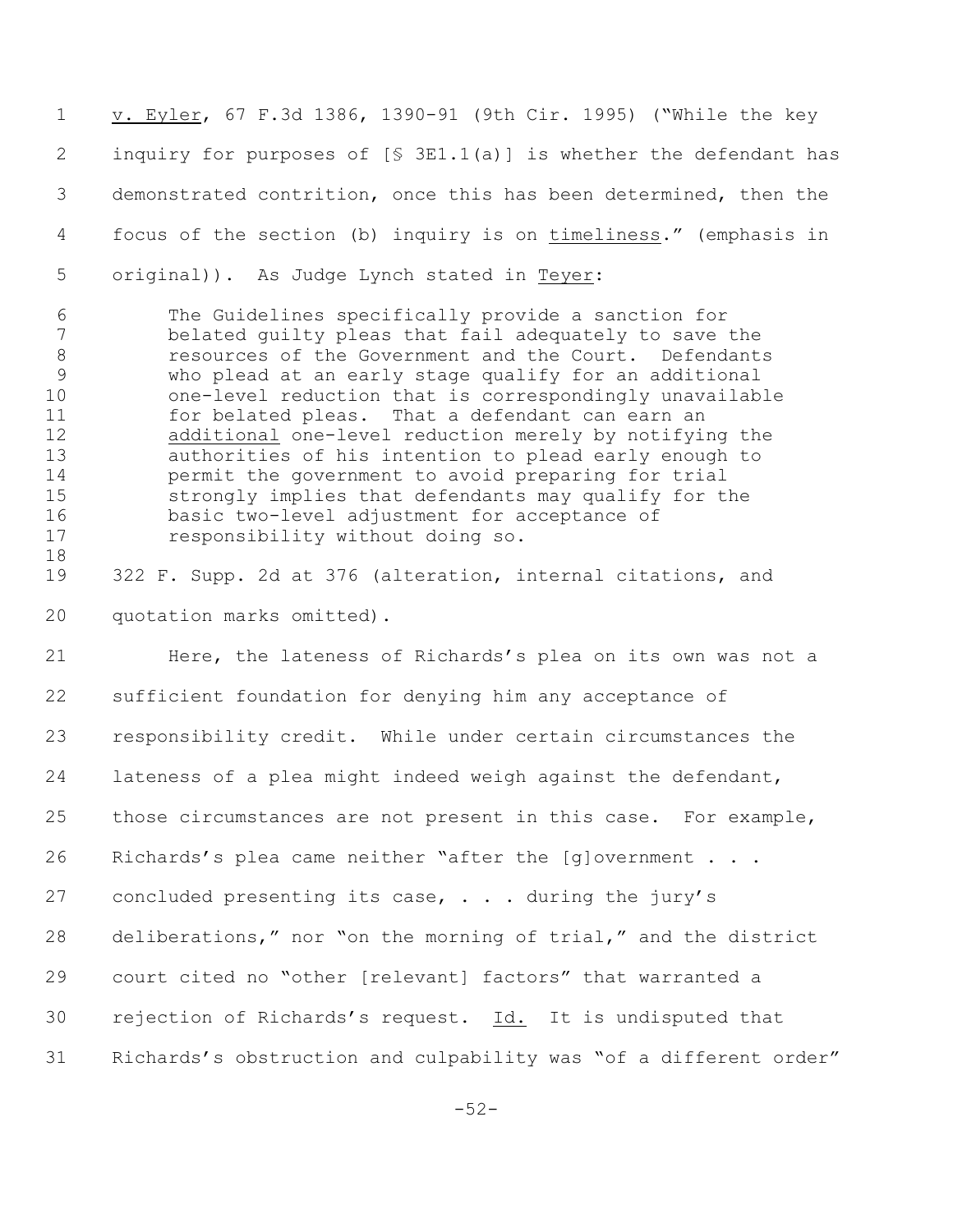v. Eyler, 67 F.3d 1386, 1390-91 (9th Cir. 1995) ("While the key inquiry for purposes of [§ 3E1.1(a)] is whether the defendant has demonstrated contrition, once this has been determined, then the focus of the section (b) inquiry is on timeliness." (emphasis in original)). As Judge Lynch stated in Teyer:

 The Guidelines specifically provide a sanction for belated guilty pleas that fail adequately to save the resources of the Government and the Court. Defendants who plead at an early stage qualify for an additional one-level reduction that is correspondingly unavailable for belated pleas. That a defendant can earn an additional one-level reduction merely by notifying the authorities of his intention to plead early enough to permit the government to avoid preparing for trial strongly implies that defendants may qualify for the basic two-level adjustment for acceptance of responsibility without doing so. 

 322 F. Supp. 2d at 376 (alteration, internal citations, and quotation marks omitted).

 Here, the lateness of Richards's plea on its own was not a sufficient foundation for denying him any acceptance of responsibility credit. While under certain circumstances the lateness of a plea might indeed weigh against the defendant, those circumstances are not present in this case. For example, 26 Richards's plea came neither "after the [q]overnment . . . 27 concluded presenting its case, . . . during the jury's deliberations," nor "on the morning of trial," and the district court cited no "other [relevant] factors" that warranted a rejection of Richards's request. Id. It is undisputed that Richards's obstruction and culpability was "of a different order"

-52-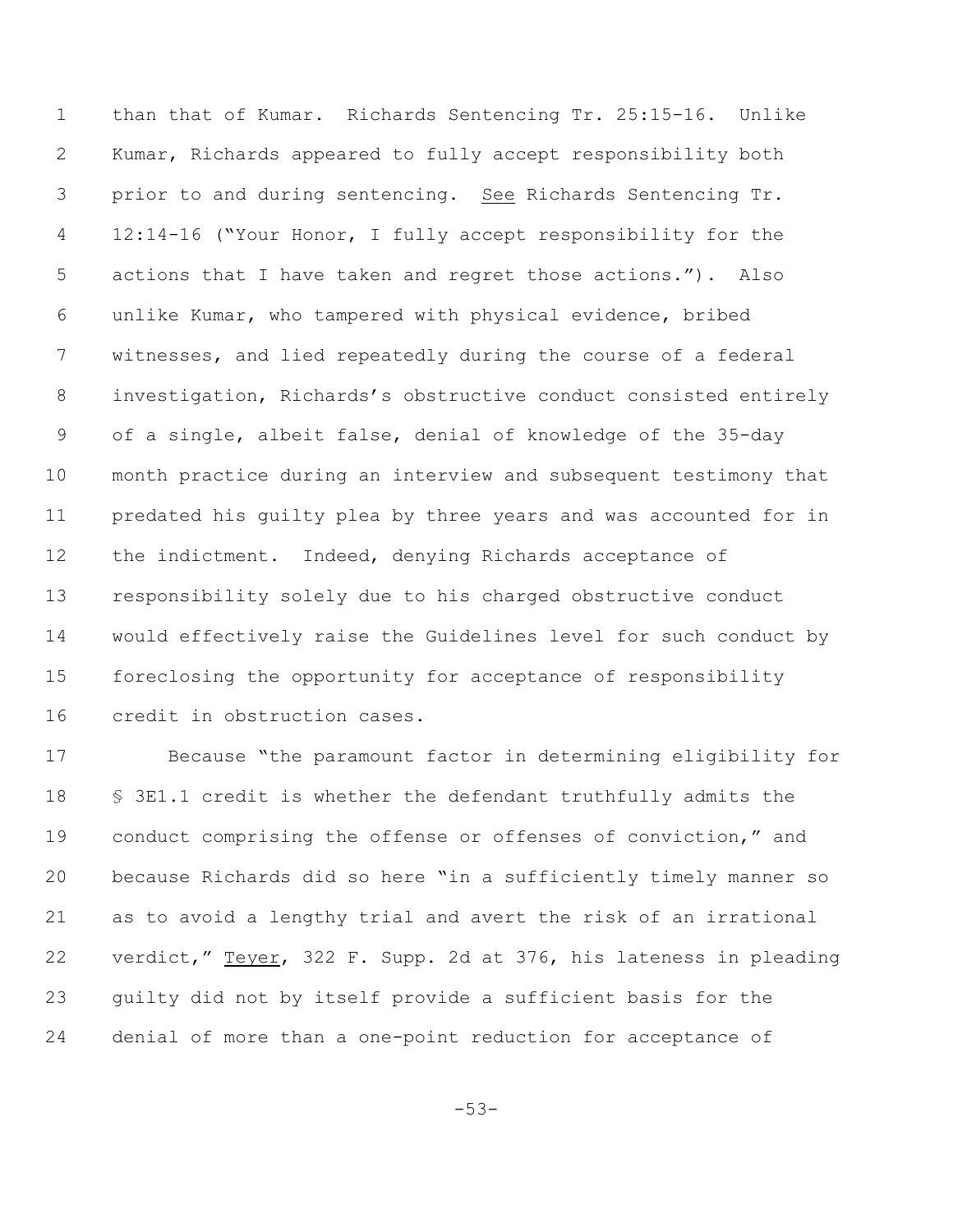than that of Kumar. Richards Sentencing Tr. 25:15-16. Unlike Kumar, Richards appeared to fully accept responsibility both prior to and during sentencing. See Richards Sentencing Tr. 12:14-16 ("Your Honor, I fully accept responsibility for the actions that I have taken and regret those actions."). Also unlike Kumar, who tampered with physical evidence, bribed witnesses, and lied repeatedly during the course of a federal investigation, Richards's obstructive conduct consisted entirely of a single, albeit false, denial of knowledge of the 35-day month practice during an interview and subsequent testimony that predated his guilty plea by three years and was accounted for in 12 the indictment. Indeed, denying Richards acceptance of responsibility solely due to his charged obstructive conduct would effectively raise the Guidelines level for such conduct by foreclosing the opportunity for acceptance of responsibility credit in obstruction cases.

 Because "the paramount factor in determining eligibility for § 3E1.1 credit is whether the defendant truthfully admits the conduct comprising the offense or offenses of conviction," and because Richards did so here "in a sufficiently timely manner so as to avoid a lengthy trial and avert the risk of an irrational verdict," Teyer, 322 F. Supp. 2d at 376, his lateness in pleading guilty did not by itself provide a sufficient basis for the denial of more than a one-point reduction for acceptance of

-53-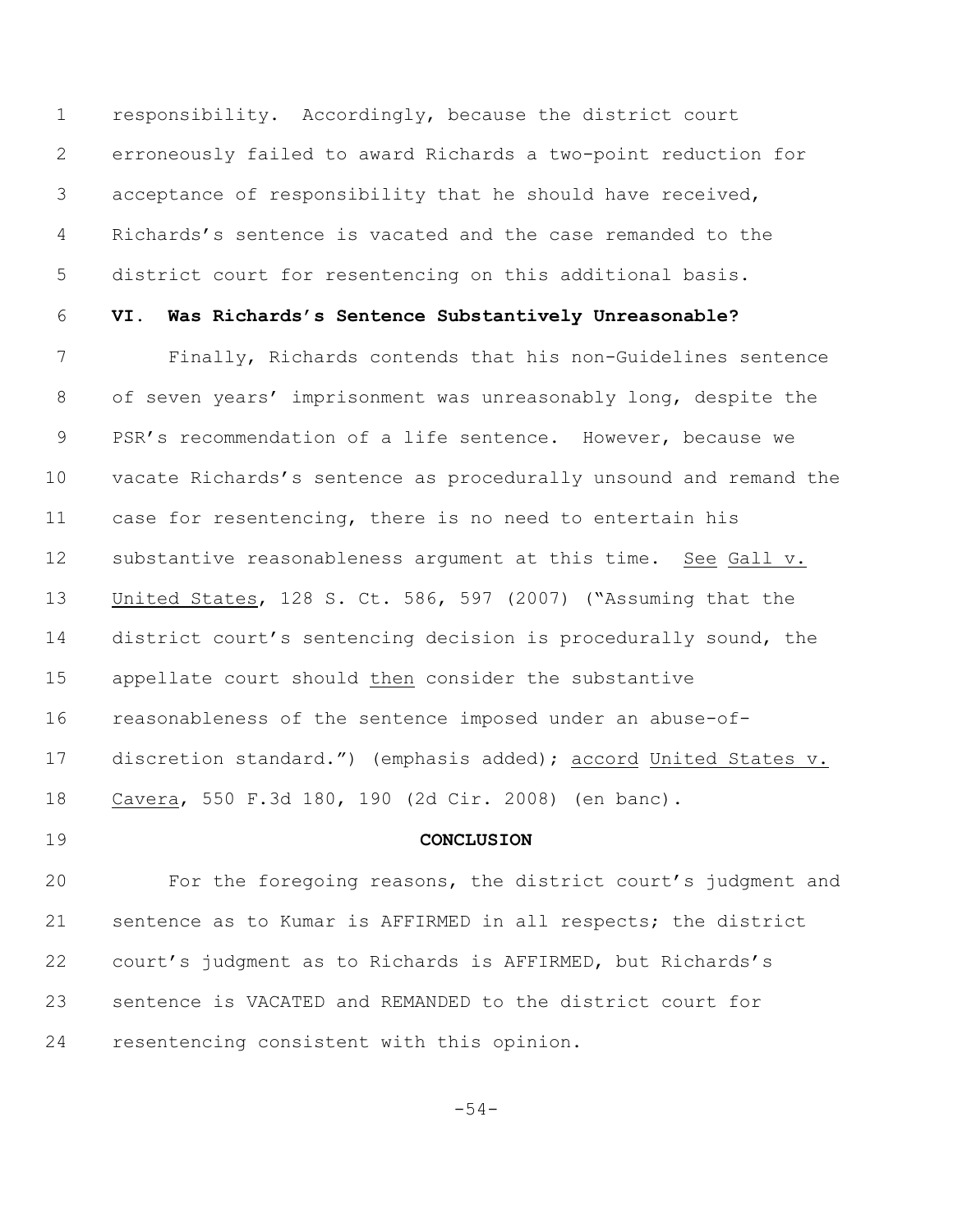responsibility. Accordingly, because the district court erroneously failed to award Richards a two-point reduction for acceptance of responsibility that he should have received, Richards's sentence is vacated and the case remanded to the district court for resentencing on this additional basis.

#### **VI. Was Richards's Sentence Substantively Unreasonable?**

 Finally, Richards contends that his non-Guidelines sentence of seven years' imprisonment was unreasonably long, despite the PSR's recommendation of a life sentence. However, because we vacate Richards's sentence as procedurally unsound and remand the case for resentencing, there is no need to entertain his substantive reasonableness argument at this time. See Gall v. United States, 128 S. Ct. 586, 597 (2007) ("Assuming that the district court's sentencing decision is procedurally sound, the appellate court should then consider the substantive reasonableness of the sentence imposed under an abuse-of- discretion standard.") (emphasis added); accord United States v. Cavera, 550 F.3d 180, 190 (2d Cir. 2008) (en banc).

#### **CONCLUSION**

 For the foregoing reasons, the district court's judgment and sentence as to Kumar is AFFIRMED in all respects; the district court's judgment as to Richards is AFFIRMED, but Richards's sentence is VACATED and REMANDED to the district court for resentencing consistent with this opinion.

-54-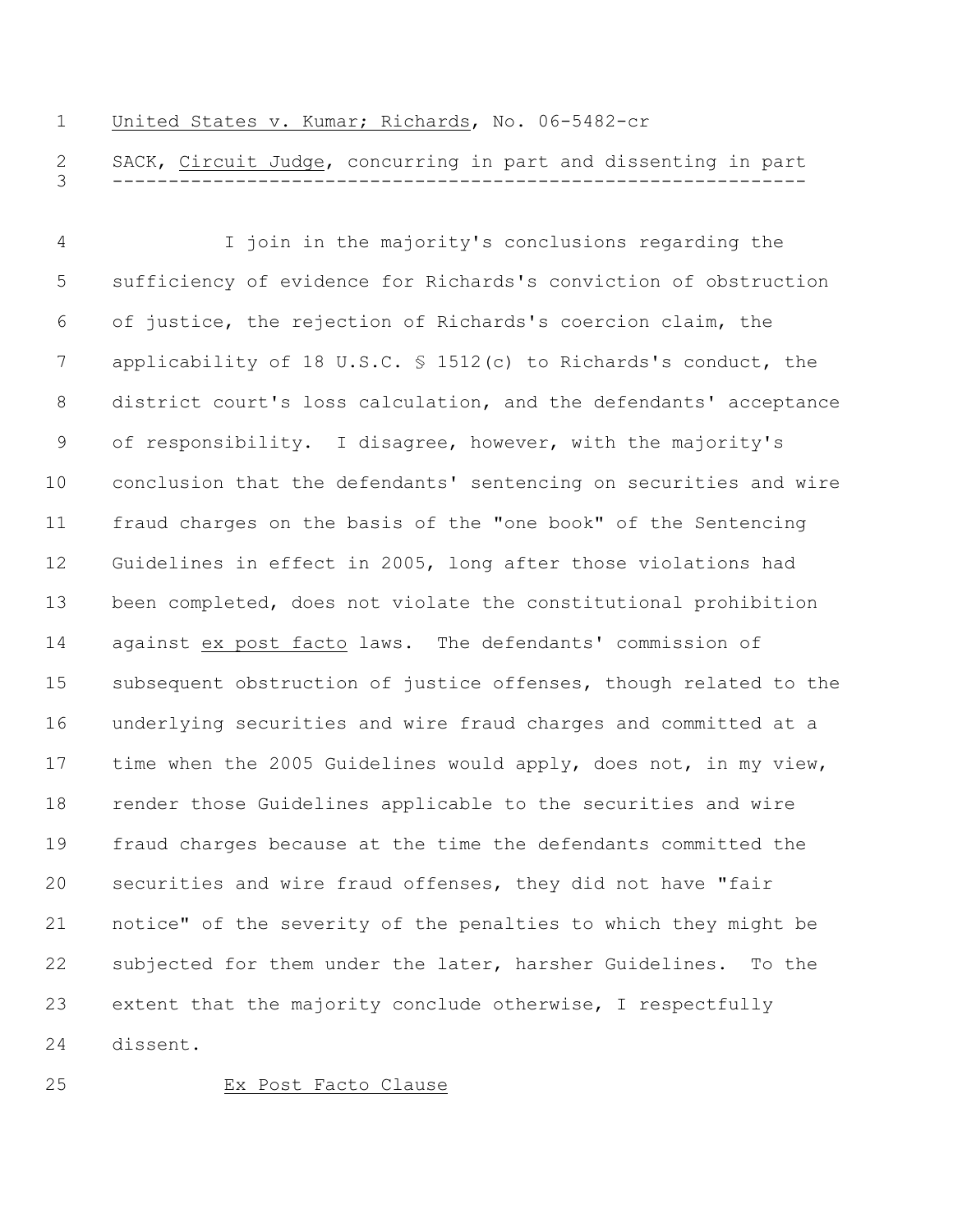#### United States v. Kumar; Richards, No. 06-5482-cr

 SACK, Circuit Judge, concurring in part and dissenting in part --------------------------------------------------------------

 I join in the majority's conclusions regarding the sufficiency of evidence for Richards's conviction of obstruction of justice, the rejection of Richards's coercion claim, the applicability of 18 U.S.C. § 1512(c) to Richards's conduct, the district court's loss calculation, and the defendants' acceptance of responsibility. I disagree, however, with the majority's conclusion that the defendants' sentencing on securities and wire fraud charges on the basis of the "one book" of the Sentencing Guidelines in effect in 2005, long after those violations had been completed, does not violate the constitutional prohibition against ex post facto laws. The defendants' commission of subsequent obstruction of justice offenses, though related to the underlying securities and wire fraud charges and committed at a time when the 2005 Guidelines would apply, does not, in my view, render those Guidelines applicable to the securities and wire fraud charges because at the time the defendants committed the securities and wire fraud offenses, they did not have "fair notice" of the severity of the penalties to which they might be subjected for them under the later, harsher Guidelines. To the extent that the majority conclude otherwise, I respectfully dissent.

#### Ex Post Facto Clause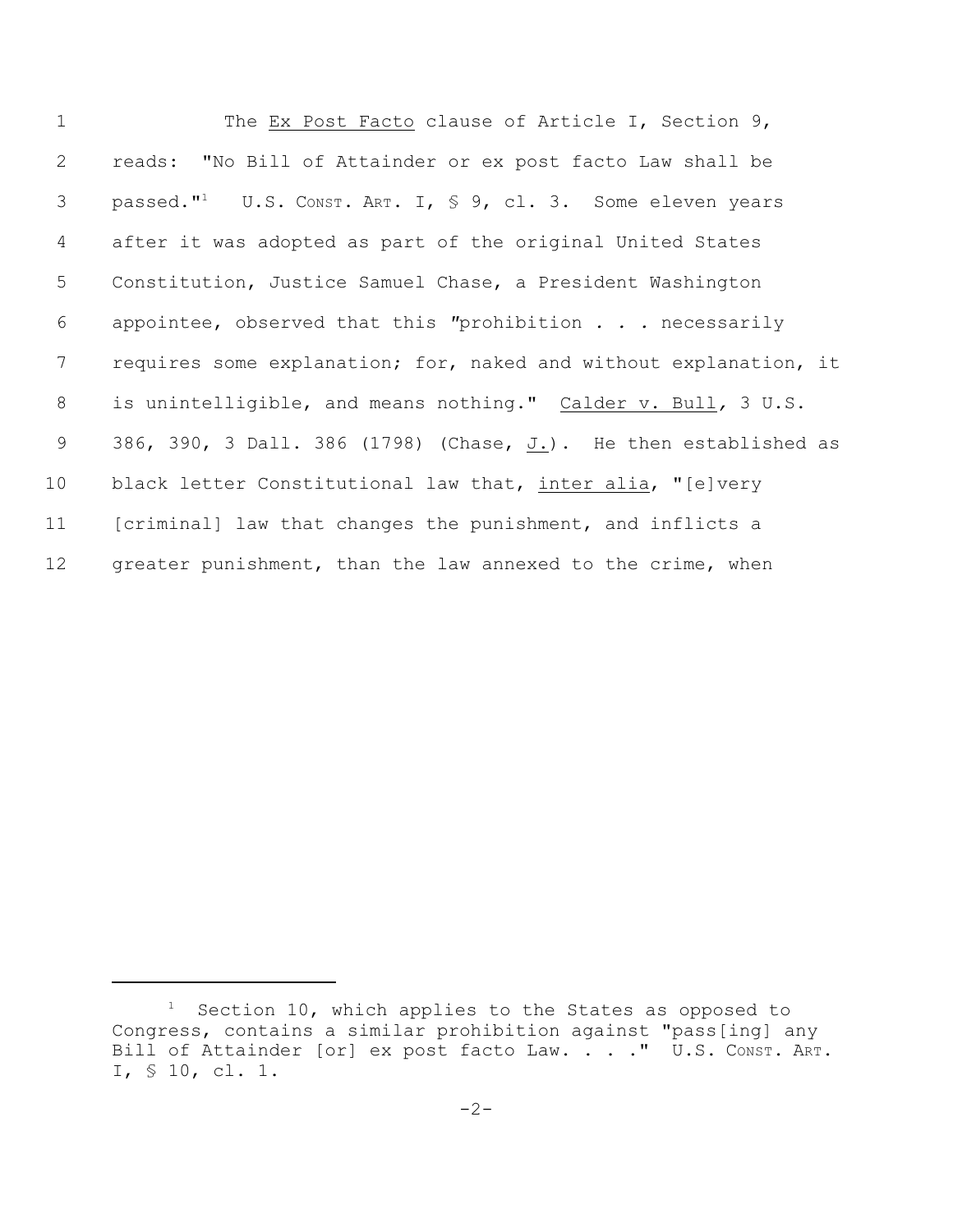| $\mathbf 1$     | The Ex Post Facto clause of Article I, Section 9,                                   |
|-----------------|-------------------------------------------------------------------------------------|
| $\mathbf{2}$    | reads: "No Bill of Attainder or ex post facto Law shall be                          |
| 3               | passed." <sup>1</sup> U.S. CONST. ART. I, $\frac{1}{5}$ 9, cl. 3. Some eleven years |
| 4               | after it was adopted as part of the original United States                          |
| 5               | Constitution, Justice Samuel Chase, a President Washington                          |
| 6               | appointee, observed that this "prohibition $\ldots$ necessarily                     |
| $7\phantom{.0}$ | requires some explanation; for, naked and without explanation, it                   |
| 8               | is unintelligible, and means nothing." Calder v. Bull, 3 U.S.                       |
| 9               | 386, 390, 3 Dall. 386 (1798) (Chase, $J_L$ ). He then established as                |
| 10              | black letter Constitutional law that, inter alia, "[e]very                          |
| 11              | [criminal] law that changes the punishment, and inflicts a                          |
| 12              | greater punishment, than the law annexed to the crime, when                         |

 Section 10, which applies to the States as opposed to Congress, contains a similar prohibition against "pass[ing] any Bill of Attainder [or] ex post facto Law. . . . " U.S. Const. ART. I, § 10, cl. 1.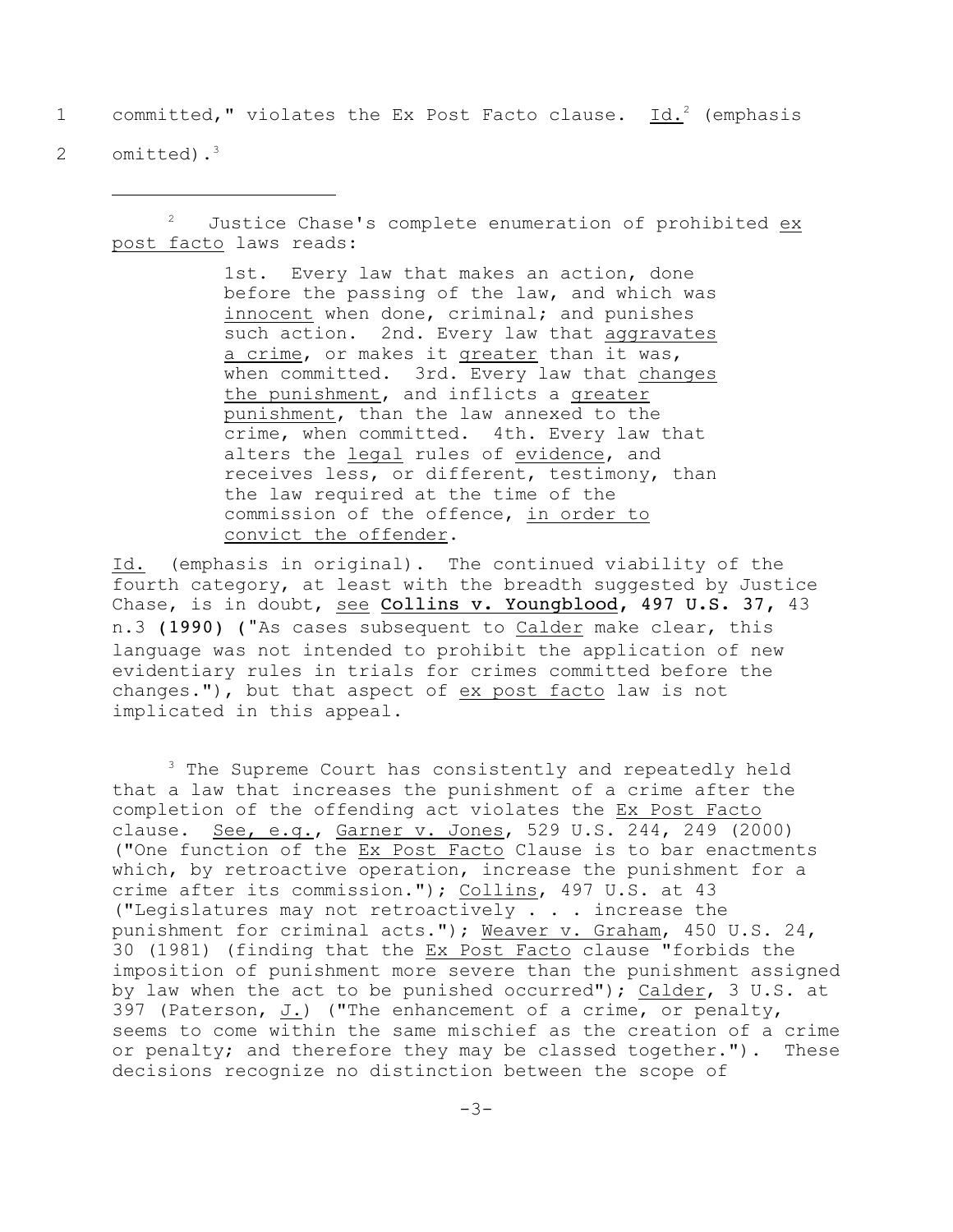1 committed," violates the Ex Post Facto clause. Id.<sup>2</sup> (emphasis

2 omitted).<sup>3</sup>

 $1<sup>2</sup>$  Justice Chase's complete enumeration of prohibited ex post facto laws reads:

> 1st. Every law that makes an action, done before the passing of the law, and which was innocent when done, criminal; and punishes such action. 2nd. Every law that aggravates a crime, or makes it greater than it was, when committed. 3rd. Every law that changes the punishment, and inflicts a greater punishment, than the law annexed to the crime, when committed. 4th. Every law that alters the legal rules of evidence, and receives less, or different, testimony, than the law required at the time of the commission of the offence, in order to convict the offender.

Id. (emphasis in original). The continued viability of the fourth category, at least with the breadth suggested by Justice Chase, is in doubt, see Collins v. Youngblood, 497 U.S. 37, 43 n.3 (1990) ("As cases subsequent to Calder make clear, this language was not intended to prohibit the application of new evidentiary rules in trials for crimes committed before the changes."), but that aspect of ex post facto law is not implicated in this appeal.

 $3$  The Supreme Court has consistently and repeatedly held that a law that increases the punishment of a crime after the completion of the offending act violates the Ex Post Facto clause. See, e.g., Garner v. Jones, 529 U.S. 244, 249 (2000) ("One function of the Ex Post Facto Clause is to bar enactments which, by retroactive operation, increase the punishment for a crime after its commission."); Collins, 497 U.S. at 43 ("Legislatures may not retroactively . . . increase the punishment for criminal acts."); Weaver v. Graham, 450 U.S. 24, 30 (1981) (finding that the Ex Post Facto clause "forbids the imposition of punishment more severe than the punishment assigned by law when the act to be punished occurred"); Calder, 3 U.S. at 397 (Paterson, J.) ("The enhancement of a crime, or penalty, seems to come within the same mischief as the creation of a crime or penalty; and therefore they may be classed together."). These decisions recognize no distinction between the scope of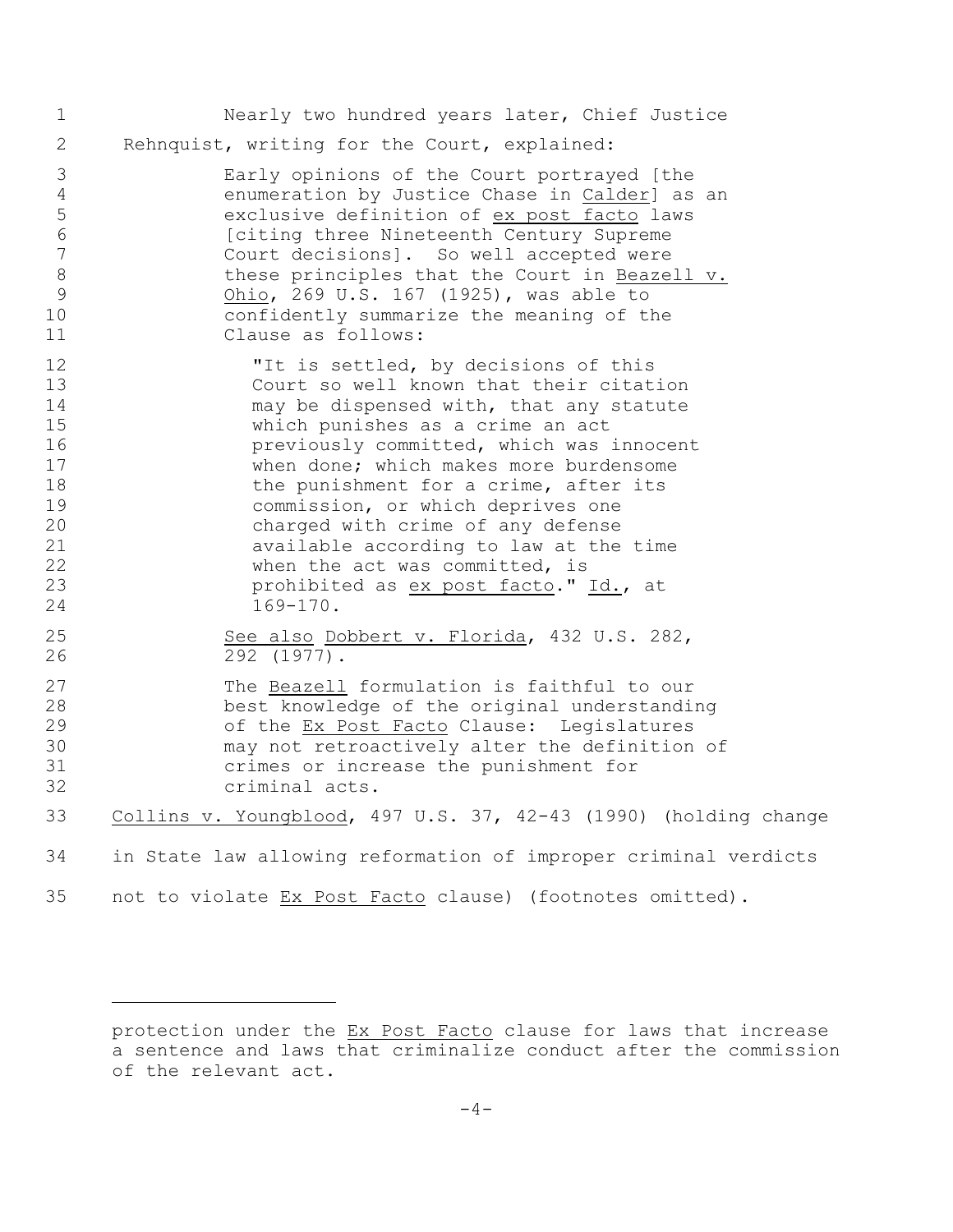| $\mathbf 1$                                                                 | Nearly two hundred years later, Chief Justice                                                                                                                                                                                                                                                                                                                                                                                                                                                                 |
|-----------------------------------------------------------------------------|---------------------------------------------------------------------------------------------------------------------------------------------------------------------------------------------------------------------------------------------------------------------------------------------------------------------------------------------------------------------------------------------------------------------------------------------------------------------------------------------------------------|
| $\overline{2}$                                                              | Rehnquist, writing for the Court, explained:                                                                                                                                                                                                                                                                                                                                                                                                                                                                  |
| 3<br>$\overline{4}$<br>5<br>6<br>$\overline{7}$<br>$\,8\,$<br>9<br>10<br>11 | Early opinions of the Court portrayed [the<br>enumeration by Justice Chase in Calder] as an<br>exclusive definition of ex post facto laws<br>[citing three Nineteenth Century Supreme<br>Court decisions]. So well accepted were<br>these principles that the Court in Beazell v.<br>Ohio, 269 U.S. 167 (1925), was able to<br>confidently summarize the meaning of the<br>Clause as follows:                                                                                                                 |
| 12<br>13<br>14<br>15<br>16<br>17<br>18<br>19<br>20<br>21<br>22<br>23<br>24  | "It is settled, by decisions of this<br>Court so well known that their citation<br>may be dispensed with, that any statute<br>which punishes as a crime an act<br>previously committed, which was innocent<br>when done; which makes more burdensome<br>the punishment for a crime, after its<br>commission, or which deprives one<br>charged with crime of any defense<br>available according to law at the time<br>when the act was committed, is<br>prohibited as ex post facto." Id., at<br>$169 - 170$ . |
| 25<br>26                                                                    | See also Dobbert v. Florida, 432 U.S. 282,<br>292 (1977).                                                                                                                                                                                                                                                                                                                                                                                                                                                     |
| 27<br>28<br>29<br>30<br>31<br>32                                            | The Beazell formulation is faithful to our<br>best knowledge of the original understanding<br>of the Ex Post Facto Clause: Legislatures<br>may not retroactively alter the definition of<br>crimes or increase the punishment for<br>criminal acts.                                                                                                                                                                                                                                                           |
| 33                                                                          | Collins v. Youngblood, 497 U.S. 37, 42-43 (1990) (holding change                                                                                                                                                                                                                                                                                                                                                                                                                                              |
| 34                                                                          | in State law allowing reformation of improper criminal verdicts                                                                                                                                                                                                                                                                                                                                                                                                                                               |
| 35                                                                          | not to violate Ex Post Facto clause) (footnotes omitted).                                                                                                                                                                                                                                                                                                                                                                                                                                                     |

protection under the Ex Post Facto clause for laws that increase a sentence and laws that criminalize conduct after the commission of the relevant act.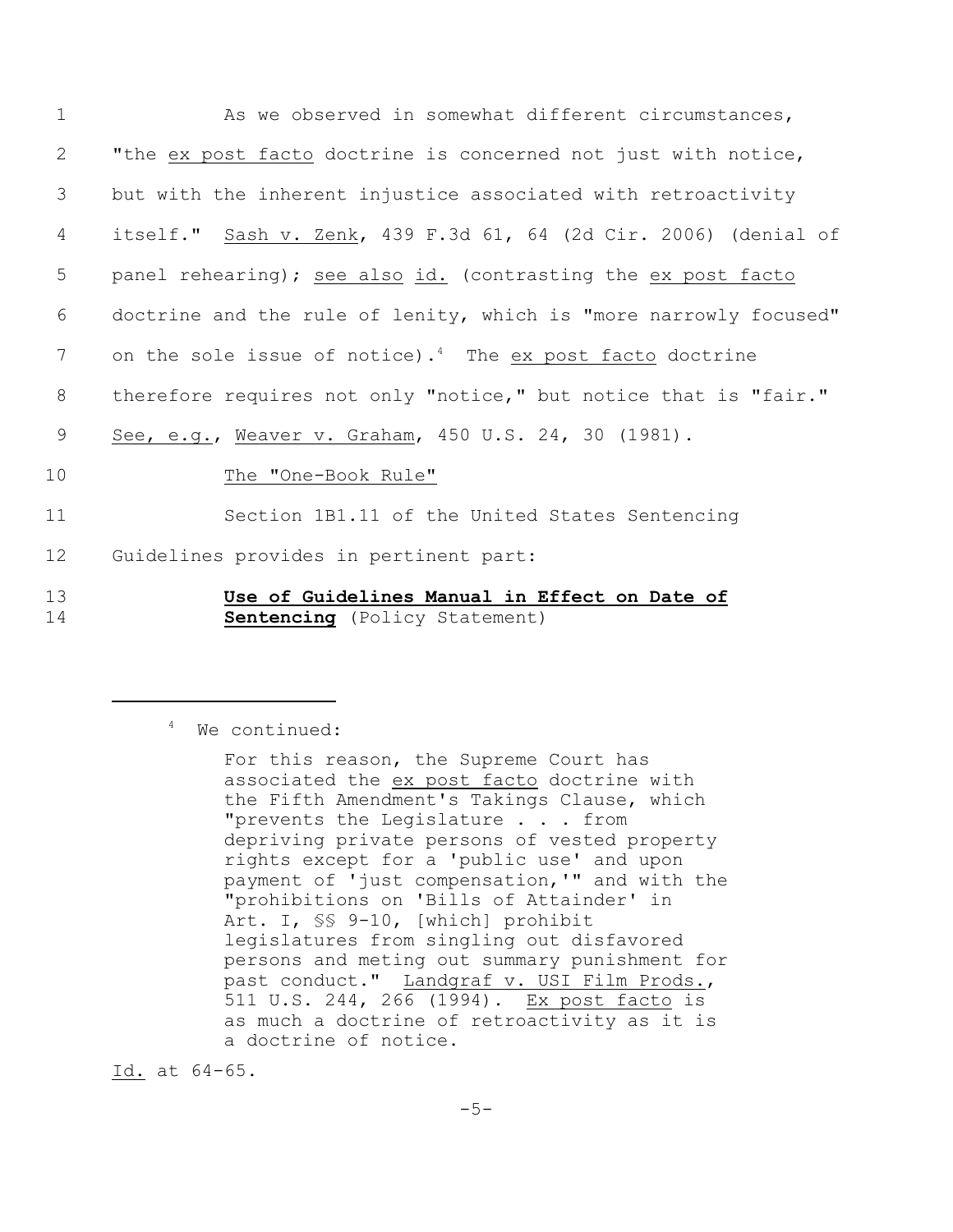| $\mathbf 1$ | As we observed in somewhat different circumstances,                                   |
|-------------|---------------------------------------------------------------------------------------|
| 2           | "the ex post facto doctrine is concerned not just with notice,                        |
| 3           | but with the inherent injustice associated with retroactivity                         |
| 4           | itself." Sash v. Zenk, 439 F.3d 61, 64 (2d Cir. 2006) (denial of                      |
| 5           | panel rehearing); see also id. (contrasting the ex post facto                         |
| 6           | doctrine and the rule of lenity, which is "more narrowly focused"                     |
| 7           | on the sole issue of notice). <sup>4</sup> The ex post facto doctrine                 |
| 8           | therefore requires not only "notice," but notice that is "fair."                      |
| 9           | See, e.g., Weaver v. Graham, 450 U.S. 24, 30 (1981).                                  |
| 10          | The "One-Book Rule"                                                                   |
| 11          | Section 1B1.11 of the United States Sentencing                                        |
| 12          | Guidelines provides in pertinent part:                                                |
| 13<br>14    | Use of Guidelines Manual in Effect on Date of<br><b>Sentencing</b> (Policy Statement) |

<sup>4</sup> We continued:

Id. at 64-65.

For this reason, the Supreme Court has associated the ex post facto doctrine with the Fifth Amendment's Takings Clause, which "prevents the Legislature . . . from depriving private persons of vested property rights except for a 'public use' and upon payment of 'just compensation,'" and with the "prohibitions on 'Bills of Attainder' in Art. I, §§ 9-10, [which] prohibit legislatures from singling out disfavored persons and meting out summary punishment for past conduct." Landgraf v. USI Film Prods., 511 U.S. 244, 266 (1994). Ex post facto is as much a doctrine of retroactivity as it is a doctrine of notice.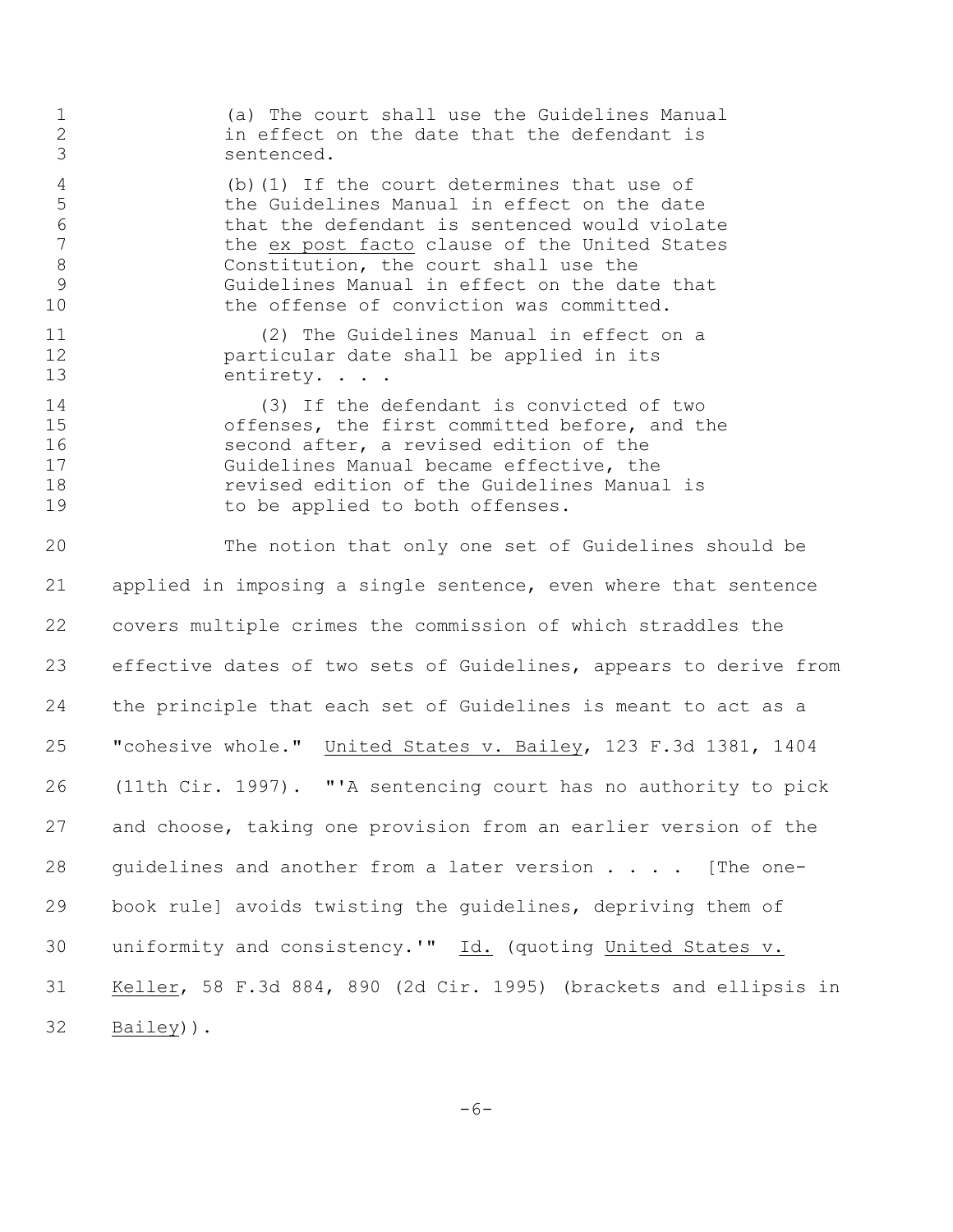(a) The court shall use the Guidelines Manual in effect on the date that the defendant is sentenced. (b)(1) If the court determines that use of the Guidelines Manual in effect on the date that the defendant is sentenced would violate the ex post facto clause of the United States 8 Constitution, the court shall use the Guidelines Manual in effect on the date that 10 the offense of conviction was committed. 11 (2) The Guidelines Manual in effect on a particular date shall be applied in its 13 entirety. . . . 14 (3) If the defendant is convicted of two 15 offenses, the first committed before, and the<br>16 second after, a revised edition of the second after, a revised edition of the Guidelines Manual became effective, the revised edition of the Guidelines Manual is 19 to be applied to both offenses. The notion that only one set of Guidelines should be applied in imposing a single sentence, even where that sentence covers multiple crimes the commission of which straddles the effective dates of two sets of Guidelines, appears to derive from the principle that each set of Guidelines is meant to act as a "cohesive whole." United States v. Bailey, 123 F.3d 1381, 1404 (11th Cir. 1997). "'A sentencing court has no authority to pick and choose, taking one provision from an earlier version of the guidelines and another from a later version . . . . [The one- book rule] avoids twisting the guidelines, depriving them of 30 uniformity and consistency.'" Id. (quoting United States v. Keller, 58 F.3d 884, 890 (2d Cir. 1995) (brackets and ellipsis in Bailey)).

-6-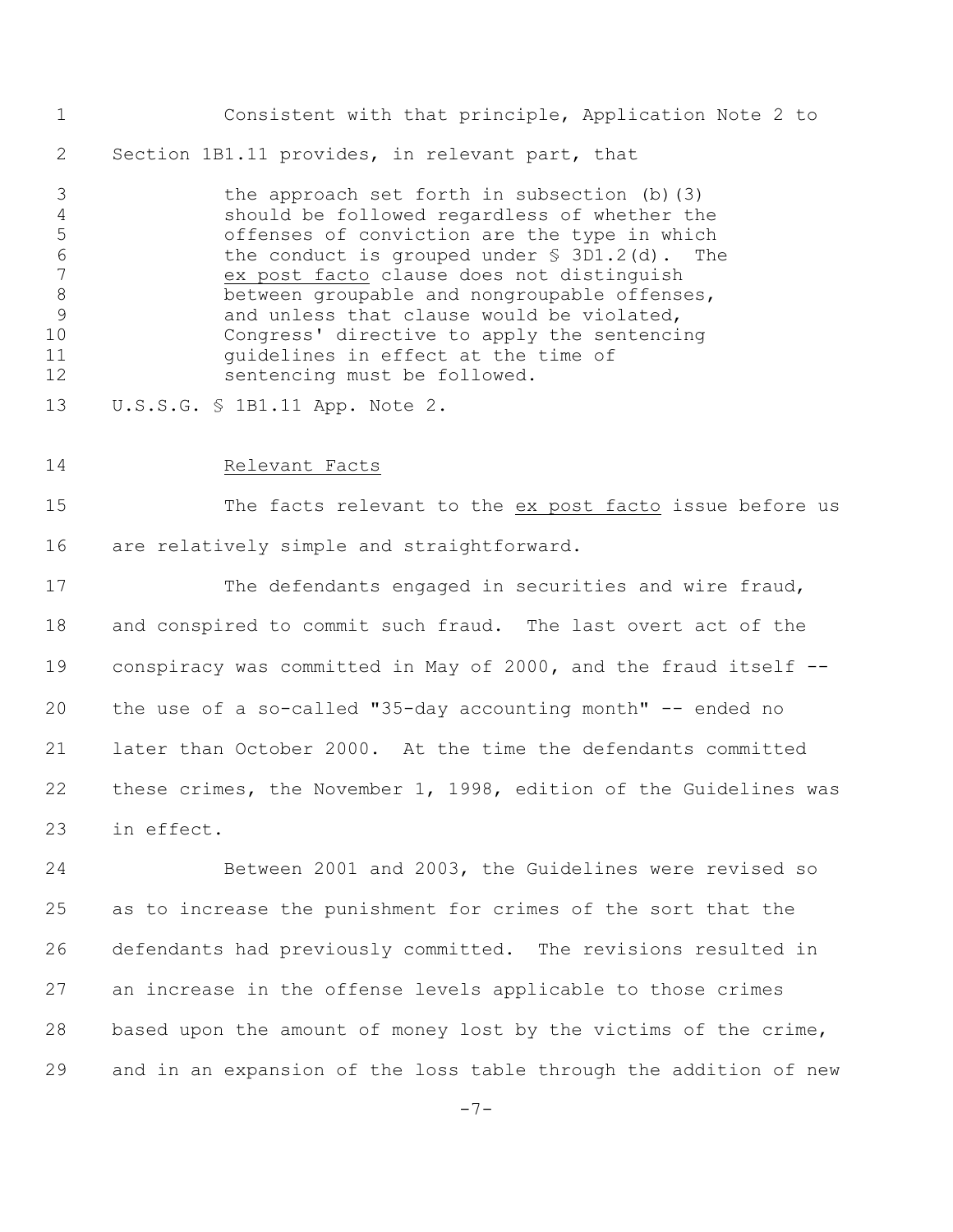Consistent with that principle, Application Note 2 to 2 Section 1B1.11 provides, in relevant part, that

 the approach set forth in subsection (b)(3) should be followed regardless of whether the offenses of conviction are the type in which the conduct is grouped under § 3D1.2(d). The ex post facto clause does not distinguish 8 between groupable and nongroupable offenses, 9 3 3 and unless that clause would be violated, Congress' directive to apply the sentencing guidelines in effect at the time of sentencing must be followed.

- U.S.S.G. § 1B1.11 App. Note 2.
- Relevant Facts

 The facts relevant to the ex post facto issue before us are relatively simple and straightforward.

17 The defendants engaged in securities and wire fraud, and conspired to commit such fraud. The last overt act of the conspiracy was committed in May of 2000**,** and the fraud itself -- the use of a so-called "35-day accounting month" -- ended no later than October 2000. At the time the defendants committed these crimes, the November 1, 1998, edition of the Guidelines was in effect.

 Between 2001 and 2003, the Guidelines were revised so as to increase the punishment for crimes of the sort that the defendants had previously committed. The revisions resulted in an increase in the offense levels applicable to those crimes based upon the amount of money lost by the victims of the crime, and in an expansion of the loss table through the addition of new

-7-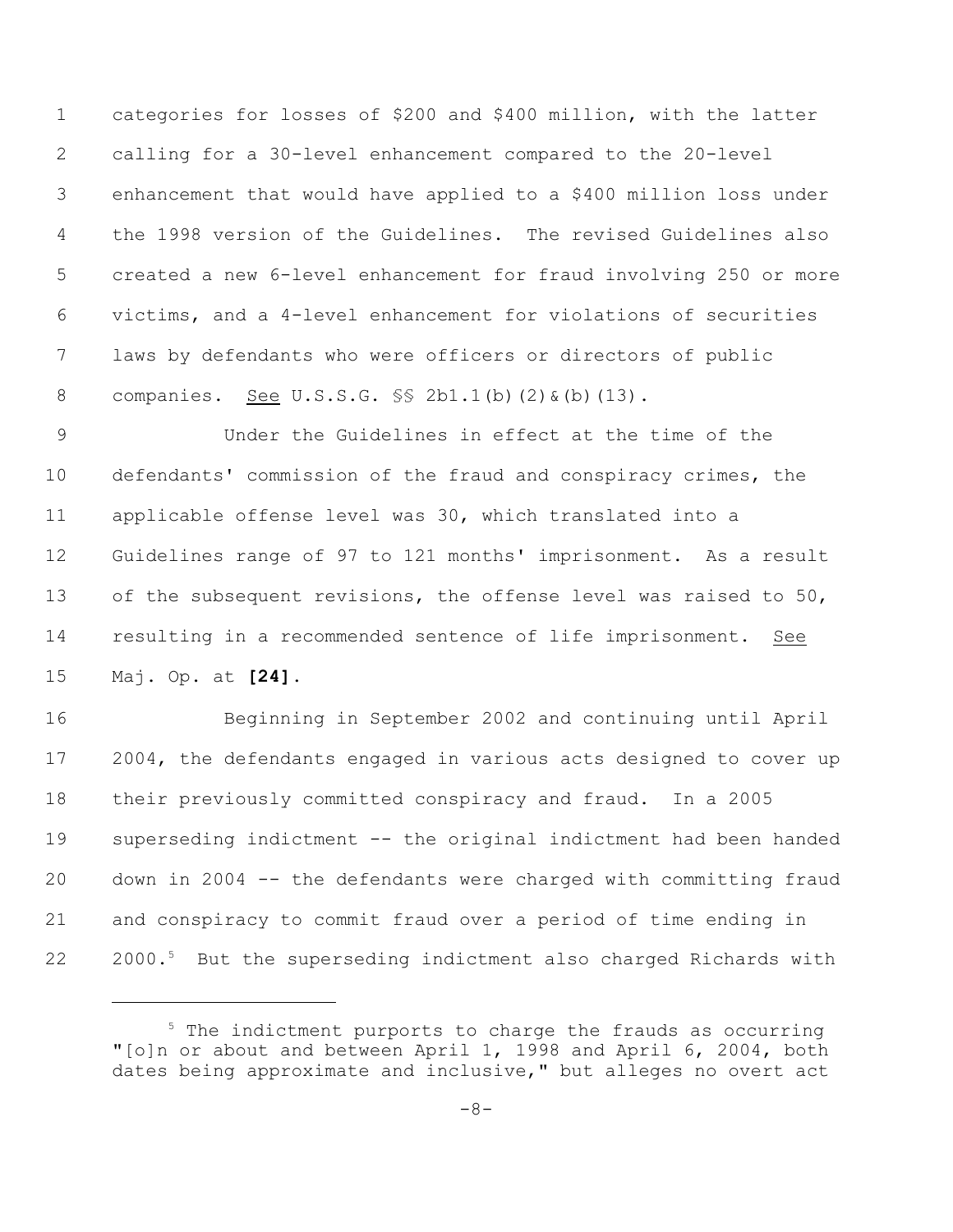categories for losses of \$200 and \$400 million, with the latter calling for a 30-level enhancement compared to the 20-level enhancement that would have applied to a \$400 million loss under the 1998 version of the Guidelines. The revised Guidelines also created a new 6-level enhancement for fraud involving 250 or more victims, and a 4-level enhancement for violations of securities laws by defendants who were officers or directors of public companies. See U.S.S.G. §§ 2b1.1(b)(2)&(b)(13).

 Under the Guidelines in effect at the time of the defendants' commission of the fraud and conspiracy crimes, the applicable offense level was 30, which translated into a Guidelines range of 97 to 121 months' imprisonment. As a result 13 of the subsequent revisions, the offense level was raised to 50, resulting in a recommended sentence of life imprisonment. See Maj. Op. at **[24]**.

 Beginning in September 2002 and continuing until April 17 2004, the defendants engaged in various acts designed to cover up their previously committed conspiracy and fraud. In a 2005 superseding indictment -- the original indictment had been handed down in 2004 -- the defendants were charged with committing fraud and conspiracy to commit fraud over a period of time ending in 22 2000.<sup>5</sup> But the superseding indictment also charged Richards with

 The indictment purports to charge the frauds as occurring "[o]n or about and between April 1, 1998 and April 6, 2004, both dates being approximate and inclusive," but alleges no overt act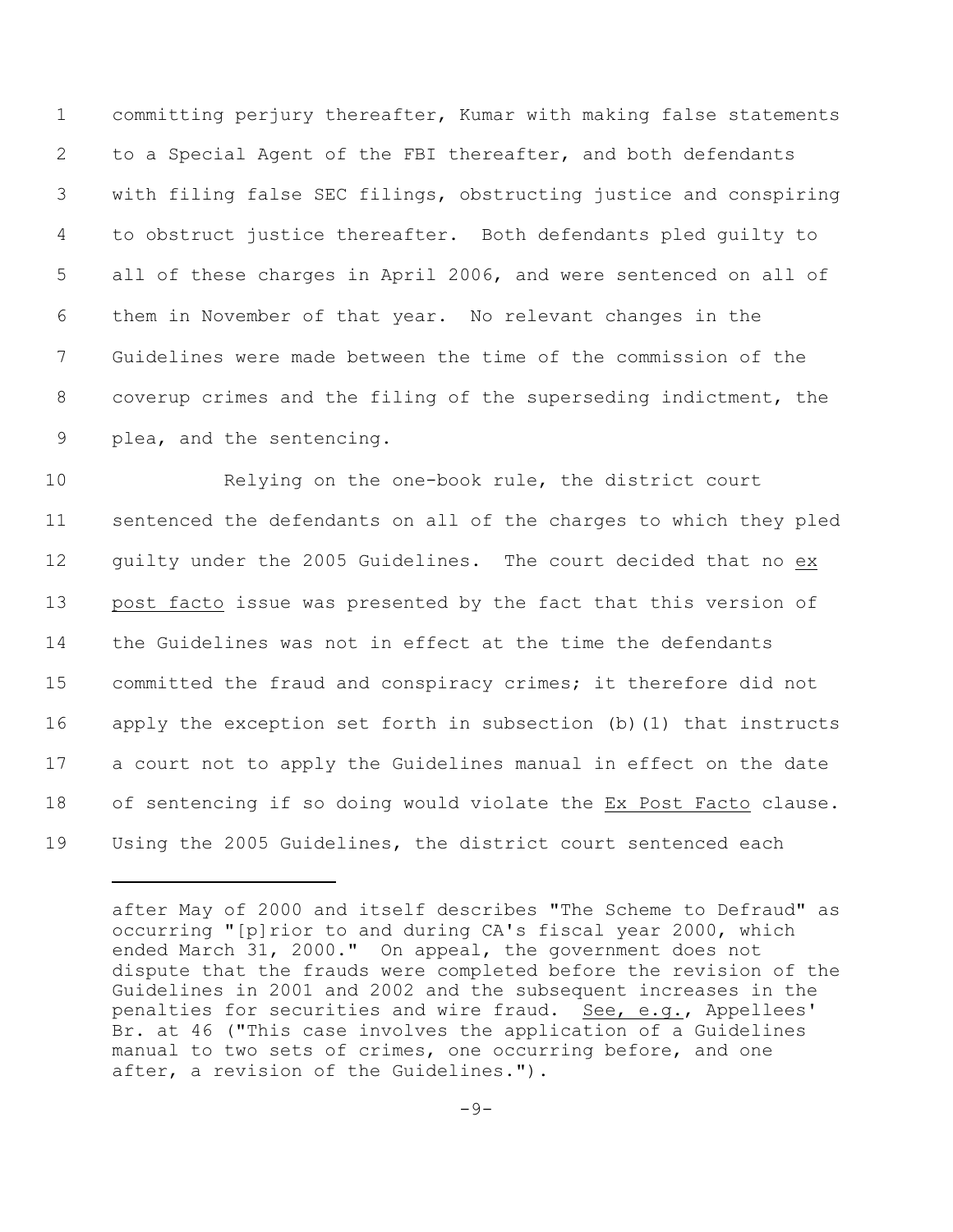committing perjury thereafter, Kumar with making false statements to a Special Agent of the FBI thereafter, and both defendants with filing false SEC filings, obstructing justice and conspiring to obstruct justice thereafter. Both defendants pled guilty to all of these charges in April 2006, and were sentenced on all of them in November of that year. No relevant changes in the Guidelines were made between the time of the commission of the coverup crimes and the filing of the superseding indictment, the plea, and the sentencing**.**

 Relying on the one-book rule, the district court sentenced the defendants on all of the charges to which they pled guilty under the 2005 Guidelines. The court decided that no ex post facto issue was presented by the fact that this version of the Guidelines was not in effect at the time the defendants committed the fraud and conspiracy crimes; it therefore did not apply the exception set forth in subsection (b)(1) that instructs a court not to apply the Guidelines manual in effect on the date of sentencing if so doing would violate the Ex Post Facto clause. Using the 2005 Guidelines, the district court sentenced each

after May of 2000 and itself describes "The Scheme to Defraud" as occurring "[p]rior to and during CA's fiscal year 2000, which ended March 31, 2000." On appeal, the government does not dispute that the frauds were completed before the revision of the Guidelines in 2001 and 2002 and the subsequent increases in the penalties for securities and wire fraud. See, e.g., Appellees' Br. at 46 ("This case involves the application of a Guidelines manual to two sets of crimes, one occurring before, and one after, a revision of the Guidelines.").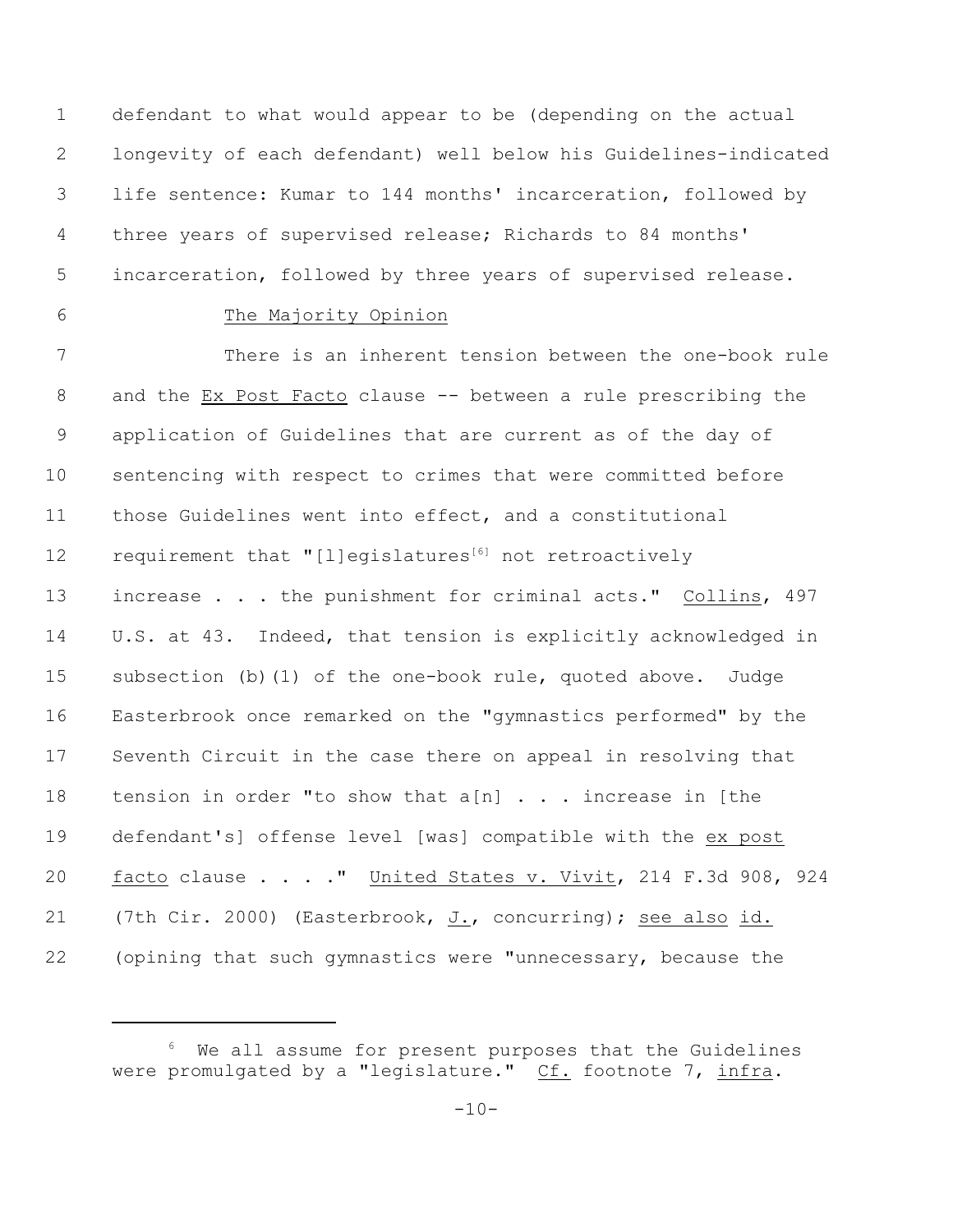defendant to what would appear to be (depending on the actual longevity of each defendant) well below his Guidelines-indicated life sentence: Kumar to 144 months' incarceration, followed by three years of supervised release; Richards to 84 months' incarceration, followed by three years of supervised release.

## The Majority Opinion

 There is an inherent tension between the one-book rule and the Ex Post Facto clause -- between a rule prescribing the application of Guidelines that are current as of the day of sentencing with respect to crimes that were committed before those Guidelines went into effect, and a constitutional 12 requirement that "[l]egislatures $^{[6]}$  not retroactively increase . . . the punishment for criminal acts." Collins, 497 U.S. at 43. Indeed, that tension is explicitly acknowledged in subsection (b)(1) of the one-book rule, quoted above. Judge Easterbrook once remarked on the "gymnastics performed" by the Seventh Circuit in the case there on appeal in resolving that 18 tension in order "to show that  $a[n]$  . . . increase in [the defendant's] offense level [was] compatible with the ex post facto clause . . . ." United States v. Vivit, 214 F.3d 908, 924 (7th Cir. 2000) (Easterbrook, J., concurring); see also id. (opining that such gymnastics were "unnecessary, because the

We all assume for present purposes that the Guidelines were promulgated by a "legislature." Cf. footnote 7, infra.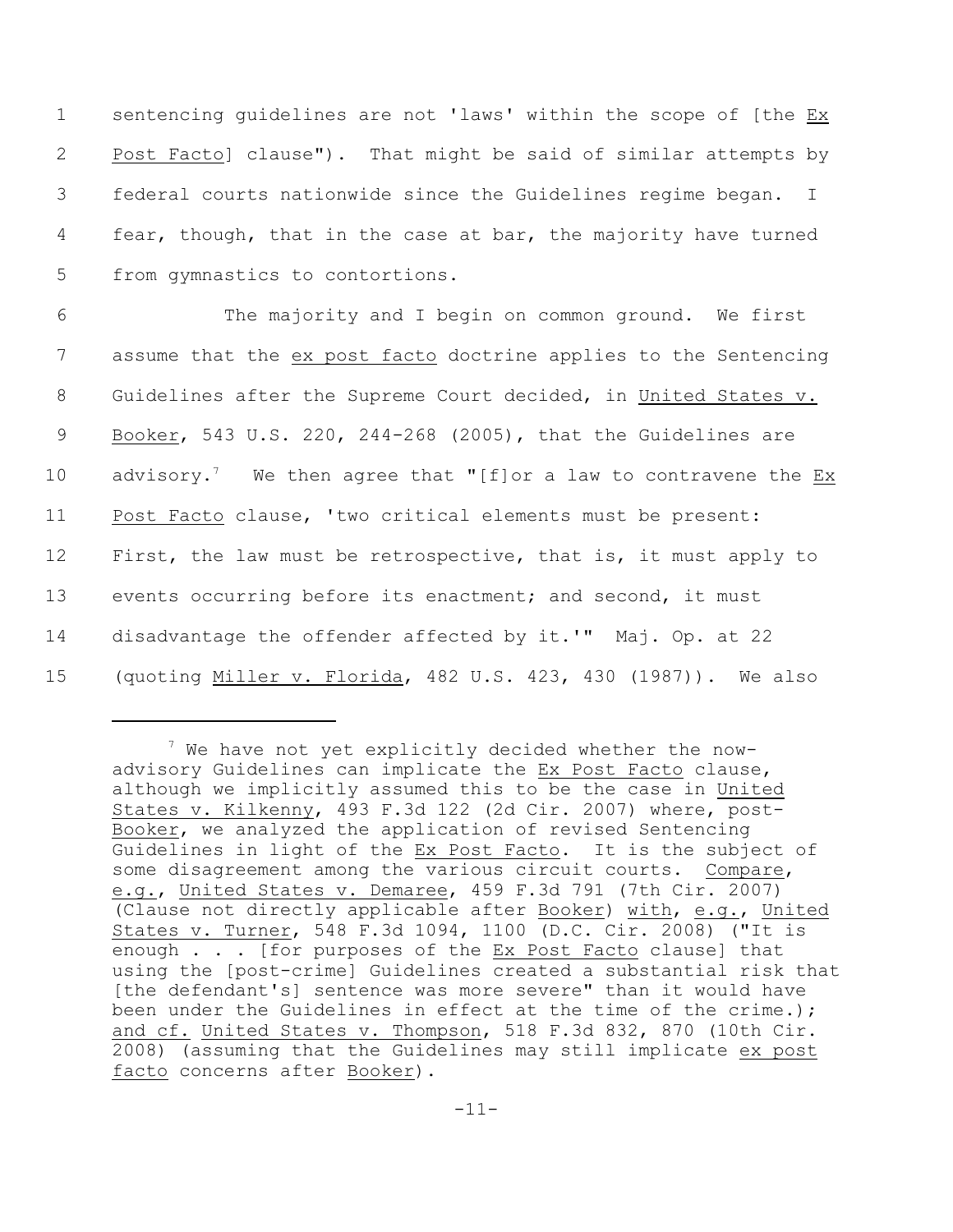1 sentencing guidelines are not 'laws' within the scope of [the Ex Post Facto] clause"). That might be said of similar attempts by federal courts nationwide since the Guidelines regime began. I fear, though, that in the case at bar, the majority have turned from gymnastics to contortions.

 The majority and I begin on common ground. We first assume that the ex post facto doctrine applies to the Sentencing Guidelines after the Supreme Court decided, in United States v. Booker, 543 U.S. 220, 244-268 (2005), that the Guidelines are 10 advisory.<sup>7</sup> We then agree that "[f]or a law to contravene the Ex Post Facto clause, 'two critical elements must be present: 12 First, the law must be retrospective, that is, it must apply to events occurring before its enactment; and second, it must disadvantage the offender affected by it.'" Maj. Op. at 22 (quoting Miller v. Florida, 482 U.S. 423, 430 (1987)). We also

 $7$  We have not yet explicitly decided whether the nowadvisory Guidelines can implicate the Ex Post Facto clause, although we implicitly assumed this to be the case in United States v. Kilkenny, 493 F.3d 122 (2d Cir. 2007) where, post-Booker, we analyzed the application of revised Sentencing Guidelines in light of the Ex Post Facto. It is the subject of some disagreement among the various circuit courts. Compare, e.g., United States v. Demaree, 459 F.3d 791 (7th Cir. 2007) (Clause not directly applicable after Booker) with, e.g., United States v. Turner, 548 F.3d 1094, 1100 (D.C. Cir. 2008) ("It is enough . . . [for purposes of the Ex Post Facto clause] that using the [post-crime] Guidelines created a substantial risk that [the defendant's] sentence was more severe" than it would have been under the Guidelines in effect at the time of the crime.); and cf. United States v. Thompson, 518 F.3d 832, 870 (10th Cir. 2008) (assuming that the Guidelines may still implicate ex post facto concerns after Booker).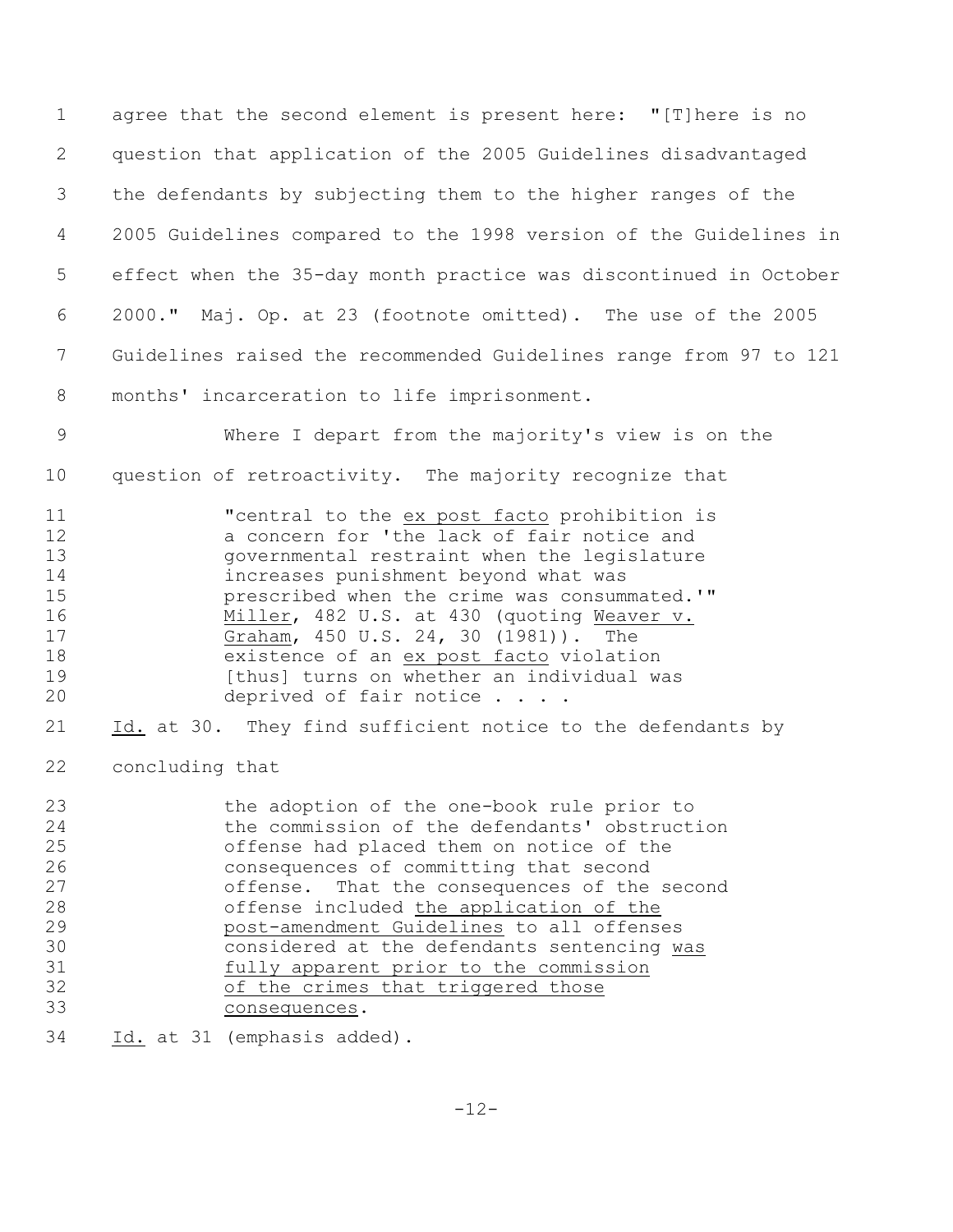agree that the second element is present here: "[T]here is no question that application of the 2005 Guidelines disadvantaged the defendants by subjecting them to the higher ranges of the 2005 Guidelines compared to the 1998 version of the Guidelines in effect when the 35-day month practice was discontinued in October 2000." Maj. Op. at 23 (footnote omitted). The use of the 2005 Guidelines raised the recommended Guidelines range from 97 to 121 months' incarceration to life imprisonment.

 Where I depart from the majority's view is on the question of retroactivity. The majority recognize that

**"**central to the ex post facto prohibition is a concern for 'the lack of fair notice and governmental restraint when the legislature increases punishment beyond what was prescribed when the crime was consummated.'" Miller, 482 U.S. at 430 (quoting Weaver v. Graham, 450 U.S. 24, 30 (1981)). The 18 existence of an ex post facto violation 19 [thus] turns on whether an individual was 20 deprived of fair notice . . . .

Id. at 30. They find sufficient notice to the defendants by

concluding that

| 23 | the adoption of the one-book rule prior to    |
|----|-----------------------------------------------|
| 24 | the commission of the defendants' obstruction |
| 25 | offense had placed them on notice of the      |
| 26 | consequences of committing that second        |
| 27 | offense. That the consequences of the second  |
| 28 | offense included the application of the       |
| 29 | post-amendment Guidelines to all offenses     |
| 30 | considered at the defendants sentencing was   |
| 31 | fully apparent prior to the commission        |
| 32 | of the crimes that triggered those            |
| 33 | consequences.                                 |
|    |                                               |

Id. at 31 (emphasis added).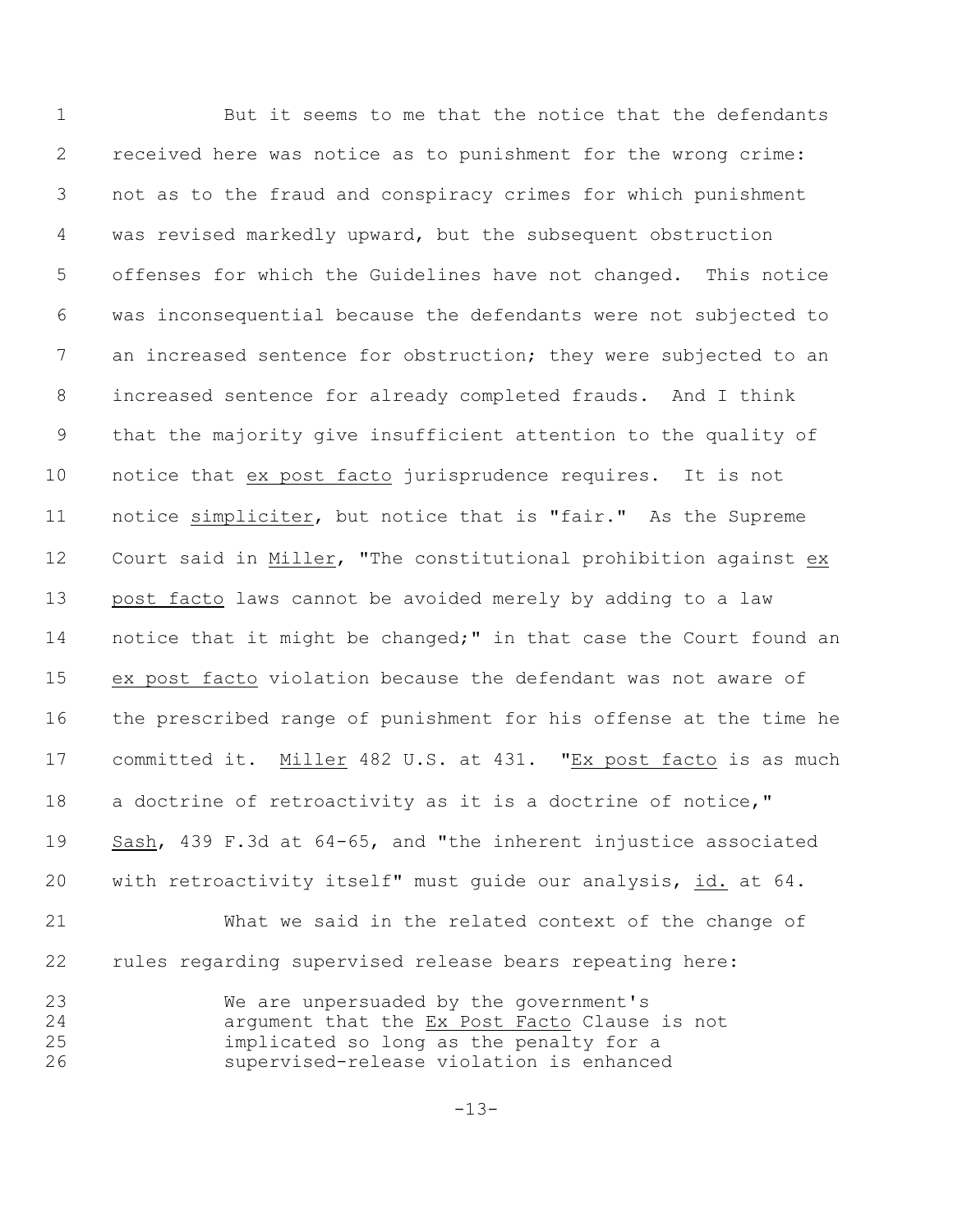1 But it seems to me that the notice that the defendants received here was notice as to punishment for the wrong crime: not as to the fraud and conspiracy crimes for which punishment was revised markedly upward, but the subsequent obstruction offenses for which the Guidelines have not changed. This notice was inconsequential because the defendants were not subjected to an increased sentence for obstruction; they were subjected to an increased sentence for already completed frauds. And I think that the majority give insufficient attention to the quality of notice that ex post facto jurisprudence requires. It is not notice simpliciter, but notice that is "fair." As the Supreme Court said in Miller, "The constitutional prohibition against ex post facto laws cannot be avoided merely by adding to a law 14 notice that it might be changed;" in that case the Court found an ex post facto violation because the defendant was not aware of the prescribed range of punishment for his offense at the time he committed it. Miller 482 U.S. at 431."Ex post facto is as much 18 a doctrine of retroactivity as it is a doctrine of notice," Sash, 439 F.3d at 64-65, and "the inherent injustice associated with retroactivity itself" must guide our analysis, id. at 64. What we said in the related context of the change of rules regarding supervised release bears repeating here: We are unpersuaded by the government's argument that the Ex Post Facto Clause is not implicated so long as the penalty for a

 $-13-$ 

supervised-release violation is enhanced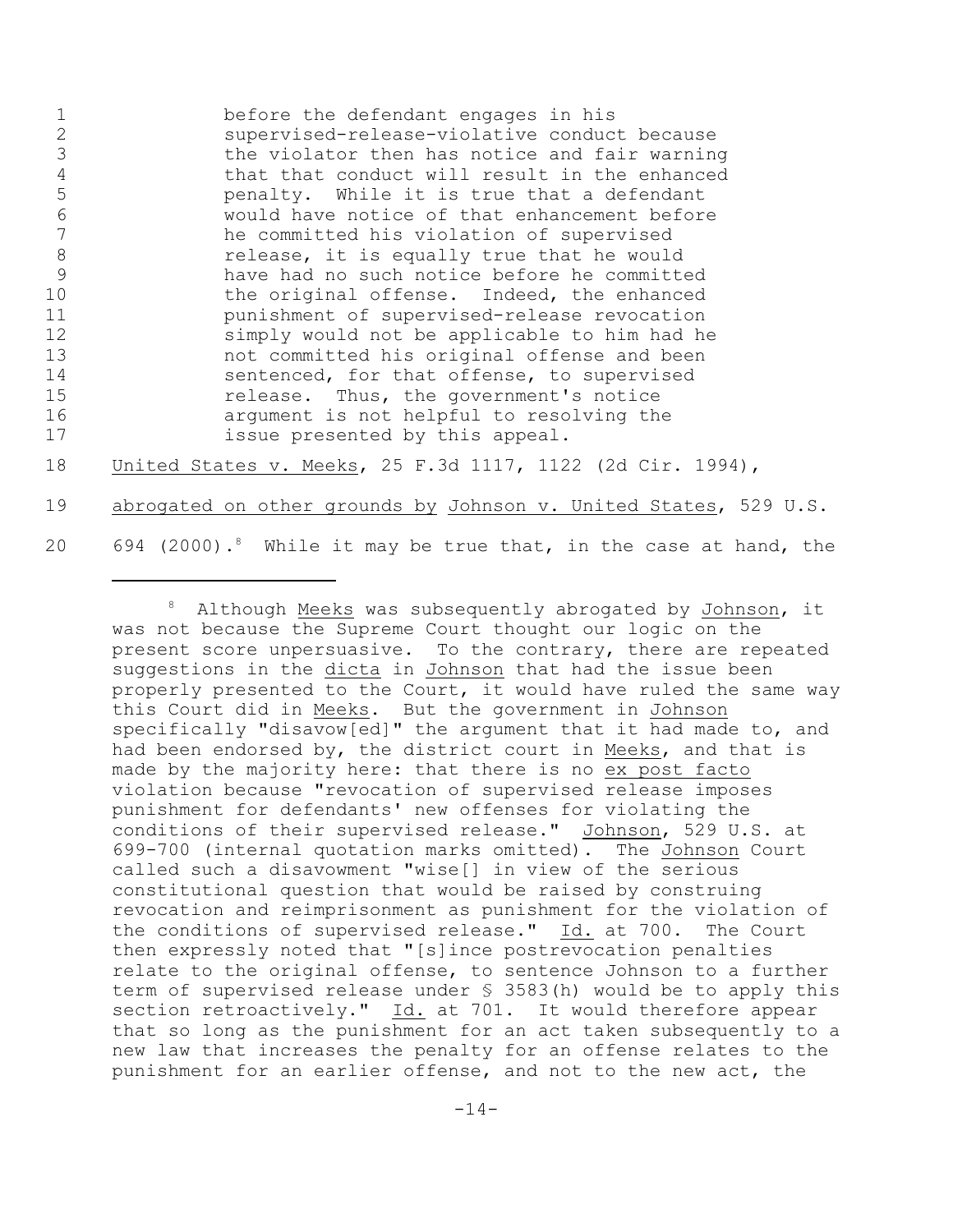|    | before the defendant engages in his           |
|----|-----------------------------------------------|
|    | supervised-release-violative conduct because  |
|    | the violator then has notice and fair warning |
|    | that that conduct will result in the enhanced |
| 5  | penalty. While it is true that a defendant    |
| 6  | would have notice of that enhancement before  |
|    | he committed his violation of supervised      |
| 8  | release, it is equally true that he would     |
| 9  | have had no such notice before he committed   |
| 10 | the original offense. Indeed, the enhanced    |
| 11 | punishment of supervised-release revocation   |
| 12 | simply would not be applicable to him had he  |
| 13 | not committed his original offense and been   |
| 14 | sentenced, for that offense, to supervised    |
| 15 | release. Thus, the government's notice        |
| 16 | argument is not helpful to resolving the      |
| 17 | issue presented by this appeal.               |
|    |                                               |

18 United States v. Meeks, 25 F.3d 1117, 1122 (2d Cir. 1994),

19 abrogated on other grounds by Johnson v. United States, 529 U.S.

20 694 (2000).<sup>8</sup> While it may be true that, in the case at hand, the

<sup>&</sup>lt;sup>8</sup> Although Meeks was subsequently abrogated by Johnson, it was not because the Supreme Court thought our logic on the present score unpersuasive. To the contrary, there are repeated suggestions in the dicta in Johnson that had the issue been properly presented to the Court, it would have ruled the same way this Court did in Meeks. But the government in Johnson specifically "disavow[ed]" the argument that it had made to, and had been endorsed by, the district court in Meeks, and that is made by the majority here: that there is no ex post facto violation because "revocation of supervised release imposes punishment for defendants' new offenses for violating the conditions of their supervised release." Johnson, 529 U.S. at 699-700 (internal quotation marks omitted). The Johnson Court called such a disavowment "wise[] in view of the serious constitutional question that would be raised by construing revocation and reimprisonment as punishment for the violation of the conditions of supervised release." Id. at 700. The Court then expressly noted that "[s]ince postrevocation penalties relate to the original offense, to sentence Johnson to a further term of supervised release under § 3583(h) would be to apply this section retroactively." Id. at 701. It would therefore appear that so long as the punishment for an act taken subsequently to a new law that increases the penalty for an offense relates to the punishment for an earlier offense, and not to the new act, the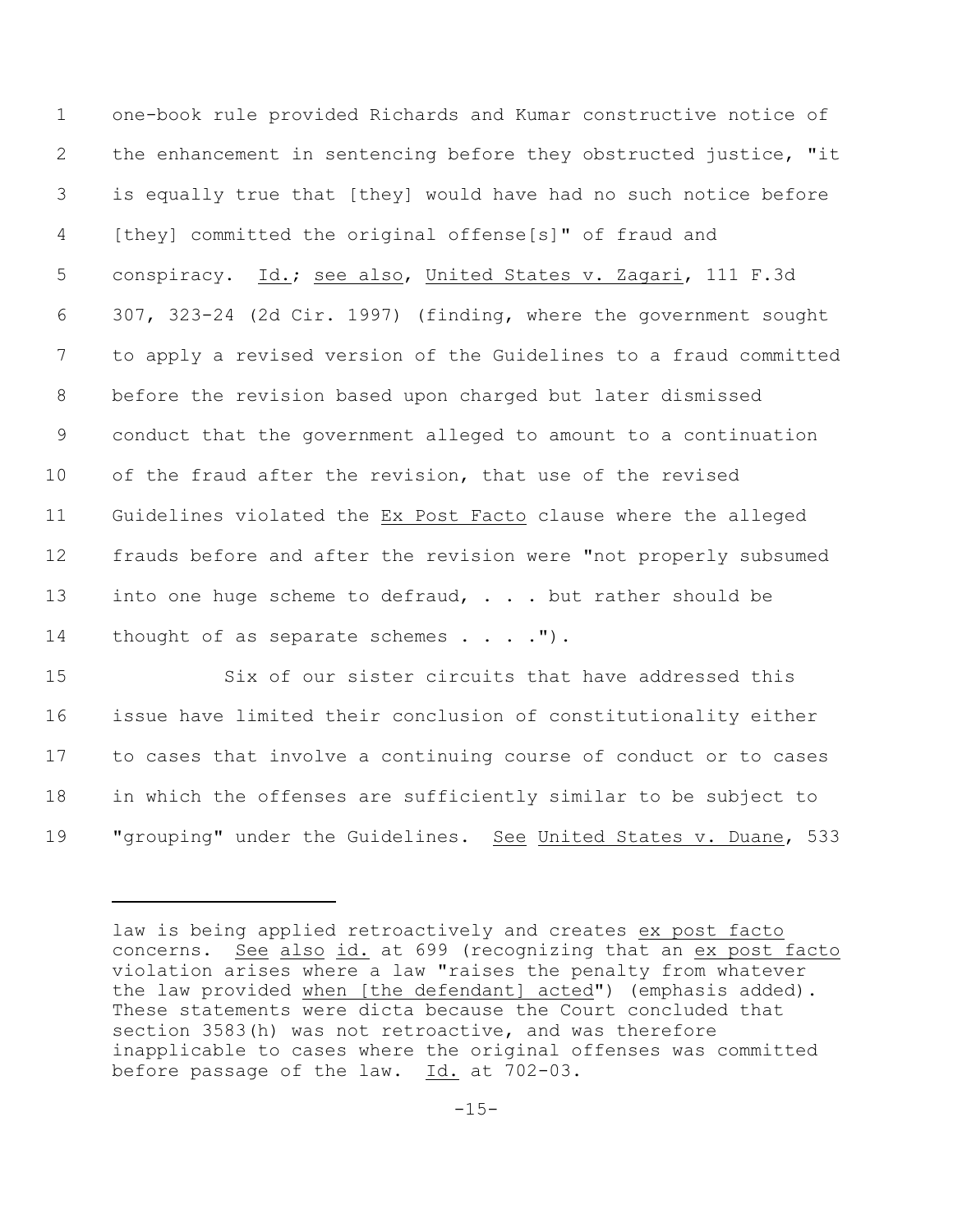one-book rule provided Richards and Kumar constructive notice of the enhancement in sentencing before they obstructed justice, "it is equally true that [they] would have had no such notice before [they] committed the original offense[s]" of fraud and 5 conspiracy. Id.; see also, United States v. Zagari, 111 F.3d 307, 323-24 (2d Cir. 1997) (finding, where the government sought to apply a revised version of the Guidelines to a fraud committed before the revision based upon charged but later dismissed conduct that the government alleged to amount to a continuation of the fraud after the revision, that use of the revised Guidelines violated the Ex Post Facto clause where the alleged frauds before and after the revision were "not properly subsumed into one huge scheme to defraud, . . . but rather should be 14 thought of as separate schemes . . . . ").

 Six of our sister circuits that have addressed this issue have limited their conclusion of constitutionality either to cases that involve a continuing course of conduct or to cases in which the offenses are sufficiently similar to be subject to 19 "grouping" under the Guidelines. See United States v. Duane, 533

law is being applied retroactively and creates ex post facto concerns. See also id. at 699 (recognizing that an ex post facto violation arises where a law "raises the penalty from whatever the law provided when [the defendant] acted") (emphasis added). These statements were dicta because the Court concluded that section 3583(h) was not retroactive, and was therefore inapplicable to cases where the original offenses was committed before passage of the law. Id. at 702-03.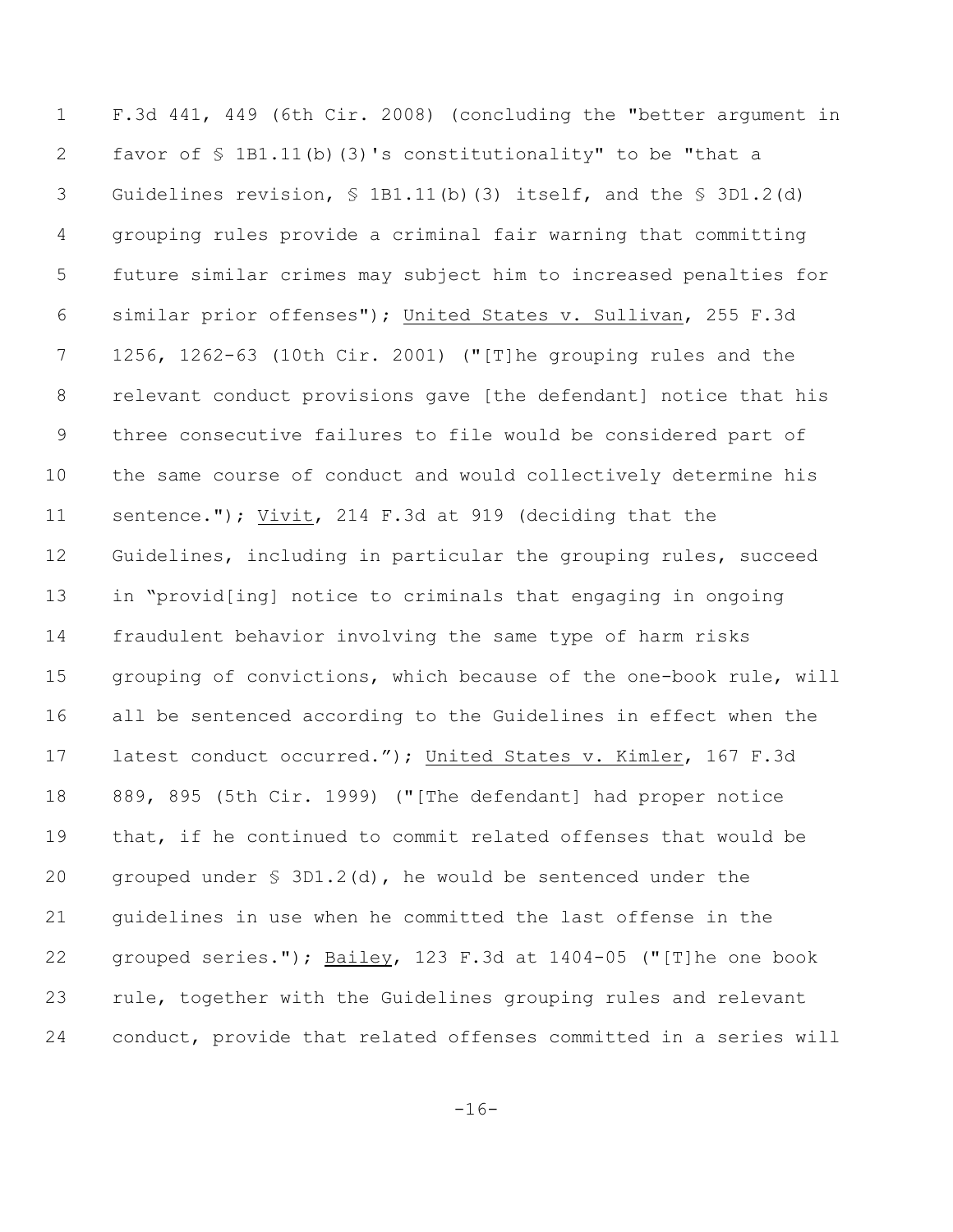F.3d 441, 449 (6th Cir. 2008) (concluding the "better argument in favor of § 1B1.11(b)(3)'s constitutionality" to be "that a Guidelines revision, § 1B1.11(b)(3) itself, and the § 3D1.2(d) grouping rules provide a criminal fair warning that committing future similar crimes may subject him to increased penalties for similar prior offenses"); United States v. Sullivan, 255 F.3d 1256, 1262-63 (10th Cir. 2001) ("[T]he grouping rules and the relevant conduct provisions gave [the defendant] notice that his three consecutive failures to file would be considered part of the same course of conduct and would collectively determine his sentence."); Vivit, 214 F.3d at 919 (deciding that the Guidelines, including in particular the grouping rules, succeed in "provid[ing] notice to criminals that engaging in ongoing fraudulent behavior involving the same type of harm risks grouping of convictions, which because of the one-book rule, will all be sentenced according to the Guidelines in effect when the latest conduct occurred."); United States v. Kimler, 167 F.3d 889, 895 (5th Cir. 1999) ("[The defendant] had proper notice that, if he continued to commit related offenses that would be grouped under § 3D1.2(d), he would be sentenced under the guidelines in use when he committed the last offense in the grouped series."); Bailey, 123 F.3d at 1404-05 ("[T]he one book rule, together with the Guidelines grouping rules and relevant conduct, provide that related offenses committed in a series will

 $-16-$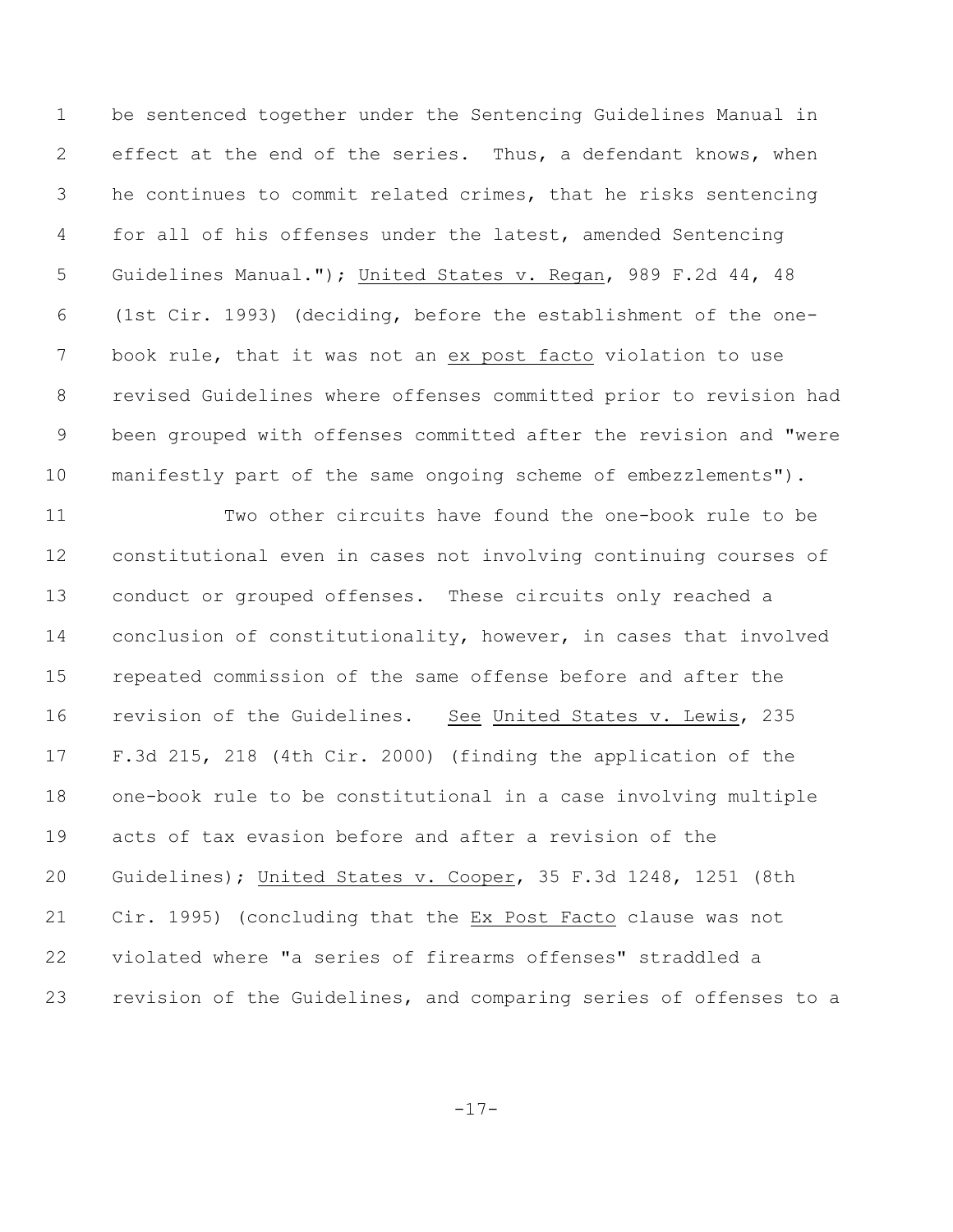be sentenced together under the Sentencing Guidelines Manual in effect at the end of the series. Thus, a defendant knows, when he continues to commit related crimes, that he risks sentencing for all of his offenses under the latest, amended Sentencing Guidelines Manual."); United States v. Regan, 989 F.2d 44, 48 (1st Cir. 1993) (deciding, before the establishment of the one- book rule, that it was not an ex post facto violation to use revised Guidelines where offenses committed prior to revision had been grouped with offenses committed after the revision and "were manifestly part of the same ongoing scheme of embezzlements").

 Two other circuits have found the one-book rule to be constitutional even in cases not involving continuing courses of conduct or grouped offenses. These circuits only reached a conclusion of constitutionality, however, in cases that involved repeated commission of the same offense before and after the revision of the Guidelines. See United States v. Lewis, 235 F.3d 215, 218 (4th Cir. 2000) (finding the application of the one-book rule to be constitutional in a case involving multiple acts of tax evasion before and after a revision of the Guidelines); United States v. Cooper, 35 F.3d 1248, 1251 (8th Cir. 1995) (concluding that the Ex Post Facto clause was not violated where "a series of firearms offenses" straddled a revision of the Guidelines, and comparing series of offenses to a

-17-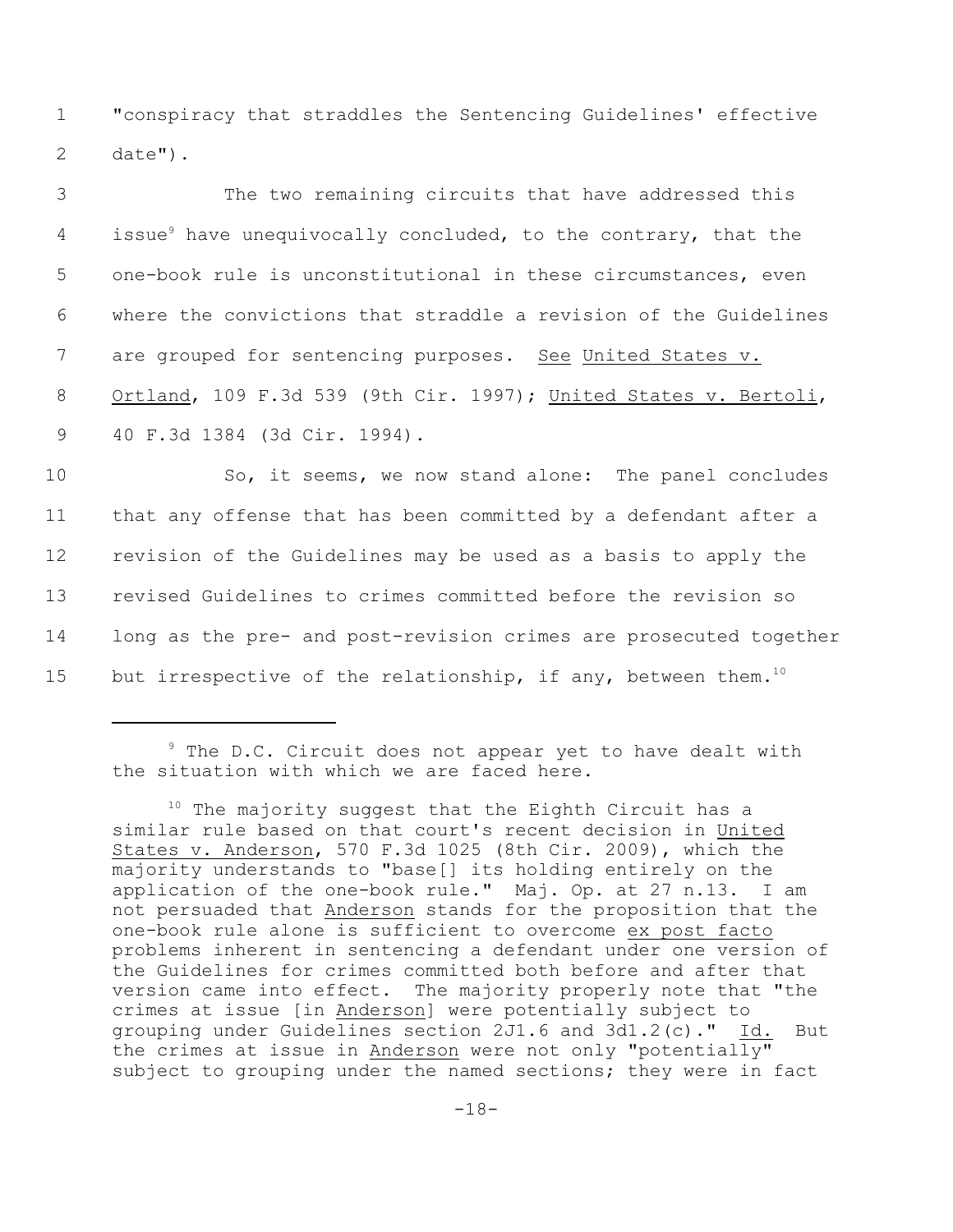1 "conspiracy that straddles the Sentencing Guidelines' effective 2 date").

| 3  | The two remaining circuits that have addressed this                        |
|----|----------------------------------------------------------------------------|
| 4  | issue <sup>9</sup> have unequivocally concluded, to the contrary, that the |
| 5  | one-book rule is unconstitutional in these circumstances, even             |
| 6  | where the convictions that straddle a revision of the Guidelines           |
| 7  | are grouped for sentencing purposes. See United States v.                  |
| 8  | Ortland, 109 F.3d 539 (9th Cir. 1997); United States v. Bertoli,           |
| 9  | 40 F.3d 1384 (3d Cir. 1994).                                               |
| 10 | So, it seems, we now stand alone: The panel concludes                      |
| 11 | that any offense that has been committed by a defendant after a            |

 revision of the Guidelines may be used as a basis to apply the revised Guidelines to crimes committed before the revision so long as the pre- and post-revision crimes are prosecuted together 15 but irrespective of the relationship, if any, between them.<sup>10</sup>

 $9$  The D.C. Circuit does not appear yet to have dealt with the situation with which we are faced here.

 $10$  The majority suggest that the Eighth Circuit has a similar rule based on that court's recent decision in United States v. Anderson, 570 F.3d 1025 (8th Cir. 2009), which the majority understands to "base[] its holding entirely on the application of the one-book rule." Maj. Op. at 27 n.13. I am not persuaded that Anderson stands for the proposition that the one-book rule alone is sufficient to overcome ex post facto problems inherent in sentencing a defendant under one version of the Guidelines for crimes committed both before and after that version came into effect. The majority properly note that "the crimes at issue [in Anderson] were potentially subject to grouping under Guidelines section 2J1.6 and 3d1.2(c)." Id. But the crimes at issue in Anderson were not only "potentially" subject to grouping under the named sections; they were in fact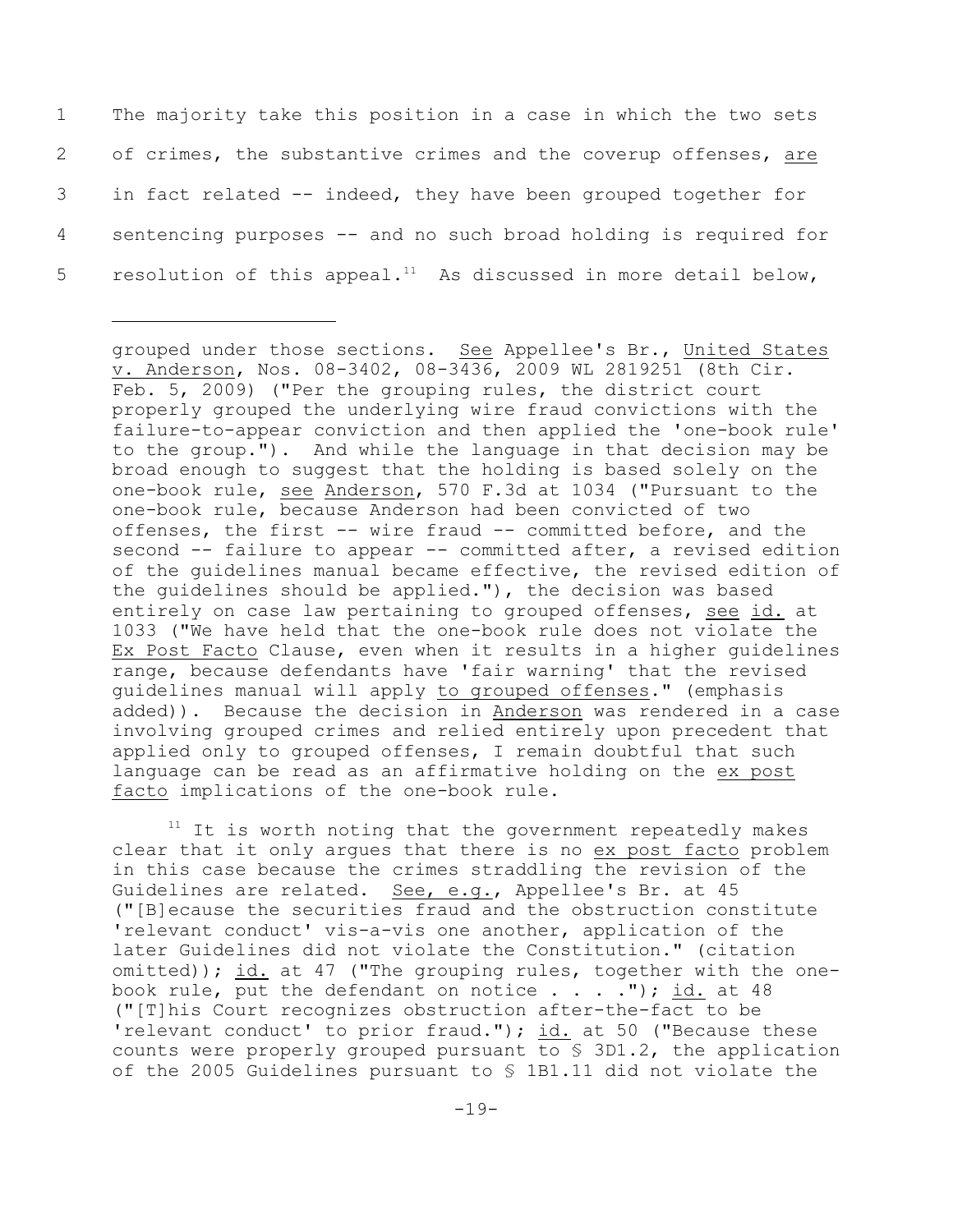The majority take this position in a case in which the two sets of crimes, the substantive crimes and the coverup offenses, are in fact related -- indeed, they have been grouped together for sentencing purposes -- and no such broad holding is required for 5 resolution of this appeal.<sup>11</sup> As discussed in more detail below,

grouped under those sections. See Appellee's Br., United States v. Anderson, Nos. 08-3402, 08-3436, 2009 WL 2819251 (8th Cir. Feb. 5, 2009) ("Per the grouping rules, the district court properly grouped the underlying wire fraud convictions with the failure-to-appear conviction and then applied the 'one-book rule' to the group."). And while the language in that decision may be broad enough to suggest that the holding is based solely on the one-book rule, see Anderson, 570 F.3d at 1034 ("Pursuant to the one-book rule, because Anderson had been convicted of two offenses, the first -- wire fraud -- committed before, and the second -- failure to appear -- committed after, a revised edition of the guidelines manual became effective, the revised edition of the guidelines should be applied."), the decision was based entirely on case law pertaining to grouped offenses, see id. at 1033 ("We have held that the one-book rule does not violate the Ex Post Facto Clause, even when it results in a higher guidelines range, because defendants have 'fair warning' that the revised guidelines manual will apply to grouped offenses." (emphasis added)). Because the decision in Anderson was rendered in a case involving grouped crimes and relied entirely upon precedent that applied only to grouped offenses, I remain doubtful that such language can be read as an affirmative holding on the ex post facto implications of the one-book rule.

 $11$  It is worth noting that the government repeatedly makes clear that it only argues that there is no ex post facto problem in this case because the crimes straddling the revision of the Guidelines are related. See, e.g., Appellee's Br. at 45 ("[B]ecause the securities fraud and the obstruction constitute 'relevant conduct' vis-a-vis one another, application of the later Guidelines did not violate the Constitution." (citation omitted)); id. at 47 ("The grouping rules, together with the onebook rule, put the defendant on notice  $\ldots$ ."); id. at 48 ("[T]his Court recognizes obstruction after-the-fact to be 'relevant conduct' to prior fraud."); id. at 50 ("Because these counts were properly grouped pursuant to § 3D1.2, the application of the 2005 Guidelines pursuant to § 1B1.11 did not violate the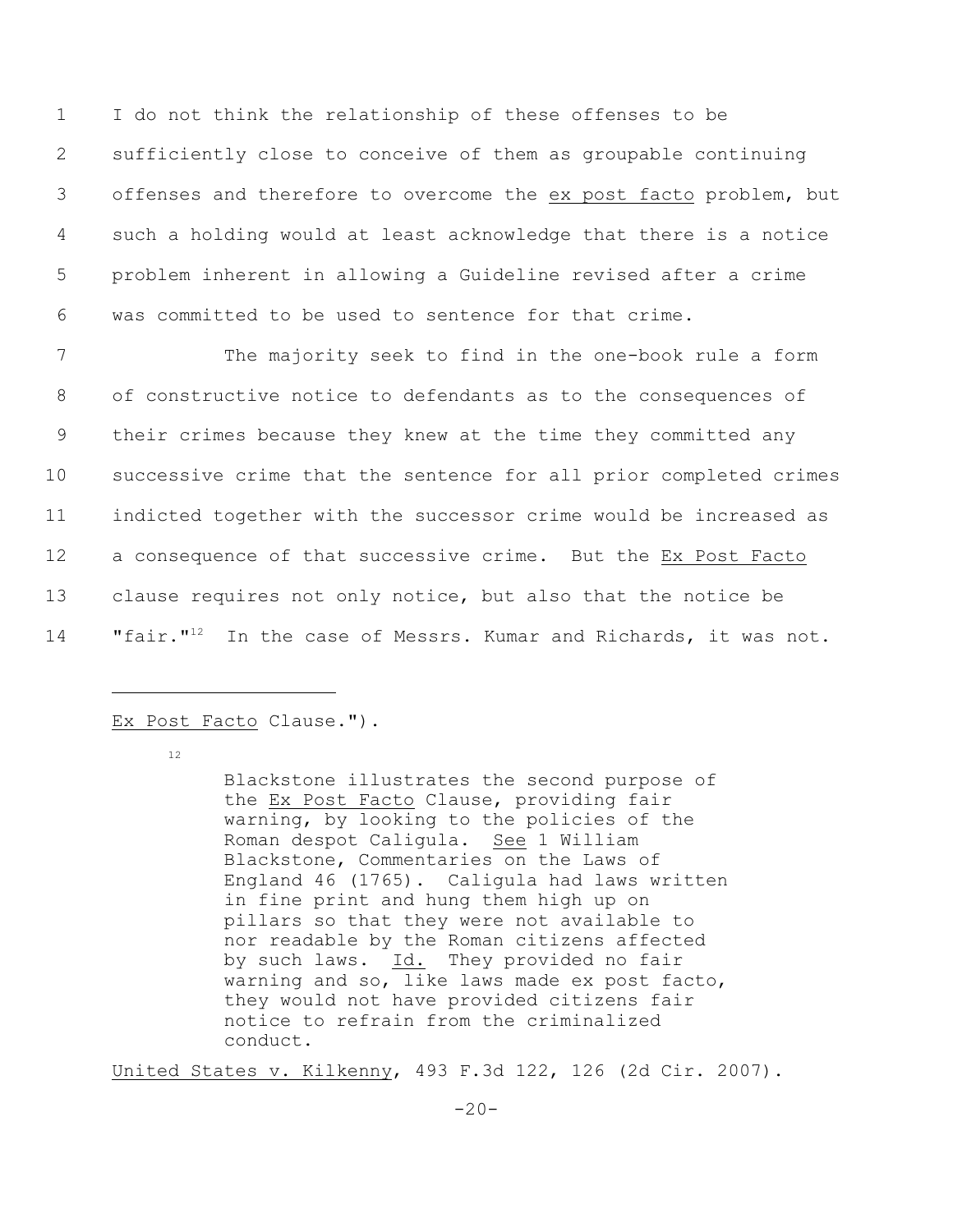I do not think the relationship of these offenses to be sufficiently close to conceive of them as groupable continuing offenses and therefore to overcome the ex post facto problem, but such a holding would at least acknowledge that there is a notice problem inherent in allowing a Guideline revised after a crime was committed to be used to sentence for that crime.

 The majority seek to find in the one-book rule a form of constructive notice to defendants as to the consequences of their crimes because they knew at the time they committed any successive crime that the sentence for all prior completed crimes indicted together with the successor crime would be increased as a consequence of that successive crime. But the Ex Post Facto clause requires not only notice, but also that the notice be 14 "fair."<sup>12</sup> In the case of Messrs. Kumar and Richards, it was not.

## Ex Post Facto Clause.").

12

Blackstone illustrates the second purpose of the Ex Post Facto Clause, providing fair warning, by looking to the policies of the Roman despot Caligula. See 1 William Blackstone, Commentaries on the Laws of England 46 (1765). Caligula had laws written in fine print and hung them high up on pillars so that they were not available to nor readable by the Roman citizens affected by such laws. Id. They provided no fair warning and so, like laws made ex post facto, they would not have provided citizens fair notice to refrain from the criminalized conduct.

United States v. Kilkenny, 493 F.3d 122, 126 (2d Cir. 2007).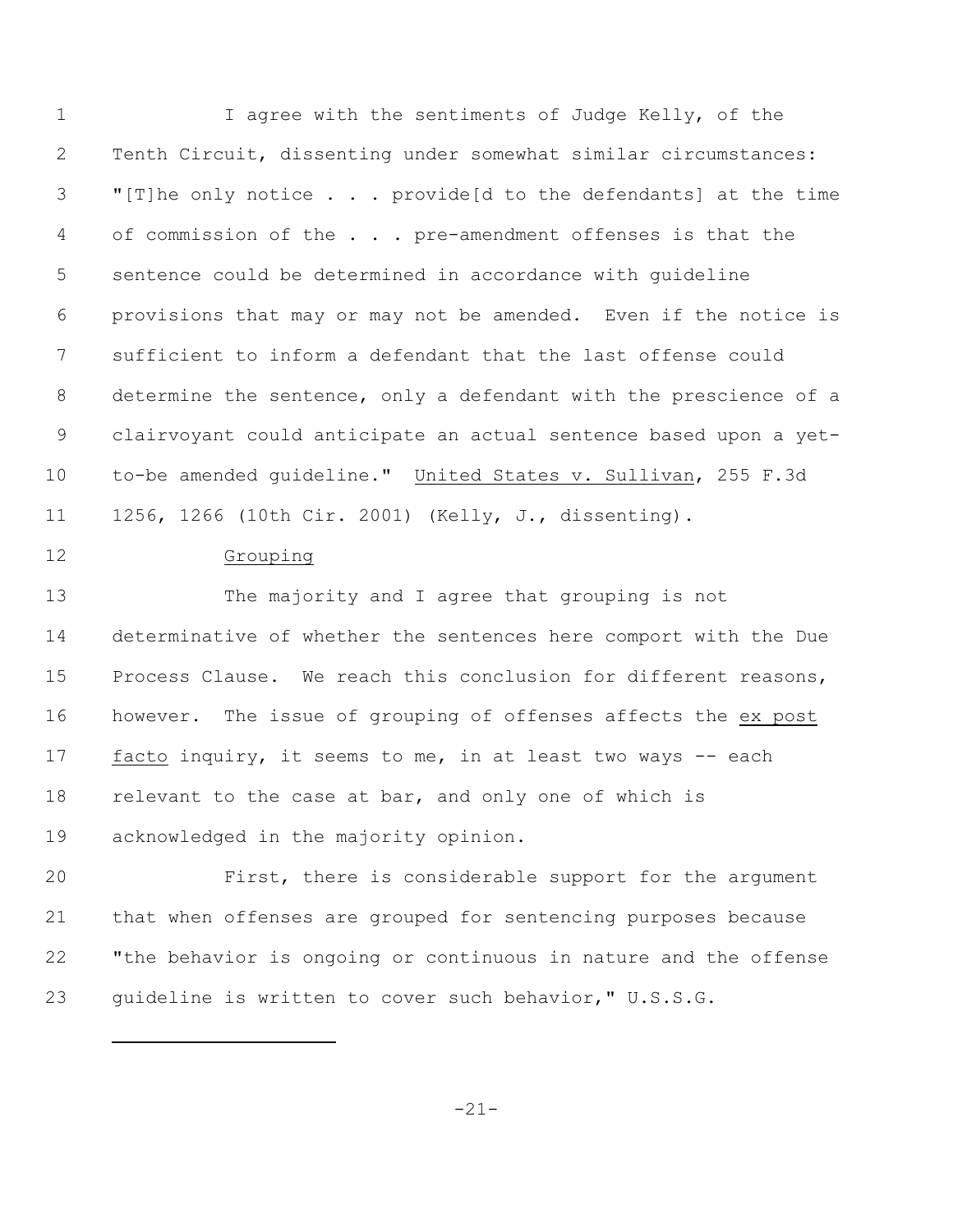I agree with the sentiments of Judge Kelly, of the Tenth Circuit, dissenting under somewhat similar circumstances: "[T]he only notice . . . provide[d to the defendants] at the time 4 of commission of the . . . pre-amendment offenses is that the sentence could be determined in accordance with guideline provisions that may or may not be amended. Even if the notice is sufficient to inform a defendant that the last offense could determine the sentence, only a defendant with the prescience of a clairvoyant could anticipate an actual sentence based upon a yet-10 to-be amended guideline." United States v. Sullivan, 255 F.3d 1256, 1266 (10th Cir. 2001) (Kelly, J., dissenting). Grouping The majority and I agree that grouping is not determinative of whether the sentences here comport with the Due Process Clause. We reach this conclusion for different reasons,

 facto inquiry, it seems to me, in at least two ways -- each relevant to the case at bar, and only one of which is acknowledged in the majority opinion.

however. The issue of grouping of offenses affects the ex post

 First, there is considerable support for the argument that when offenses are grouped for sentencing purposes because "the behavior is ongoing or continuous in nature and the offense guideline is written to cover such behavior," U.S.S.G.

-21-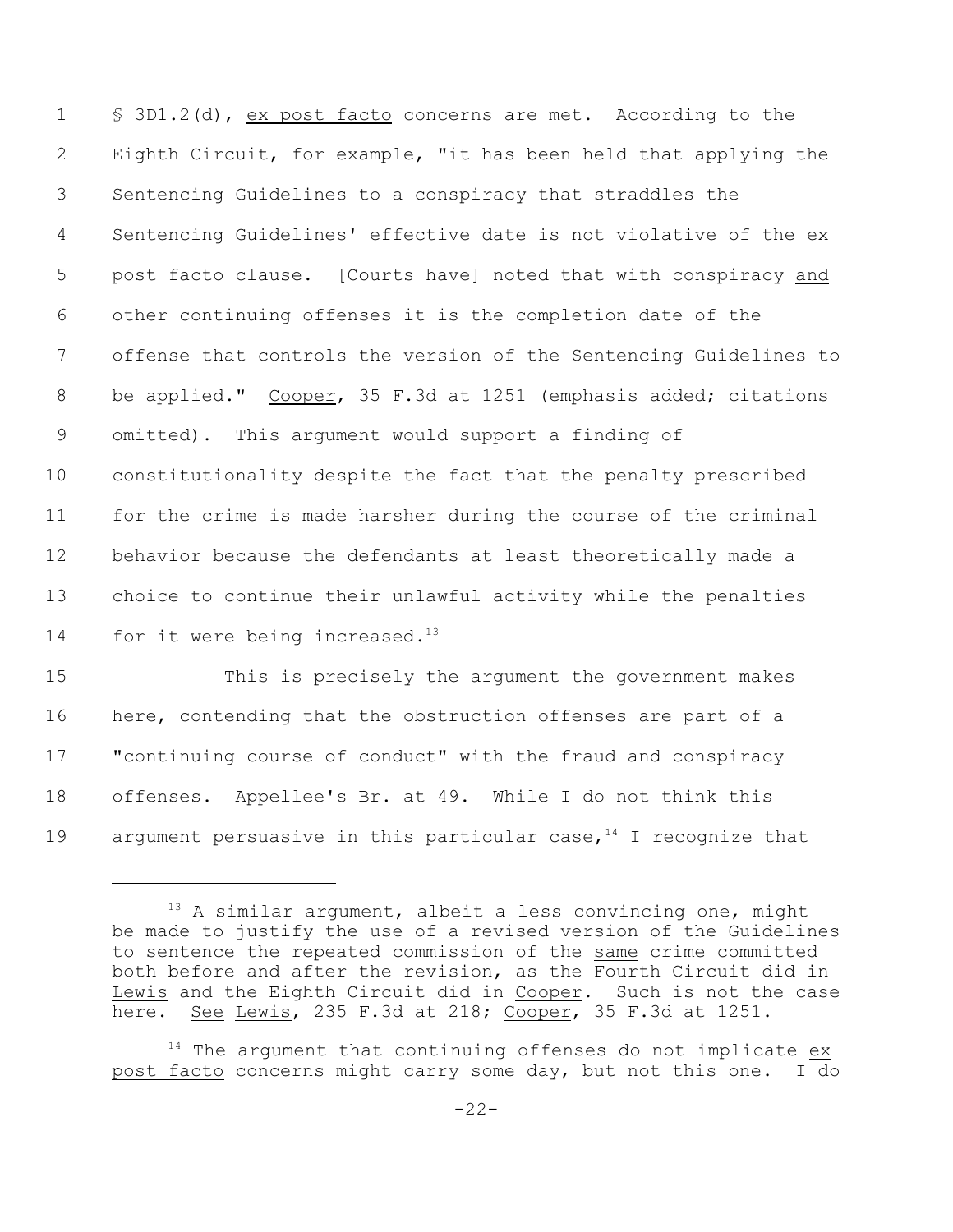§ 3D1.2(d), ex post facto concerns are met. According to the Eighth Circuit, for example, "it has been held that applying the Sentencing Guidelines to a conspiracy that straddles the Sentencing Guidelines' effective date is not violative of the ex post facto clause. [Courts have] noted that with conspiracy and other continuing offenses it is the completion date of the offense that controls the version of the Sentencing Guidelines to be applied." Cooper, 35 F.3d at 1251 (emphasis added; citations omitted). This argument would support a finding of constitutionality despite the fact that the penalty prescribed for the crime is made harsher during the course of the criminal behavior because the defendants at least theoretically made a choice to continue their unlawful activity while the penalties 14 for it were being increased. $^{13}$ 

 This is precisely the argument the government makes here, contending that the obstruction offenses are part of a "continuing course of conduct" with the fraud and conspiracy offenses. Appellee's Br. at 49. While I do not think this 19 argument persuasive in this particular case, I recognize that

 A similar argument, albeit a less convincing one, might be made to justify the use of a revised version of the Guidelines to sentence the repeated commission of the same crime committed both before and after the revision, as the Fourth Circuit did in Lewis and the Eighth Circuit did in Cooper. Such is not the case here. See Lewis, 235 F.3d at 218; Cooper, 35 F.3d at 1251.

 The argument that continuing offenses do not implicate  $ex$ post facto concerns might carry some day, but not this one. I do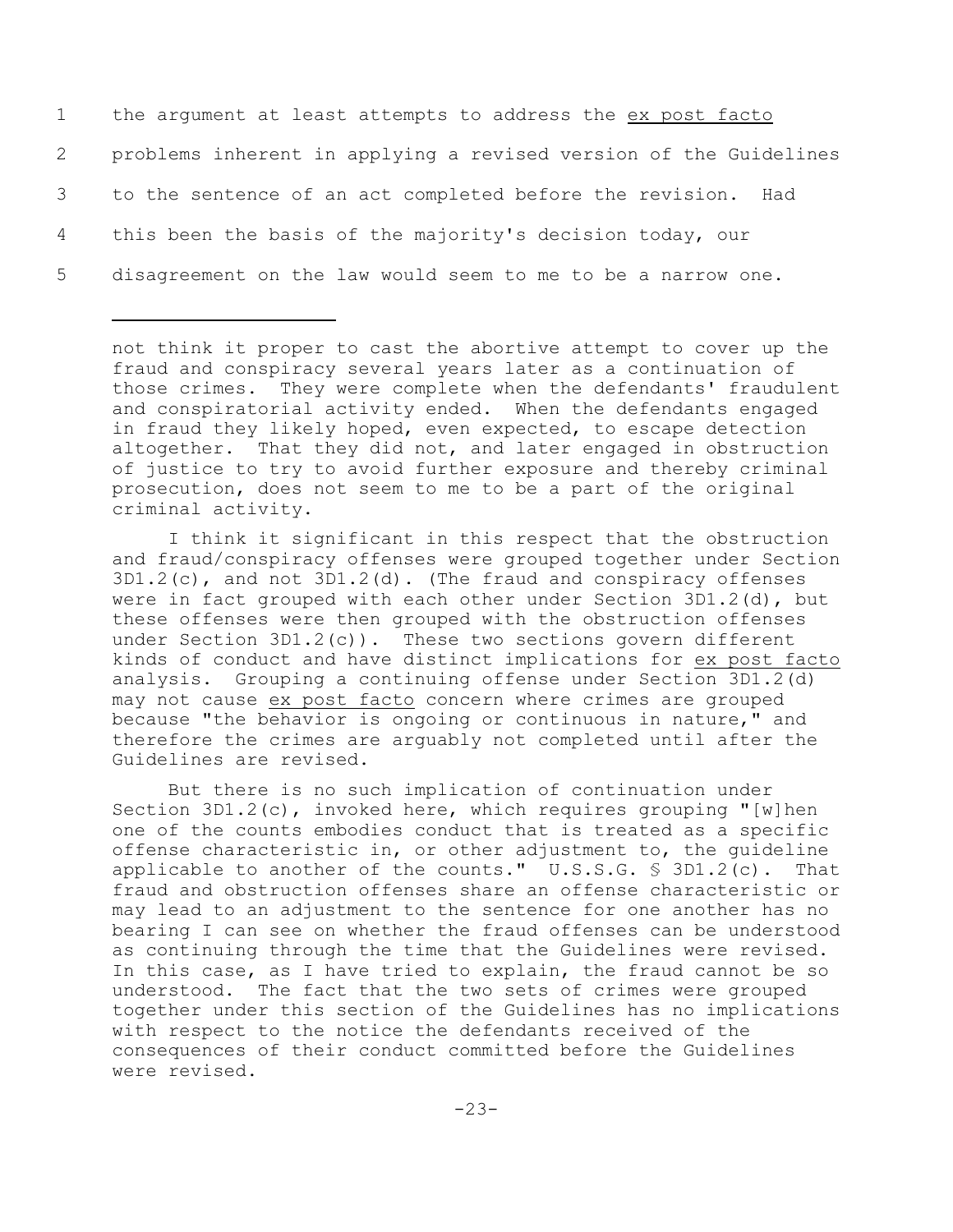the argument at least attempts to address the ex post facto problems inherent in applying a revised version of the Guidelines to the sentence of an act completed before the revision. Had this been the basis of the majority's decision today, our disagreement on the law would seem to me to be a narrow one.

not think it proper to cast the abortive attempt to cover up the fraud and conspiracy several years later as a continuation of those crimes. They were complete when the defendants' fraudulent and conspiratorial activity ended. When the defendants engaged in fraud they likely hoped, even expected, to escape detection altogether. That they did not, and later engaged in obstruction of justice to try to avoid further exposure and thereby criminal prosecution, does not seem to me to be a part of the original criminal activity.

I think it significant in this respect that the obstruction and fraud/conspiracy offenses were grouped together under Section  $3D1.2(c)$ , and not  $3D1.2(d)$ . (The fraud and conspiracy offenses were in fact grouped with each other under Section 3D1.2(d), but these offenses were then grouped with the obstruction offenses under Section  $3D1.2(c)$ ). These two sections govern different kinds of conduct and have distinct implications for ex post facto analysis. Grouping a continuing offense under Section 3D1.2(d) may not cause ex post facto concern where crimes are grouped because "the behavior is ongoing or continuous in nature," and therefore the crimes are arguably not completed until after the Guidelines are revised.

But there is no such implication of continuation under Section  $3D1.2(c)$ , invoked here, which requires grouping "[w]hen one of the counts embodies conduct that is treated as a specific offense characteristic in, or other adjustment to, the guideline applicable to another of the counts." U.S.S.G. § 3D1.2(c). That fraud and obstruction offenses share an offense characteristic or may lead to an adjustment to the sentence for one another has no bearing I can see on whether the fraud offenses can be understood as continuing through the time that the Guidelines were revised. In this case, as I have tried to explain, the fraud cannot be so understood. The fact that the two sets of crimes were grouped together under this section of the Guidelines has no implications with respect to the notice the defendants received of the consequences of their conduct committed before the Guidelines were revised.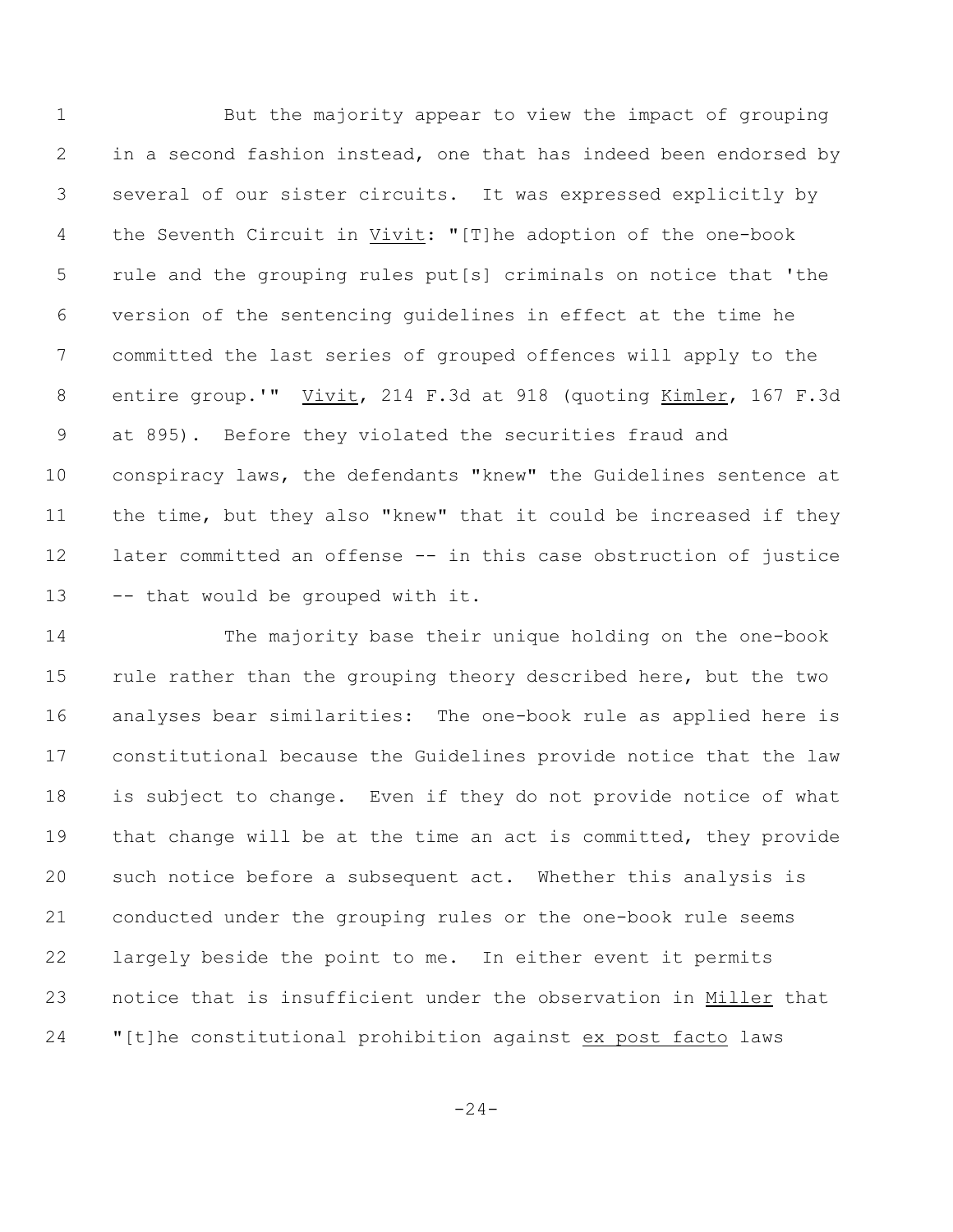But the majority appear to view the impact of grouping in a second fashion instead, one that has indeed been endorsed by several of our sister circuits. It was expressed explicitly by the Seventh Circuit in Vivit: "[T]he adoption of the one-book rule and the grouping rules put[s] criminals on notice that 'the version of the sentencing guidelines in effect at the time he committed the last series of grouped offences will apply to the entire group.'" Vivit, 214 F.3d at 918 (quoting Kimler, 167 F.3d at 895). Before they violated the securities fraud and conspiracy laws, the defendants "knew" the Guidelines sentence at the time, but they also "knew" that it could be increased if they later committed an offense -- in this case obstruction of justice -- that would be grouped with it.

 The majority base their unique holding on the one-book 15 rule rather than the grouping theory described here, but the two analyses bear similarities: The one-book rule as applied here is constitutional because the Guidelines provide notice that the law is subject to change. Even if they do not provide notice of what 19 that change will be at the time an act is committed, they provide such notice before a subsequent act. Whether this analysis is conducted under the grouping rules or the one-book rule seems largely beside the point to me. In either event it permits notice that is insufficient under the observation in Miller that "[t]he constitutional prohibition against ex post facto laws

 $-24-$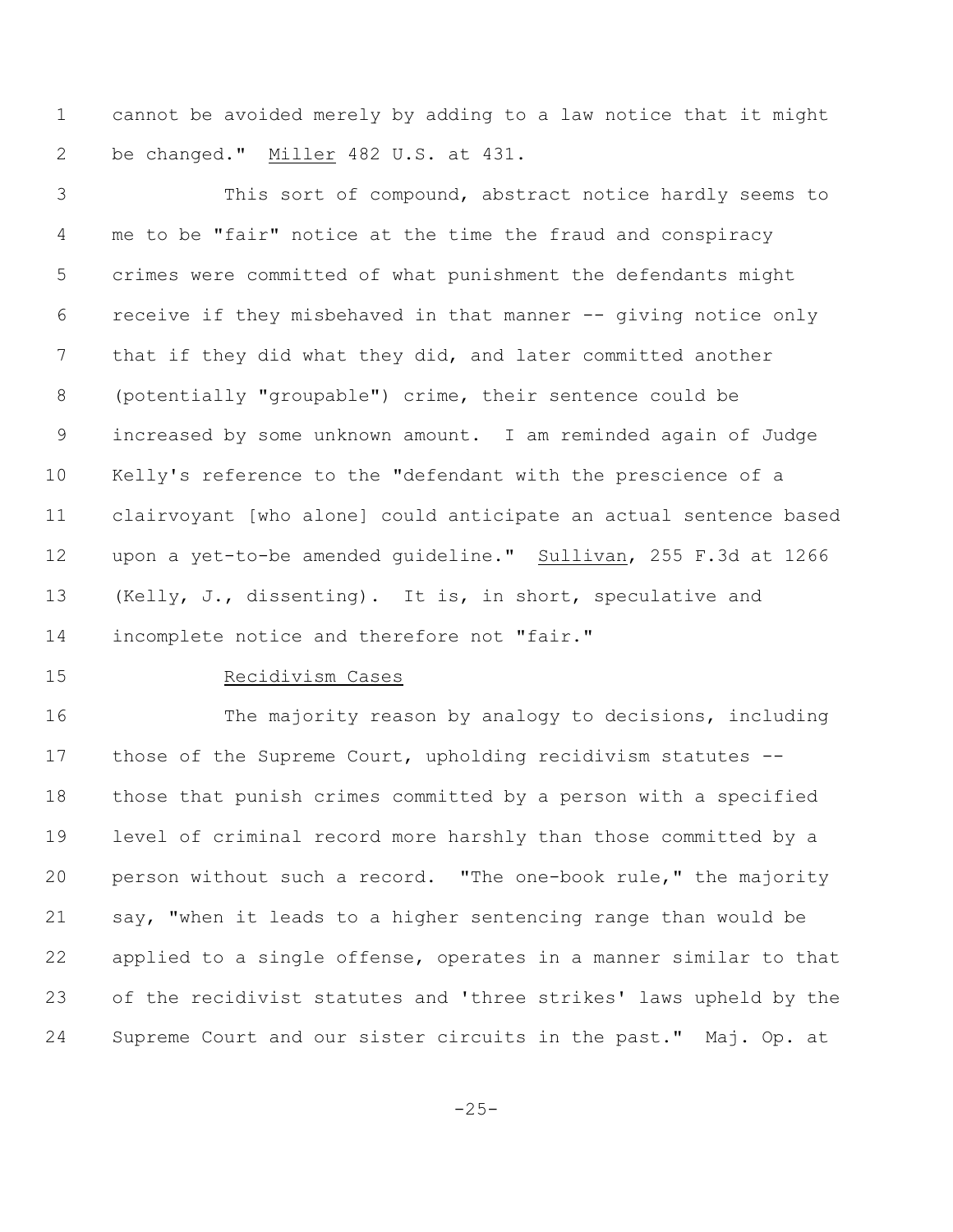cannot be avoided merely by adding to a law notice that it might be changed." Miller 482 U.S. at 431.

 This sort of compound, abstract notice hardly seems to me to be "fair" notice at the time the fraud and conspiracy crimes were committed of what punishment the defendants might receive if they misbehaved in that manner -- giving notice only that if they did what they did, and later committed another (potentially "groupable") crime, their sentence could be increased by some unknown amount. I am reminded again of Judge Kelly's reference to the "defendant with the prescience of a clairvoyant [who alone] could anticipate an actual sentence based upon a yet-to-be amended guideline." Sullivan, 255 F.3d at 1266 (Kelly, J., dissenting). It is, in short, speculative and incomplete notice and therefore not "fair."

## Recidivism Cases

 The majority reason by analogy to decisions, including those of the Supreme Court, upholding recidivism statutes -- those that punish crimes committed by a person with a specified level of criminal record more harshly than those committed by a person without such a record. "The one-book rule," the majority say, "when it leads to a higher sentencing range than would be applied to a single offense, operates in a manner similar to that of the recidivist statutes and 'three strikes' laws upheld by the Supreme Court and our sister circuits in the past." Maj. Op. at

 $-25-$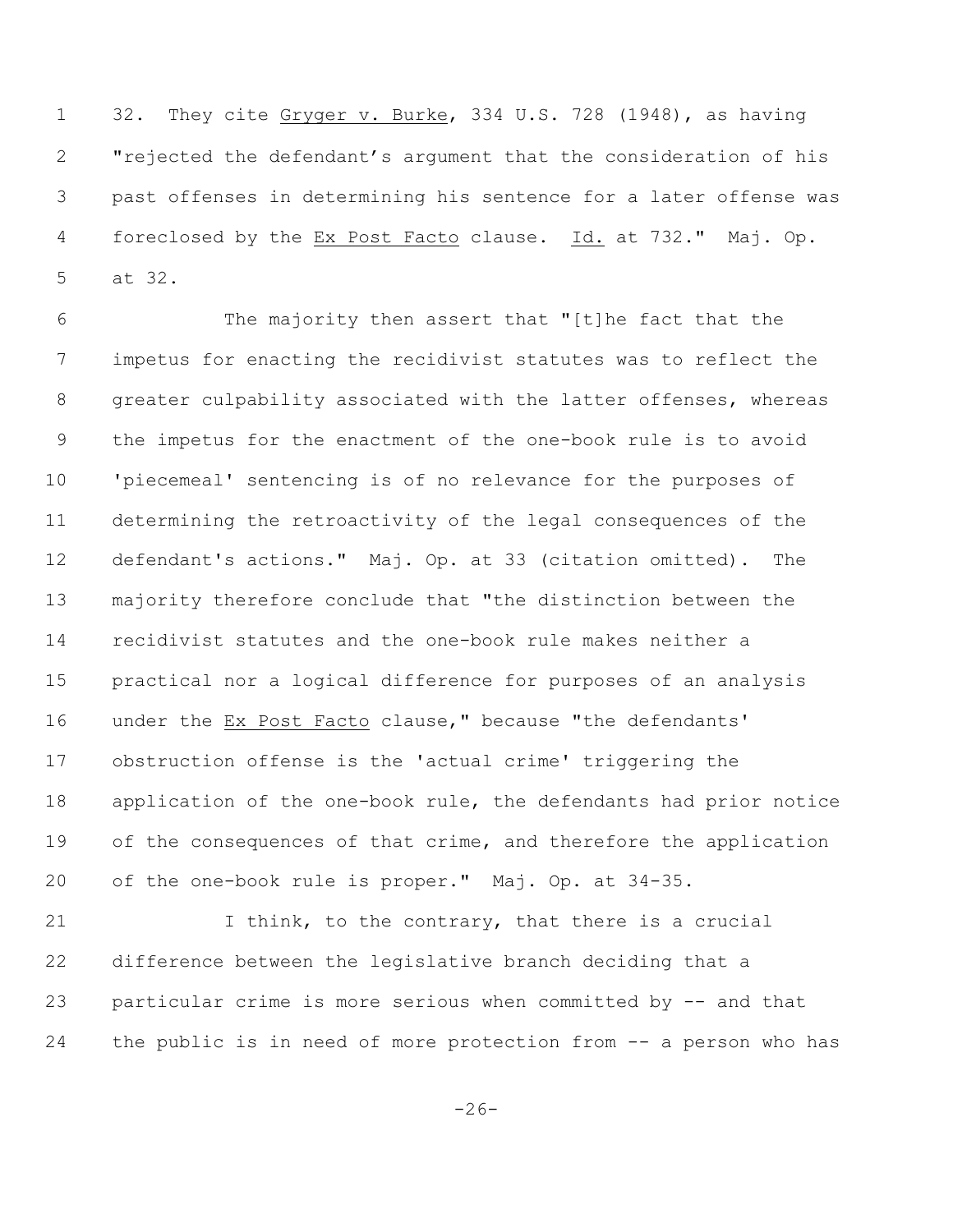1 32**.** They cite Gryger v. Burke, 334 U.S. 728 (1948), as having "rejected the defendant's argument that the consideration of his past offenses in determining his sentence for a later offense was foreclosed by the Ex Post Facto clause. Id. at 732." Maj. Op. at 32**.**

 The majority then assert that "[t]he fact that the impetus for enacting the recidivist statutes was to reflect the greater culpability associated with the latter offenses, whereas the impetus for the enactment of the one-book rule is to avoid 'piecemeal' sentencing is of no relevance for the purposes of determining the retroactivity of the legal consequences of the defendant's actions." Maj. Op. at 33 (citation omitted). The majority therefore conclude that "the distinction between the recidivist statutes and the one-book rule makes neither a practical nor a logical difference for purposes of an analysis under the Ex Post Facto clause," because "the defendants' obstruction offense is the 'actual crime' triggering the application of the one-book rule, the defendants had prior notice 19 of the consequences of that crime, and therefore the application of the one-book rule is proper." Maj. Op. at 34-35.

21 I think, to the contrary, that there is a crucial difference between the legislative branch deciding that a particular crime is more serious when committed by -- and that the public is in need of more protection from -- a person who has

 $-26-$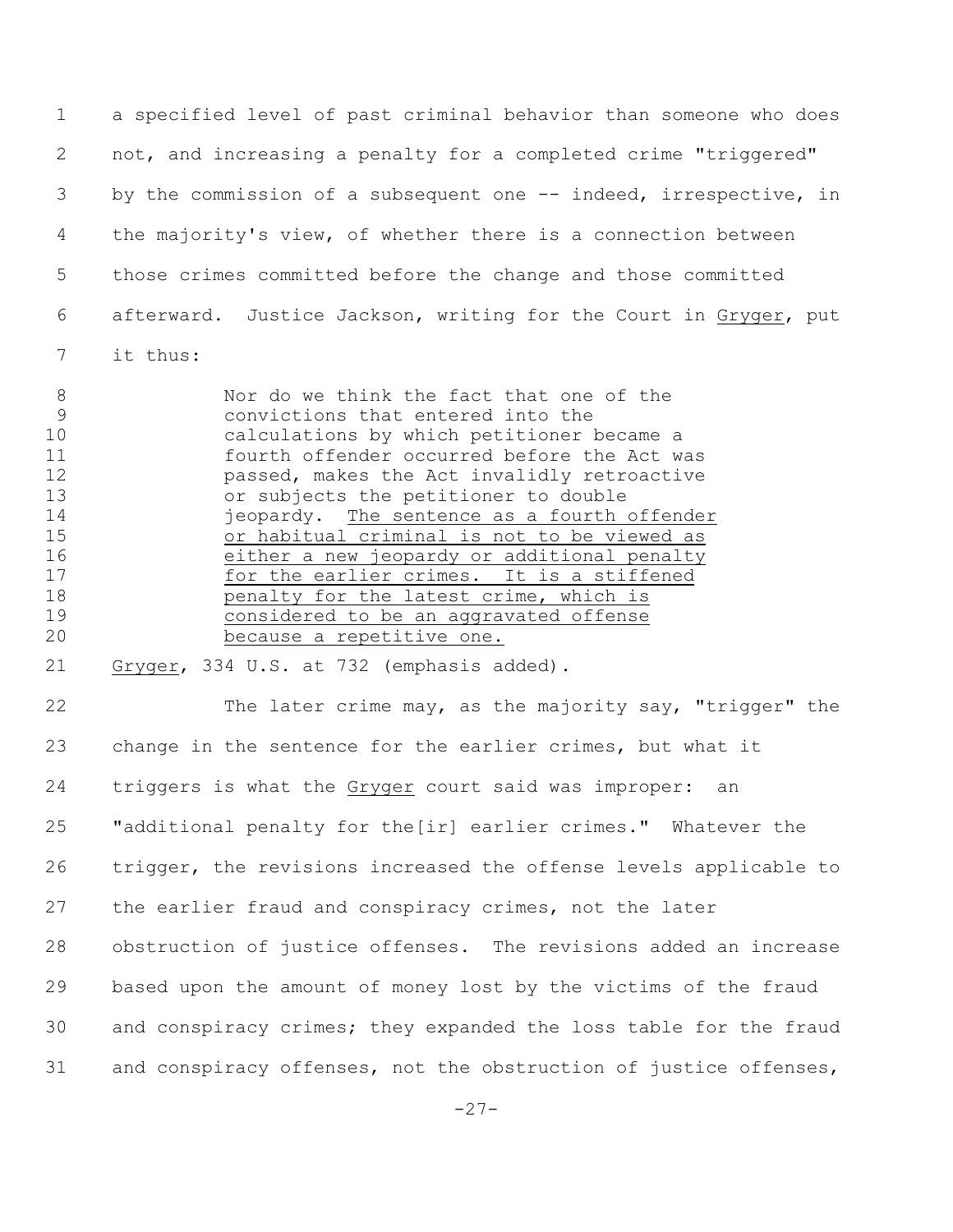a specified level of past criminal behavior than someone who does not, and increasing a penalty for a completed crime "triggered" by the commission of a subsequent one -- indeed, irrespective, in the majority's view, of whether there is a connection between those crimes committed before the change and those committed afterward. Justice Jackson, writing for the Court in Gryger, put it thus:

 Nor do we think the fact that one of the convictions that entered into the calculations by which petitioner became a fourth offender occurred before the Act was passed, makes the Act invalidly retroactive or subjects the petitioner to double 14 jeopardy. The sentence as a fourth offender or habitual criminal is not to be viewed as 16 either a new jeopardy or additional penalty for the earlier crimes. It is a stiffened **penalty for the latest crime, which is**  considered to be an aggravated offense because a repetitive one.

Gryger, 334 U.S. at 732 (emphasis added).

 The later crime may, as the majority say, "trigger" the change in the sentence for the earlier crimes, but what it triggers is what the Gryger court said was improper: an "additional penalty for the[ir] earlier crimes." Whatever the trigger, the revisions increased the offense levels applicable to the earlier fraud and conspiracy crimes, not the later obstruction of justice offenses. The revisions added an increase based upon the amount of money lost by the victims of the fraud and conspiracy crimes; they expanded the loss table for the fraud and conspiracy offenses, not the obstruction of justice offenses,

-27-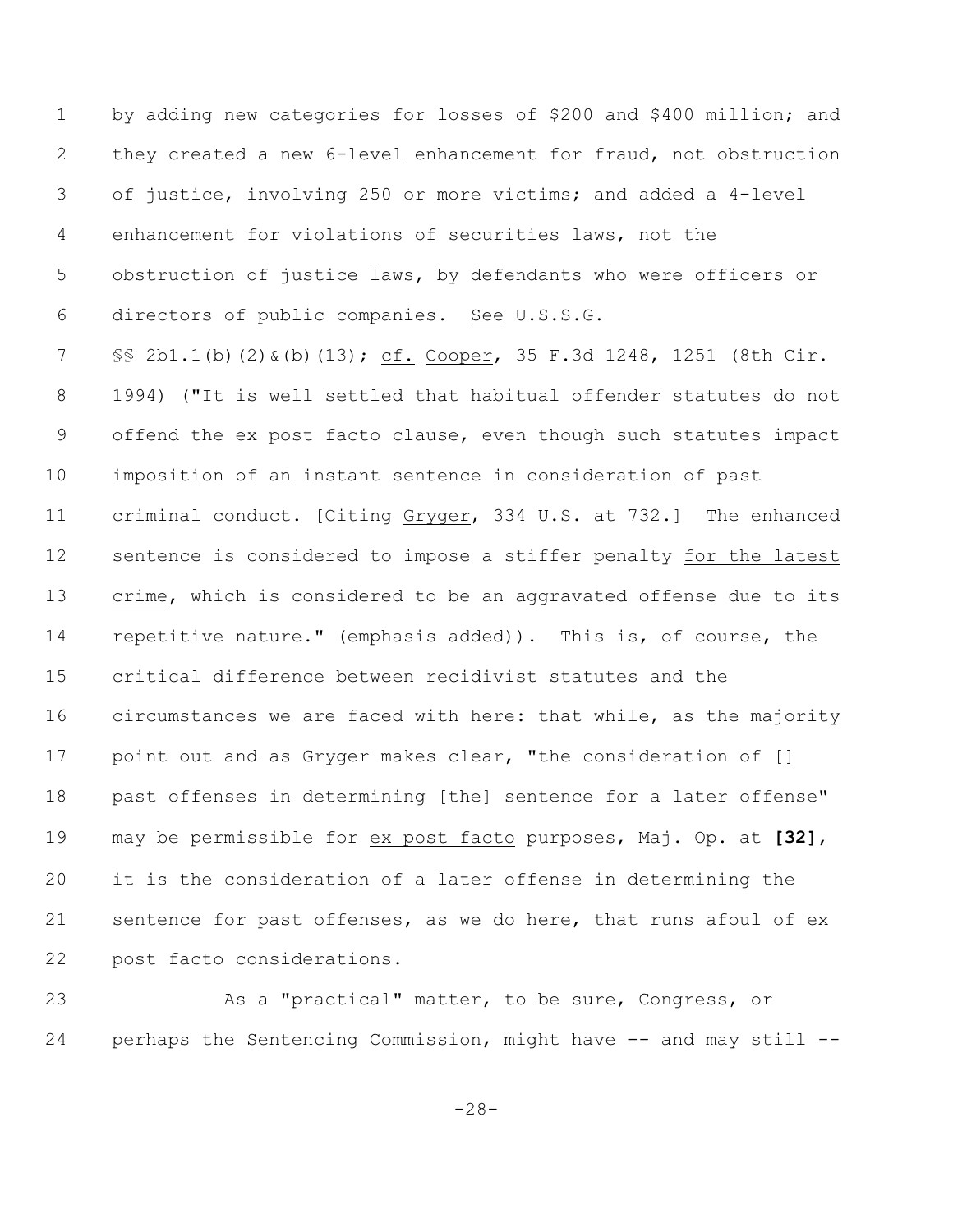by adding new categories for losses of \$200 and \$400 million; and they created a new 6-level enhancement for fraud, not obstruction of justice, involving 250 or more victims; and added a 4-level enhancement for violations of securities laws, not the obstruction of justice laws, by defendants who were officers or directors of public companies. See U.S.S.G. §§ 2b1.1(b)(2)&(b)(13); cf. Cooper, 35 F.3d 1248, 1251 (8th Cir. 1994) ("It is well settled that habitual offender statutes do not offend the ex post facto clause, even though such statutes impact imposition of an instant sentence in consideration of past criminal conduct. [Citing Gryger, 334 U.S. at 732.] The enhanced 12 sentence is considered to impose a stiffer penalty for the latest 13 crime, which is considered to be an aggravated offense due to its repetitive nature." (emphasis added)). This is, of course, the critical difference between recidivist statutes and the circumstances we are faced with here: that while, as the majority 17 point out and as Gryger makes clear, "the consideration of [] past offenses in determining [the] sentence for a later offense" may be permissible for ex post facto purposes, Maj. Op. at **[32]**, it is the consideration of a later offense in determining the sentence for past offenses, as we do here, that runs afoul of ex post facto considerations.

23 As a "practical" matter, to be sure, Congress, or 24 perhaps the Sentencing Commission, might have -- and may still --

-28-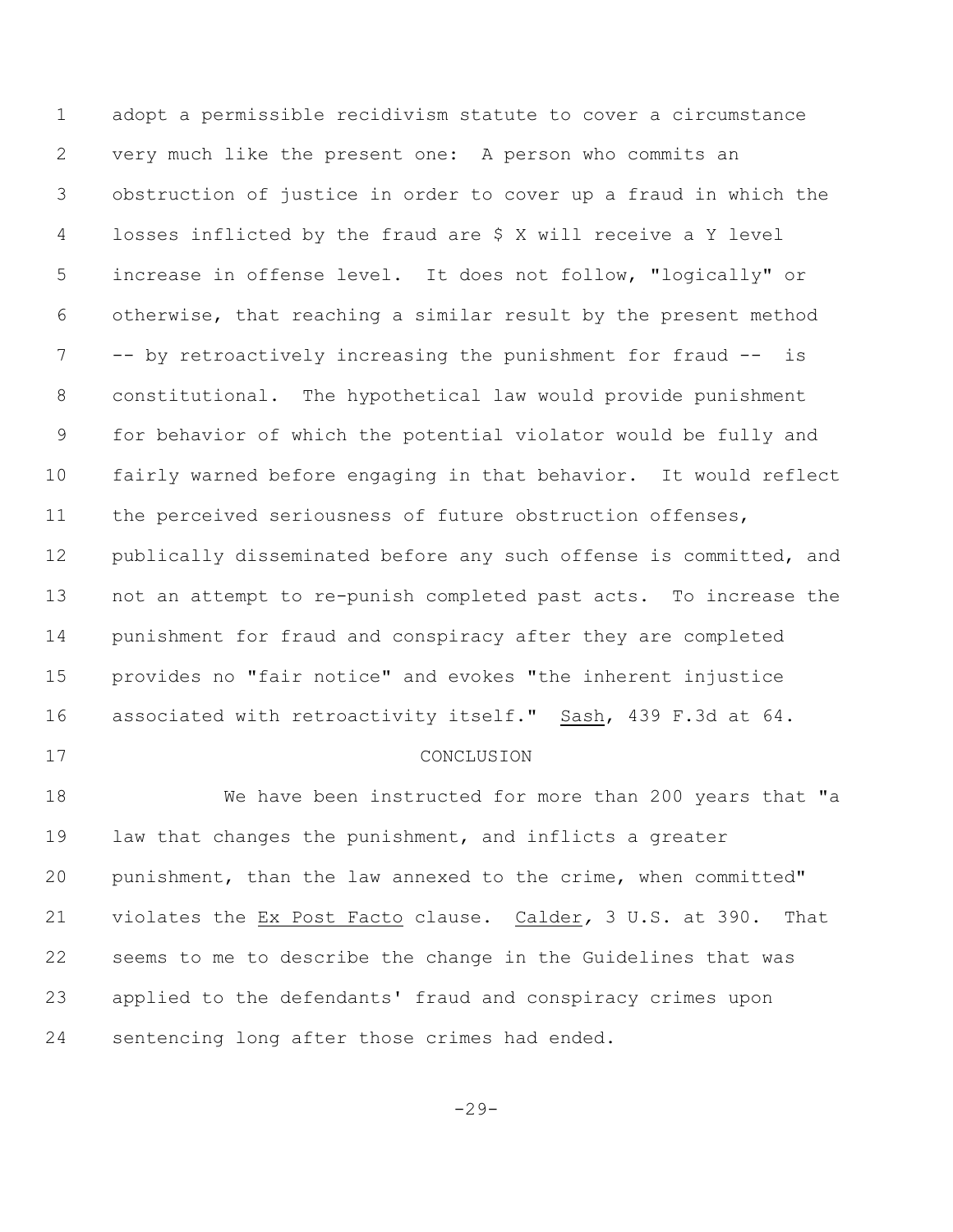adopt a permissible recidivism statute to cover a circumstance very much like the present one: A person who commits an obstruction of justice in order to cover up a fraud in which the losses inflicted by the fraud are \$ X will receive a Y level increase in offense level. It does not follow, "logically" or otherwise, that reaching a similar result by the present method -- by retroactively increasing the punishment for fraud -- is constitutional. The hypothetical law would provide punishment for behavior of which the potential violator would be fully and fairly warned before engaging in that behavior. It would reflect the perceived seriousness of future obstruction offenses, 12 publically disseminated before any such offense is committed, and not an attempt to re-punish completed past acts. To increase the punishment for fraud and conspiracy after they are completed provides no "fair notice" and evokes "the inherent injustice associated with retroactivity itself." Sash, 439 F.3d at 64. 17 CONCLUSION We have been instructed for more than 200 years that "a law that changes the punishment, and inflicts a greater punishment, than the law annexed to the crime, when committed" violates the Ex Post Facto clause. Calder*,* 3 U.S. at 390. That seems to me to describe the change in the Guidelines that was applied to the defendants' fraud and conspiracy crimes upon sentencing long after those crimes had ended.

-29-